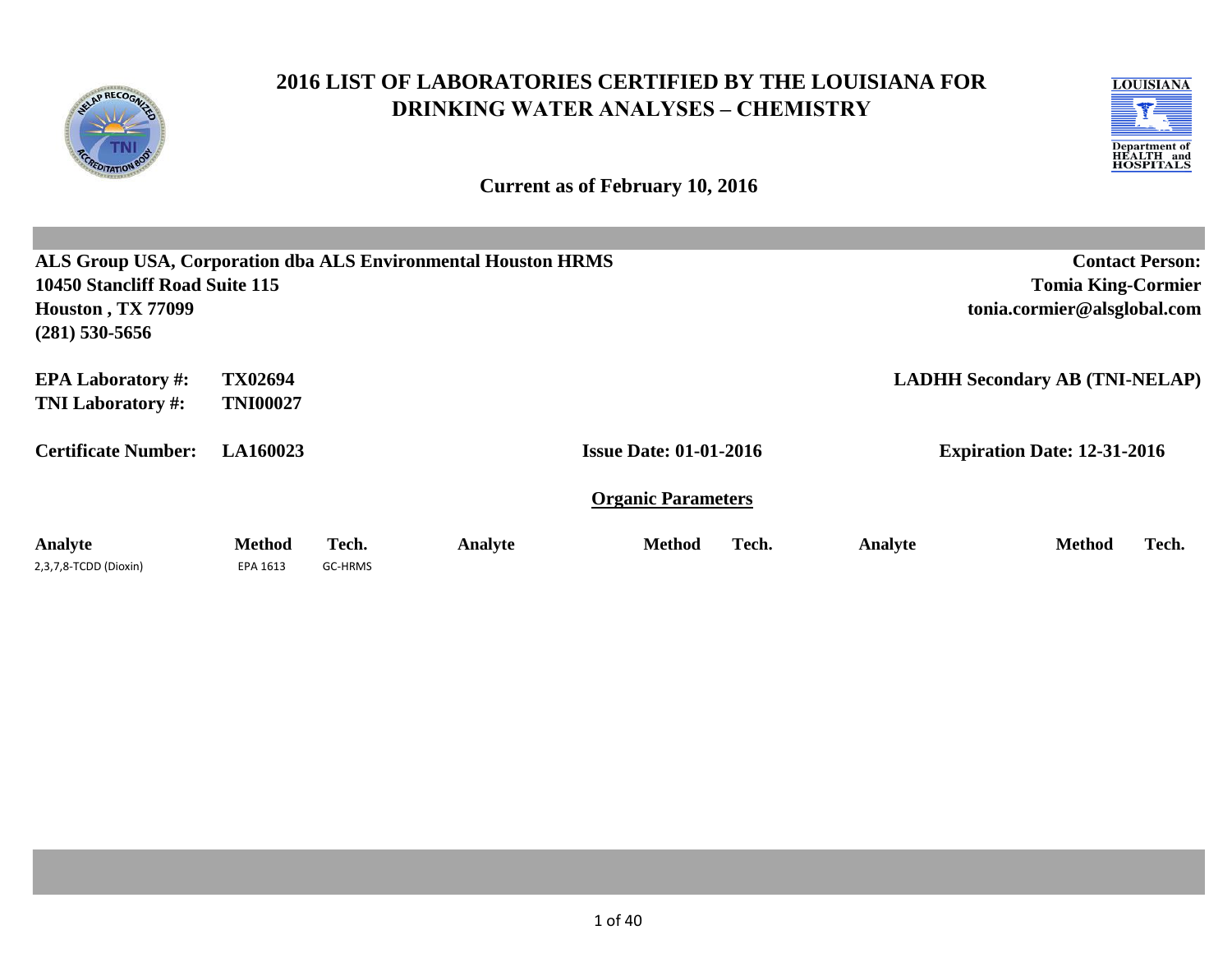

# **2016 LIST OF LABORATORIES CERTIFIED BY THE LOUISIANA FOR DRINKING WATER ANALYSES – CHEMISTRY**

**Current as of February 10, 2016**

| ALS Group USA, Corporation dba ALS Environmental Houston HRMS |                 |         |         |                               |       |         | <b>Contact Person:</b>                |       |  |  |
|---------------------------------------------------------------|-----------------|---------|---------|-------------------------------|-------|---------|---------------------------------------|-------|--|--|
| 10450 Stancliff Road Suite 115                                |                 |         |         |                               |       |         | <b>Tomia King-Cormier</b>             |       |  |  |
| <b>Houston, TX 77099</b>                                      |                 |         |         |                               |       |         | tonia.cormier@alsglobal.com           |       |  |  |
| $(281)$ 530-5656                                              |                 |         |         |                               |       |         |                                       |       |  |  |
| <b>EPA Laboratory #:</b>                                      | TX02694         |         |         |                               |       |         | <b>LADHH Secondary AB (TNI-NELAP)</b> |       |  |  |
| <b>TNI Laboratory #:</b>                                      | <b>TNI00027</b> |         |         |                               |       |         |                                       |       |  |  |
| <b>Certificate Number:</b>                                    | LA160023        |         |         | <b>Issue Date: 01-01-2016</b> |       |         | <b>Expiration Date: 12-31-2016</b>    |       |  |  |
|                                                               |                 |         |         | <b>Organic Parameters</b>     |       |         |                                       |       |  |  |
| Analyte                                                       | <b>Method</b>   | Tech.   | Analyte | <b>Method</b>                 | Tech. | Analyte | <b>Method</b>                         | Tech. |  |  |
| 2,3,7,8-TCDD (Dioxin)                                         | EPA 1613        | GC-HRMS |         |                               |       |         |                                       |       |  |  |

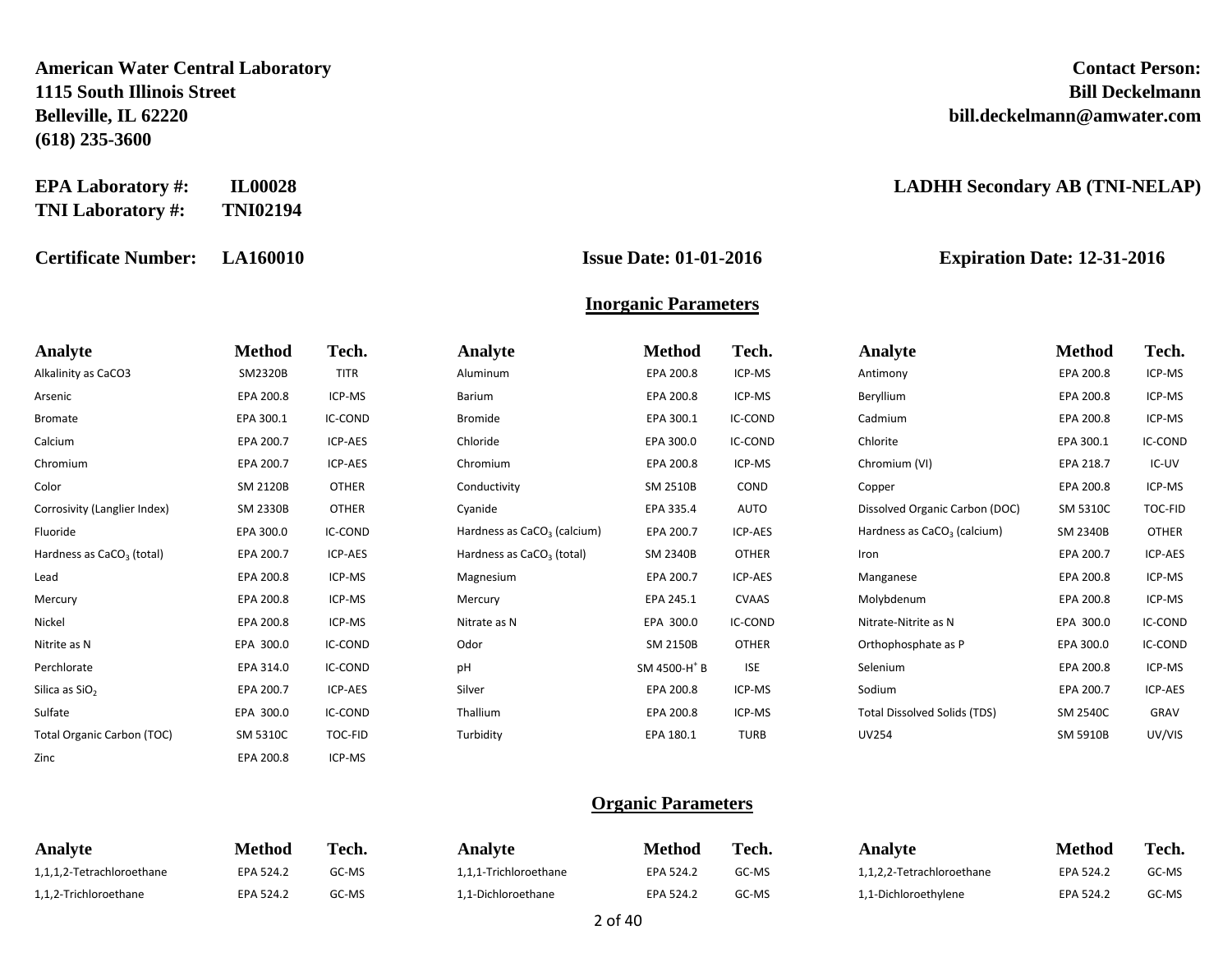**American Water Central Laboratory Contact Person: 1115 South Illinois Street Bill Deckelmann Belleville, IL 62220 bill.deckelmann@amwater.com (618) 235-3600**

| <b>EPA Laboratory #:</b> | <b>IL00028</b>  |
|--------------------------|-----------------|
| <b>TNI Laboratory #:</b> | <b>TNI02194</b> |

**Certificate Number: LA160010 Issue Date: 01-01-2016 Expiration Date: 12-31-2016**

#### $LADHH$  Secondary AB (TNI-NELAP)

# **Inorganic Parameters**

| Analyte                               | <b>Method</b>   | Tech.          | <b>Analyte</b>                          | <b>Method</b>            | Tech.        | Analyte                                 | <b>Method</b> | Tech.        |
|---------------------------------------|-----------------|----------------|-----------------------------------------|--------------------------|--------------|-----------------------------------------|---------------|--------------|
| Alkalinity as CaCO3                   | SM2320B         | <b>TITR</b>    | Aluminum                                | EPA 200.8                | ICP-MS       | Antimony                                | EPA 200.8     | ICP-MS       |
| Arsenic                               | EPA 200.8       | ICP-MS         | Barium                                  | EPA 200.8                | ICP-MS       | Beryllium                               | EPA 200.8     | ICP-MS       |
| <b>Bromate</b>                        | EPA 300.1       | <b>IC-COND</b> | <b>Bromide</b>                          | EPA 300.1                | IC-COND      | Cadmium                                 | EPA 200.8     | ICP-MS       |
| Calcium                               | EPA 200.7       | <b>ICP-AES</b> | Chloride                                | EPA 300.0                | IC-COND      | Chlorite                                | EPA 300.1     | IC-COND      |
| Chromium                              | EPA 200.7       | ICP-AES        | Chromium                                | EPA 200.8                | ICP-MS       | Chromium (VI)                           | EPA 218.7     | IC-UV        |
| Color                                 | SM 2120B        | <b>OTHER</b>   | Conductivity                            | SM 2510B                 | COND         | Copper                                  | EPA 200.8     | ICP-MS       |
| Corrosivity (Langlier Index)          | <b>SM 2330B</b> | <b>OTHER</b>   | Cyanide                                 | EPA 335.4                | AUTO         | Dissolved Organic Carbon (DOC)          | SM 5310C      | TOC-FID      |
| Fluoride                              | EPA 300.0       | IC-COND        | Hardness as CaCO <sub>3</sub> (calcium) | EPA 200.7                | ICP-AES      | Hardness as CaCO <sub>3</sub> (calcium) | SM 2340B      | <b>OTHER</b> |
| Hardness as CaCO <sub>2</sub> (total) | EPA 200.7       | ICP-AES        | Hardness as CaCO <sub>2</sub> (total)   | SM 2340B                 | <b>OTHER</b> | Iron                                    | EPA 200.7     | ICP-AES      |
| Lead                                  | EPA 200.8       | ICP-MS         | Magnesium                               | EPA 200.7                | ICP-AES      | Manganese                               | EPA 200.8     | ICP-MS       |
| Mercury                               | EPA 200.8       | ICP-MS         | Mercury                                 | EPA 245.1                | <b>CVAAS</b> | Molybdenum                              | EPA 200.8     | ICP-MS       |
| Nickel                                | EPA 200.8       | ICP-MS         | Nitrate as N                            | EPA 300.0                | IC-COND      | Nitrate-Nitrite as N                    | EPA 300.0     | IC-COND      |
| Nitrite as N                          | EPA 300.0       | IC-COND        | Odor                                    | SM 2150B                 | <b>OTHER</b> | Orthophosphate as P                     | EPA 300.0     | IC-COND      |
| Perchlorate                           | EPA 314.0       | <b>IC-COND</b> | pH                                      | SM 4500-H <sup>+</sup> B | <b>ISE</b>   | Selenium                                | EPA 200.8     | ICP-MS       |
| Silica as SiO <sub>2</sub>            | EPA 200.7       | ICP-AES        | Silver                                  | EPA 200.8                | ICP-MS       | Sodium                                  | EPA 200.7     | ICP-AES      |
| Sulfate                               | EPA 300.0       | IC-COND        | Thallium                                | EPA 200.8                | ICP-MS       | <b>Total Dissolved Solids (TDS)</b>     | SM 2540C      | GRAV         |
| <b>Total Organic Carbon (TOC)</b>     | SM 5310C        | TOC-FID        | Turbidity                               | EPA 180.1                | <b>TURB</b>  | <b>UV254</b>                            | SM 5910B      | UV/VIS       |
| Zinc                                  | EPA 200.8       | ICP-MS         |                                         |                          |              |                                         |               |              |

#### **Organic Parameters**

| <b>Analyte</b>            | Method           | Tech. | Analvte               | Method    | Tech. | Analvte                   | <b>Method</b> | Tech. |
|---------------------------|------------------|-------|-----------------------|-----------|-------|---------------------------|---------------|-------|
| 1,1,1,2-Tetrachloroethane | EPA 524.2        | GC-MS | 1,1,1-Trichloroethane | EPA 524.2 | GC-MS | 1,1,2,2-Tetrachloroethane | EPA 524.∠     | GC-MS |
| 1,1,2-Trichloroethane     | <b>EPA 524.2</b> | GC-MS | L,1-Dichloroethane    | EPA 524.2 | GC-MS | L,1-Dichloroethylene      | EPA 524.      | GC-MS |

2 of 40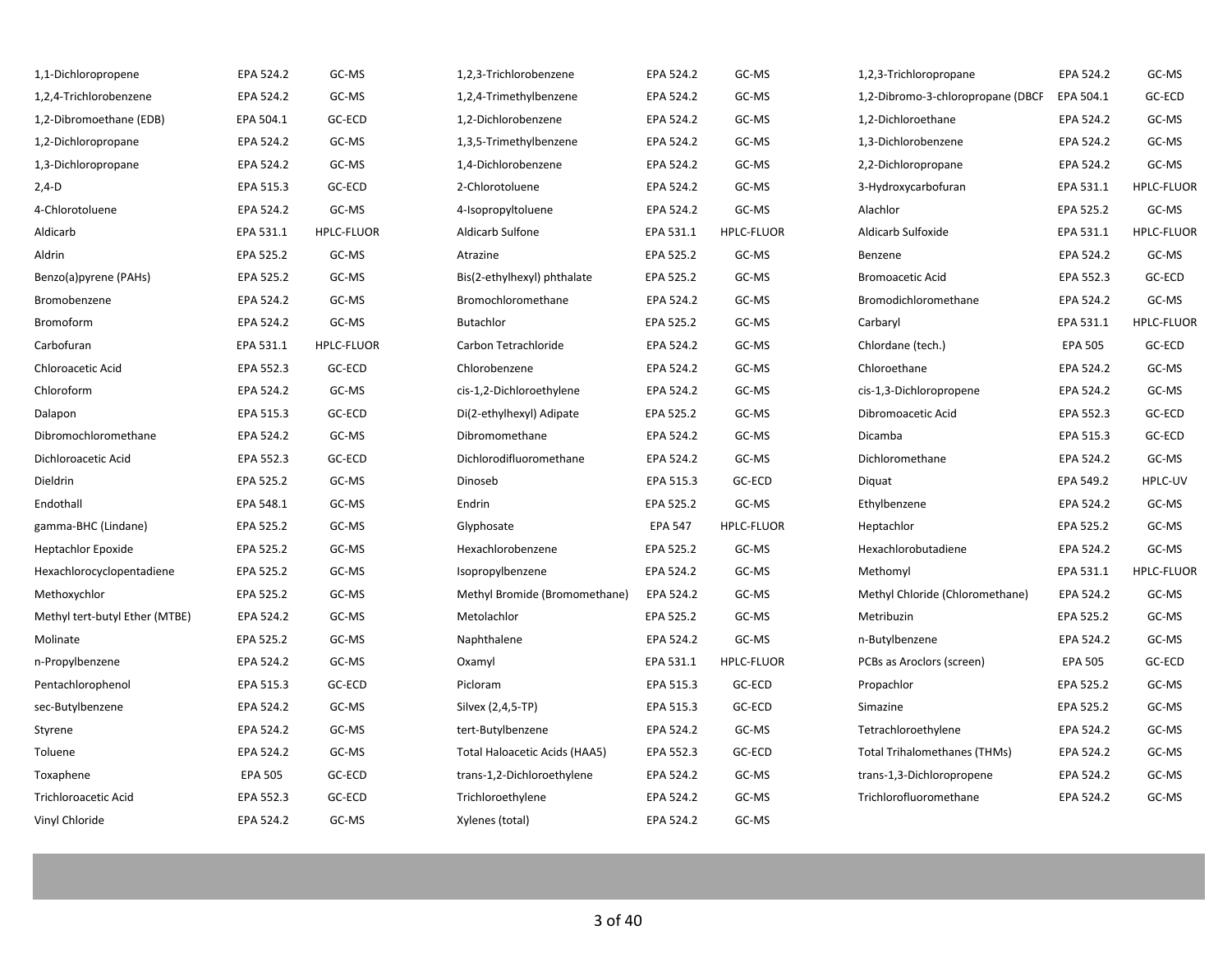| 1,1-Dichloropropene            | EPA 524.2      | GC-MS             | 1,2,3-Trichlorobenzene        | EPA 524.2      | GC-MS             | 1,2,3-Trichloropropane              | EPA 524.2      | GC-MS             |
|--------------------------------|----------------|-------------------|-------------------------------|----------------|-------------------|-------------------------------------|----------------|-------------------|
| 1,2,4-Trichlorobenzene         | EPA 524.2      | GC-MS             | 1,2,4-Trimethylbenzene        | EPA 524.2      | GC-MS             | 1,2-Dibromo-3-chloropropane (DBCP   | EPA 504.1      | GC-ECD            |
| 1,2-Dibromoethane (EDB)        | EPA 504.1      | GC-ECD            | 1,2-Dichlorobenzene           | EPA 524.2      | GC-MS             | 1,2-Dichloroethane                  | EPA 524.2      | GC-MS             |
| 1,2-Dichloropropane            | EPA 524.2      | GC-MS             | 1,3,5-Trimethylbenzene        | EPA 524.2      | GC-MS             | 1,3-Dichlorobenzene                 | EPA 524.2      | GC-MS             |
| 1,3-Dichloropropane            | EPA 524.2      | GC-MS             | 1,4-Dichlorobenzene           | EPA 524.2      | GC-MS             | 2,2-Dichloropropane                 | EPA 524.2      | GC-MS             |
| $2,4-D$                        | EPA 515.3      | GC-ECD            | 2-Chlorotoluene               | EPA 524.2      | GC-MS             | 3-Hydroxycarbofuran                 | EPA 531.1      | <b>HPLC-FLUOR</b> |
| 4-Chlorotoluene                | EPA 524.2      | GC-MS             | 4-Isopropyltoluene            | EPA 524.2      | GC-MS             | Alachlor                            | EPA 525.2      | GC-MS             |
| Aldicarb                       | EPA 531.1      | <b>HPLC-FLUOR</b> | Aldicarb Sulfone              | EPA 531.1      | <b>HPLC-FLUOR</b> | Aldicarb Sulfoxide                  | EPA 531.1      | <b>HPLC-FLUOR</b> |
| Aldrin                         | EPA 525.2      | GC-MS             | Atrazine                      | EPA 525.2      | GC-MS             | Benzene                             | EPA 524.2      | GC-MS             |
| Benzo(a)pyrene (PAHs)          | EPA 525.2      | GC-MS             | Bis(2-ethylhexyl) phthalate   | EPA 525.2      | GC-MS             | <b>Bromoacetic Acid</b>             | EPA 552.3      | GC-ECD            |
| Bromobenzene                   | EPA 524.2      | GC-MS             | Bromochloromethane            | EPA 524.2      | GC-MS             | Bromodichloromethane                | EPA 524.2      | GC-MS             |
| Bromoform                      | EPA 524.2      | GC-MS             | <b>Butachlor</b>              | EPA 525.2      | GC-MS             | Carbaryl                            | EPA 531.1      | <b>HPLC-FLUOR</b> |
| Carbofuran                     | EPA 531.1      | HPLC-FLUOR        | Carbon Tetrachloride          | EPA 524.2      | GC-MS             | Chlordane (tech.)                   | <b>EPA 505</b> | GC-ECD            |
| Chloroacetic Acid              | EPA 552.3      | GC-ECD            | Chlorobenzene                 | EPA 524.2      | GC-MS             | Chloroethane                        | EPA 524.2      | GC-MS             |
| Chloroform                     | EPA 524.2      | GC-MS             | cis-1,2-Dichloroethylene      | EPA 524.2      | GC-MS             | cis-1,3-Dichloropropene             | EPA 524.2      | GC-MS             |
| Dalapon                        | EPA 515.3      | GC-ECD            | Di(2-ethylhexyl) Adipate      | EPA 525.2      | GC-MS             | Dibromoacetic Acid                  | EPA 552.3      | GC-ECD            |
| Dibromochloromethane           | EPA 524.2      | GC-MS             | Dibromomethane                | EPA 524.2      | GC-MS             | Dicamba                             | EPA 515.3      | GC-ECD            |
| Dichloroacetic Acid            | EPA 552.3      | GC-ECD            | Dichlorodifluoromethane       | EPA 524.2      | GC-MS             | Dichloromethane                     | EPA 524.2      | GC-MS             |
| Dieldrin                       | EPA 525.2      | GC-MS             | Dinoseb                       | EPA 515.3      | GC-ECD            | Diquat                              | EPA 549.2      | HPLC-UV           |
| Endothall                      | EPA 548.1      | GC-MS             | Endrin                        | EPA 525.2      | GC-MS             | Ethylbenzene                        | EPA 524.2      | GC-MS             |
| gamma-BHC (Lindane)            | EPA 525.2      | GC-MS             | Glyphosate                    | <b>EPA 547</b> | <b>HPLC-FLUOR</b> | Heptachlor                          | EPA 525.2      | GC-MS             |
| <b>Heptachlor Epoxide</b>      | EPA 525.2      | GC-MS             | Hexachlorobenzene             | EPA 525.2      | GC-MS             | Hexachlorobutadiene                 | EPA 524.2      | GC-MS             |
| Hexachlorocyclopentadiene      | EPA 525.2      | GC-MS             | Isopropylbenzene              | EPA 524.2      | GC-MS             | Methomyl                            | EPA 531.1      | <b>HPLC-FLUOR</b> |
| Methoxychlor                   | EPA 525.2      | GC-MS             | Methyl Bromide (Bromomethane) | EPA 524.2      | GC-MS             | Methyl Chloride (Chloromethane)     | EPA 524.2      | GC-MS             |
| Methyl tert-butyl Ether (MTBE) | EPA 524.2      | GC-MS             | Metolachlor                   | EPA 525.2      | GC-MS             | Metribuzin                          | EPA 525.2      | GC-MS             |
| Molinate                       | EPA 525.2      | GC-MS             | Naphthalene                   | EPA 524.2      | GC-MS             | n-Butylbenzene                      | EPA 524.2      | GC-MS             |
| n-Propylbenzene                | EPA 524.2      | GC-MS             | Oxamyl                        | EPA 531.1      | <b>HPLC-FLUOR</b> | PCBs as Aroclors (screen)           | <b>EPA 505</b> | GC-ECD            |
| Pentachlorophenol              | EPA 515.3      | GC-ECD            | Picloram                      | EPA 515.3      | GC-ECD            | Propachlor                          | EPA 525.2      | GC-MS             |
| sec-Butylbenzene               | EPA 524.2      | GC-MS             | Silvex (2,4,5-TP)             | EPA 515.3      | GC-ECD            | Simazine                            | EPA 525.2      | GC-MS             |
| Styrene                        | EPA 524.2      | GC-MS             | tert-Butylbenzene             | EPA 524.2      | GC-MS             | Tetrachloroethylene                 | EPA 524.2      | GC-MS             |
| Toluene                        | EPA 524.2      | GC-MS             | Total Haloacetic Acids (HAA5) | EPA 552.3      | GC-ECD            | <b>Total Trihalomethanes (THMs)</b> | EPA 524.2      | GC-MS             |
| Toxaphene                      | <b>EPA 505</b> | GC-ECD            | trans-1,2-Dichloroethylene    | EPA 524.2      | GC-MS             | trans-1,3-Dichloropropene           | EPA 524.2      | GC-MS             |
| <b>Trichloroacetic Acid</b>    | EPA 552.3      | GC-ECD            | Trichloroethylene             | EPA 524.2      | GC-MS             | Trichlorofluoromethane              | EPA 524.2      | GC-MS             |
| Vinyl Chloride                 | EPA 524.2      | GC-MS             | Xylenes (total)               | EPA 524.2      | GC-MS             |                                     |                |                   |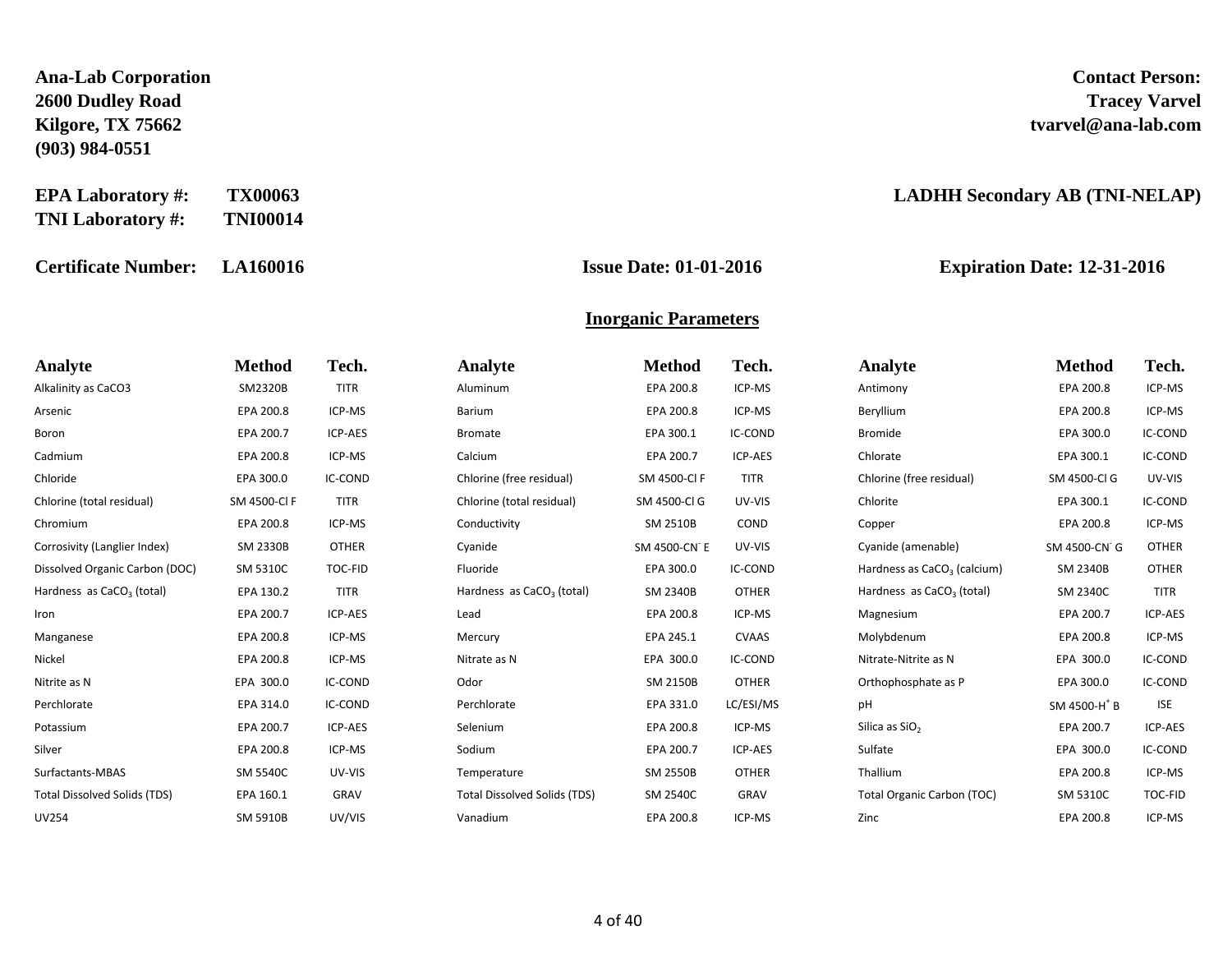**Ana-Lab Corporation Contact Person: 2600 Dudley Road Tracey Varvel (903) 984-0551**

**EPA Laboratory #: TX00063 LADHH Secondary AB (TNI-NELAP) TNI Laboratory #: TNI00014**

**Certificate Number: LA160016 Issue Date: 01-01-2016 Expiration Date: 12-31-2016**

# **Kilgore, TX 75662 tvarvel@ana-lab.com**

### **Inorganic Parameters**

| Analyte                               | <b>Method</b>   | Tech.        | <b>Analyte</b>                        | <b>Method</b>   | Tech.          | <b>Analyte</b>                          | <b>Method</b>            | Tech.        |
|---------------------------------------|-----------------|--------------|---------------------------------------|-----------------|----------------|-----------------------------------------|--------------------------|--------------|
| Alkalinity as CaCO3                   | SM2320B         | <b>TITR</b>  | Aluminum                              | EPA 200.8       | ICP-MS         | Antimony                                | EPA 200.8                | ICP-MS       |
| Arsenic                               | EPA 200.8       | ICP-MS       | Barium                                | EPA 200.8       | ICP-MS         | Beryllium                               | EPA 200.8                | ICP-MS       |
| Boron                                 | EPA 200.7       | ICP-AES      | <b>Bromate</b>                        | EPA 300.1       | <b>IC-COND</b> | <b>Bromide</b>                          | EPA 300.0                | IC-COND      |
| Cadmium                               | EPA 200.8       | ICP-MS       | Calcium                               | EPA 200.7       | ICP-AES        | Chlorate                                | EPA 300.1                | IC-COND      |
| Chloride                              | EPA 300.0       | IC-COND      | Chlorine (free residual)              | SM 4500-Cl F    | <b>TITR</b>    | Chlorine (free residual)                | SM 4500-Cl G             | UV-VIS       |
| Chlorine (total residual)             | SM 4500-Cl F    | <b>TITR</b>  | Chlorine (total residual)             | SM 4500-Cl G    | UV-VIS         | Chlorite                                | EPA 300.1                | IC-COND      |
| Chromium                              | EPA 200.8       | ICP-MS       | Conductivity                          | SM 2510B        | <b>COND</b>    | Copper                                  | EPA 200.8                | ICP-MS       |
| Corrosivity (Langlier Index)          | <b>SM 2330B</b> | <b>OTHER</b> | Cyanide                               | SM 4500-CN E    | UV-VIS         | Cyanide (amenable)                      | SM 4500-CN G             | <b>OTHER</b> |
| Dissolved Organic Carbon (DOC)        | SM 5310C        | TOC-FID      | Fluoride                              | EPA 300.0       | IC-COND        | Hardness as CaCO <sub>3</sub> (calcium) | <b>SM 2340B</b>          | <b>OTHER</b> |
| Hardness as CaCO <sub>3</sub> (total) | EPA 130.2       | <b>TITR</b>  | Hardness as CaCO <sub>3</sub> (total) | <b>SM 2340B</b> | <b>OTHER</b>   | Hardness as CaCO <sub>3</sub> (total)   | SM 2340C                 | <b>TITR</b>  |
| Iron                                  | EPA 200.7       | ICP-AES      | Lead                                  | EPA 200.8       | ICP-MS         | Magnesium                               | EPA 200.7                | ICP-AES      |
| Manganese                             | EPA 200.8       | ICP-MS       | Mercury                               | EPA 245.1       | <b>CVAAS</b>   | Molybdenum                              | EPA 200.8                | ICP-MS       |
| Nickel                                | EPA 200.8       | ICP-MS       | Nitrate as N                          | EPA 300.0       | IC-COND        | Nitrate-Nitrite as N                    | EPA 300.0                | IC-COND      |
| Nitrite as N                          | EPA 300.0       | IC-COND      | Odor                                  | <b>SM 2150B</b> | <b>OTHER</b>   | Orthophosphate as P                     | EPA 300.0                | IC-COND      |
| Perchlorate                           | EPA 314.0       | IC-COND      | Perchlorate                           | EPA 331.0       | LC/ESI/MS      | pH                                      | SM 4500-H <sup>+</sup> B | <b>ISE</b>   |
| Potassium                             | EPA 200.7       | ICP-AES      | Selenium                              | EPA 200.8       | ICP-MS         | Silica as SiO <sub>2</sub>              | EPA 200.7                | ICP-AES      |
| Silver                                | EPA 200.8       | ICP-MS       | Sodium                                | EPA 200.7       | ICP-AES        | Sulfate                                 | EPA 300.0                | IC-COND      |
| Surfactants-MBAS                      | <b>SM 5540C</b> | UV-VIS       | Temperature                           | <b>SM 2550B</b> | <b>OTHER</b>   | Thallium                                | EPA 200.8                | ICP-MS       |
| <b>Total Dissolved Solids (TDS)</b>   | EPA 160.1       | GRAV         | <b>Total Dissolved Solids (TDS)</b>   | <b>SM 2540C</b> | GRAV           | <b>Total Organic Carbon (TOC)</b>       | SM 5310C                 | TOC-FID      |
| <b>UV254</b>                          | SM 5910B        | UV/VIS       | Vanadium                              | EPA 200.8       | ICP-MS         | Zinc                                    | EPA 200.8                | ICP-MS       |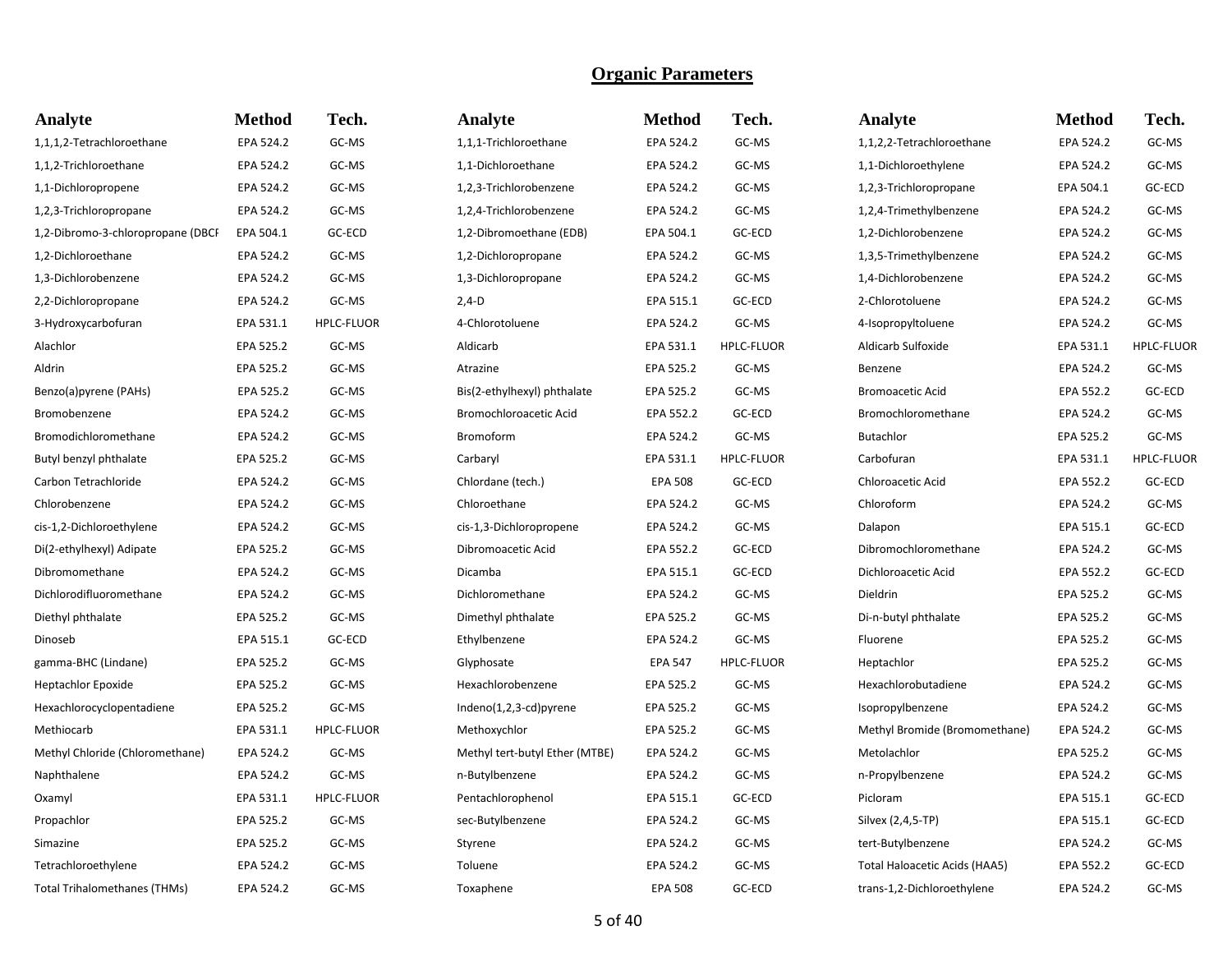| Analyte                           | <b>Method</b> | Tech.             | Analyte                        | <b>Method</b>  | Tech.             | Analyte                       | <b>Method</b> | Tech.             |
|-----------------------------------|---------------|-------------------|--------------------------------|----------------|-------------------|-------------------------------|---------------|-------------------|
| 1,1,1,2-Tetrachloroethane         | EPA 524.2     | GC-MS             | 1,1,1-Trichloroethane          | EPA 524.2      | GC-MS             | 1,1,2,2-Tetrachloroethane     | EPA 524.2     | GC-MS             |
| 1,1,2-Trichloroethane             | EPA 524.2     | GC-MS             | 1,1-Dichloroethane             | EPA 524.2      | GC-MS             | 1,1-Dichloroethylene          | EPA 524.2     | GC-MS             |
| 1,1-Dichloropropene               | EPA 524.2     | GC-MS             | 1,2,3-Trichlorobenzene         | EPA 524.2      | GC-MS             | 1,2,3-Trichloropropane        | EPA 504.1     | GC-ECD            |
| 1,2,3-Trichloropropane            | EPA 524.2     | GC-MS             | 1,2,4-Trichlorobenzene         | EPA 524.2      | GC-MS             | 1,2,4-Trimethylbenzene        | EPA 524.2     | GC-MS             |
| 1,2-Dibromo-3-chloropropane (DBCI | EPA 504.1     | GC-ECD            | 1,2-Dibromoethane (EDB)        | EPA 504.1      | GC-ECD            | 1,2-Dichlorobenzene           | EPA 524.2     | GC-MS             |
| 1,2-Dichloroethane                | EPA 524.2     | GC-MS             | 1,2-Dichloropropane            | EPA 524.2      | GC-MS             | 1,3,5-Trimethylbenzene        | EPA 524.2     | GC-MS             |
| 1,3-Dichlorobenzene               | EPA 524.2     | GC-MS             | 1,3-Dichloropropane            | EPA 524.2      | GC-MS             | 1,4-Dichlorobenzene           | EPA 524.2     | GC-MS             |
| 2,2-Dichloropropane               | EPA 524.2     | GC-MS             | $2,4-D$                        | EPA 515.1      | GC-ECD            | 2-Chlorotoluene               | EPA 524.2     | GC-MS             |
| 3-Hydroxycarbofuran               | EPA 531.1     | <b>HPLC-FLUOR</b> | 4-Chlorotoluene                | EPA 524.2      | GC-MS             | 4-Isopropyltoluene            | EPA 524.2     | GC-MS             |
| Alachlor                          | EPA 525.2     | GC-MS             | Aldicarb                       | EPA 531.1      | <b>HPLC-FLUOR</b> | Aldicarb Sulfoxide            | EPA 531.1     | <b>HPLC-FLUOR</b> |
| Aldrin                            | EPA 525.2     | GC-MS             | Atrazine                       | EPA 525.2      | GC-MS             | Benzene                       | EPA 524.2     | GC-MS             |
| Benzo(a)pyrene (PAHs)             | EPA 525.2     | GC-MS             | Bis(2-ethylhexyl) phthalate    | EPA 525.2      | GC-MS             | <b>Bromoacetic Acid</b>       | EPA 552.2     | GC-ECD            |
| Bromobenzene                      | EPA 524.2     | GC-MS             | Bromochloroacetic Acid         | EPA 552.2      | GC-ECD            | Bromochloromethane            | EPA 524.2     | GC-MS             |
| Bromodichloromethane              | EPA 524.2     | GC-MS             | Bromoform                      | EPA 524.2      | GC-MS             | <b>Butachlor</b>              | EPA 525.2     | GC-MS             |
| Butyl benzyl phthalate            | EPA 525.2     | GC-MS             | Carbaryl                       | EPA 531.1      | <b>HPLC-FLUOR</b> | Carbofuran                    | EPA 531.1     | <b>HPLC-FLUOR</b> |
| Carbon Tetrachloride              | EPA 524.2     | GC-MS             | Chlordane (tech.)              | <b>EPA 508</b> | GC-ECD            | Chloroacetic Acid             | EPA 552.2     | GC-ECD            |
| Chlorobenzene                     | EPA 524.2     | GC-MS             | Chloroethane                   | EPA 524.2      | GC-MS             | Chloroform                    | EPA 524.2     | GC-MS             |
| cis-1,2-Dichloroethylene          | EPA 524.2     | GC-MS             | cis-1,3-Dichloropropene        | EPA 524.2      | GC-MS             | Dalapon                       | EPA 515.1     | GC-ECD            |
| Di(2-ethylhexyl) Adipate          | EPA 525.2     | GC-MS             | Dibromoacetic Acid             | EPA 552.2      | GC-ECD            | Dibromochloromethane          | EPA 524.2     | GC-MS             |
| Dibromomethane                    | EPA 524.2     | GC-MS             | Dicamba                        | EPA 515.1      | GC-ECD            | Dichloroacetic Acid           | EPA 552.2     | GC-ECD            |
| Dichlorodifluoromethane           | EPA 524.2     | GC-MS             | Dichloromethane                | EPA 524.2      | GC-MS             | Dieldrin                      | EPA 525.2     | GC-MS             |
| Diethyl phthalate                 | EPA 525.2     | GC-MS             | Dimethyl phthalate             | EPA 525.2      | GC-MS             | Di-n-butyl phthalate          | EPA 525.2     | GC-MS             |
| Dinoseb                           | EPA 515.1     | GC-ECD            | Ethylbenzene                   | EPA 524.2      | GC-MS             | Fluorene                      | EPA 525.2     | GC-MS             |
| gamma-BHC (Lindane)               | EPA 525.2     | GC-MS             | Glyphosate                     | <b>EPA 547</b> | <b>HPLC-FLUOR</b> | Heptachlor                    | EPA 525.2     | GC-MS             |
| <b>Heptachlor Epoxide</b>         | EPA 525.2     | GC-MS             | Hexachlorobenzene              | EPA 525.2      | GC-MS             | Hexachlorobutadiene           | EPA 524.2     | GC-MS             |
| Hexachlorocyclopentadiene         | EPA 525.2     | GC-MS             | Indeno(1,2,3-cd)pyrene         | EPA 525.2      | GC-MS             | Isopropylbenzene              | EPA 524.2     | GC-MS             |
| Methiocarb                        | EPA 531.1     | <b>HPLC-FLUOR</b> | Methoxychlor                   | EPA 525.2      | GC-MS             | Methyl Bromide (Bromomethane) | EPA 524.2     | GC-MS             |
| Methyl Chloride (Chloromethane)   | EPA 524.2     | GC-MS             | Methyl tert-butyl Ether (MTBE) | EPA 524.2      | GC-MS             | Metolachlor                   | EPA 525.2     | GC-MS             |
| Naphthalene                       | EPA 524.2     | GC-MS             | n-Butylbenzene                 | EPA 524.2      | GC-MS             | n-Propylbenzene               | EPA 524.2     | GC-MS             |
| Oxamyl                            | EPA 531.1     | <b>HPLC-FLUOR</b> | Pentachlorophenol              | EPA 515.1      | GC-ECD            | Picloram                      | EPA 515.1     | GC-ECD            |
| Propachlor                        | EPA 525.2     | GC-MS             | sec-Butylbenzene               | EPA 524.2      | GC-MS             | Silvex (2,4,5-TP)             | EPA 515.1     | GC-ECD            |
| Simazine                          | EPA 525.2     | GC-MS             | Styrene                        | EPA 524.2      | GC-MS             | tert-Butylbenzene             | EPA 524.2     | GC-MS             |
| Tetrachloroethylene               | EPA 524.2     | GC-MS             | Toluene                        | EPA 524.2      | GC-MS             | Total Haloacetic Acids (HAA5) | EPA 552.2     | GC-ECD            |
| Total Trihalomethanes (THMs)      | EPA 524.2     | GC-MS             | Toxaphene                      | <b>EPA 508</b> | GC-ECD            | trans-1,2-Dichloroethylene    | EPA 524.2     | GC-MS             |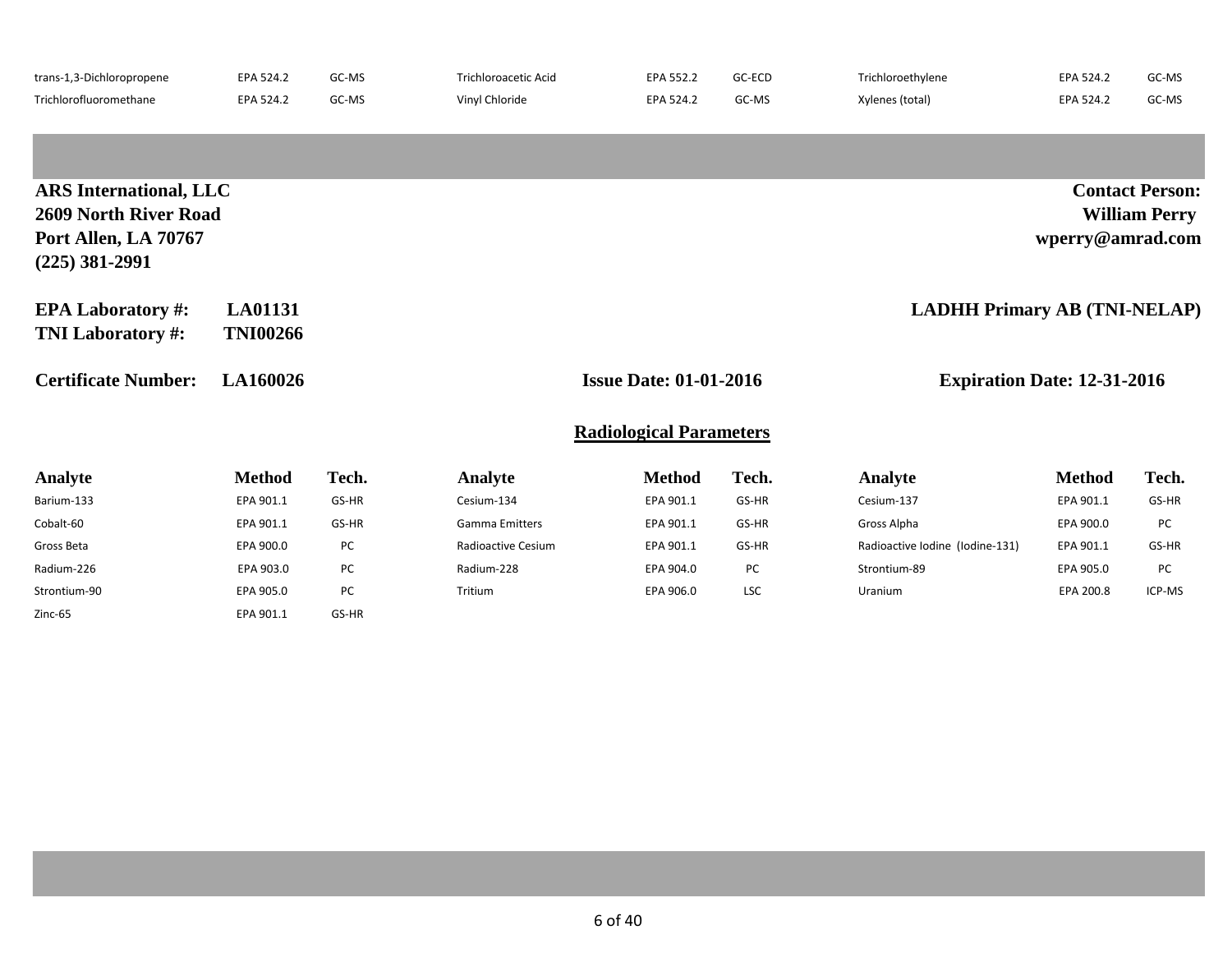| trans-1,3-Dichloropropene | EPA 524.2 | GC-MS | Trichloroacetic Acid | EPA 552.2 | GC-ECD | Trichloroethylene | EPA 524.2 | GC-MS |
|---------------------------|-----------|-------|----------------------|-----------|--------|-------------------|-----------|-------|
| Trichlorofluoromethane    | EPA 524.2 | GC-MS | Vinyl Chloride       | EPA 524.2 | GC-MS  | Xylenes (total)   | EPA 524.2 | GC-MS |

| <b>ARS</b> International, LLC<br><b>2609 North River Road</b><br>Port Allen, LA 70767<br>$(225)$ 381-2991 |                                   |       |                       |                                                                     |       |                                     | wperry@amrad.com | <b>Contact Person:</b><br><b>William Perry</b> |
|-----------------------------------------------------------------------------------------------------------|-----------------------------------|-------|-----------------------|---------------------------------------------------------------------|-------|-------------------------------------|------------------|------------------------------------------------|
| <b>EPA Laboratory #:</b><br><b>TNI Laboratory #:</b>                                                      | <b>LA01131</b><br><b>TNI00266</b> |       |                       |                                                                     |       | <b>LADHH Primary AB (TNI-NELAP)</b> |                  |                                                |
| <b>Certificate Number:</b>                                                                                | LA160026                          |       |                       | <b>Issue Date: 01-01-2016</b><br><b>Expiration Date: 12-31-2016</b> |       |                                     |                  |                                                |
|                                                                                                           |                                   |       |                       | <b>Radiological Parameters</b>                                      |       |                                     |                  |                                                |
| <b>Analyte</b>                                                                                            | <b>Method</b>                     | Tech. | Analyte               | <b>Method</b>                                                       | Tech. | Analyte                             | <b>Method</b>    | Tech.                                          |
| Barium-133                                                                                                | EPA 901.1                         | GS-HR | Cesium-134            | EPA 901.1                                                           | GS-HR | Cesium-137                          | EPA 901.1        | GS-HR                                          |
| Cobalt-60                                                                                                 | EPA 901.1                         | GS-HR | <b>Gamma Emitters</b> | EPA 901.1                                                           | GS-HR | Gross Alpha                         | EPA 900.0        | PC                                             |
| Gross Beta                                                                                                | EPA 900.0                         | PC    | Radioactive Cesium    | EPA 901.1                                                           | GS-HR | Radioactive Iodine (Iodine-131)     | EPA 901.1        | GS-HR                                          |
| Radium-226                                                                                                | EPA 903.0                         | PC    | Radium-228            | EPA 904.0                                                           | PC    | Strontium-89                        | EPA 905.0        | PC                                             |
| Strontium-90                                                                                              | EPA 905.0                         | PC    | Tritium               | EPA 906.0                                                           | LSC   | Uranium                             | EPA 200.8        | ICP-MS                                         |
| Zinc-65                                                                                                   | EPA 901.1                         | GS-HR |                       |                                                                     |       |                                     |                  |                                                |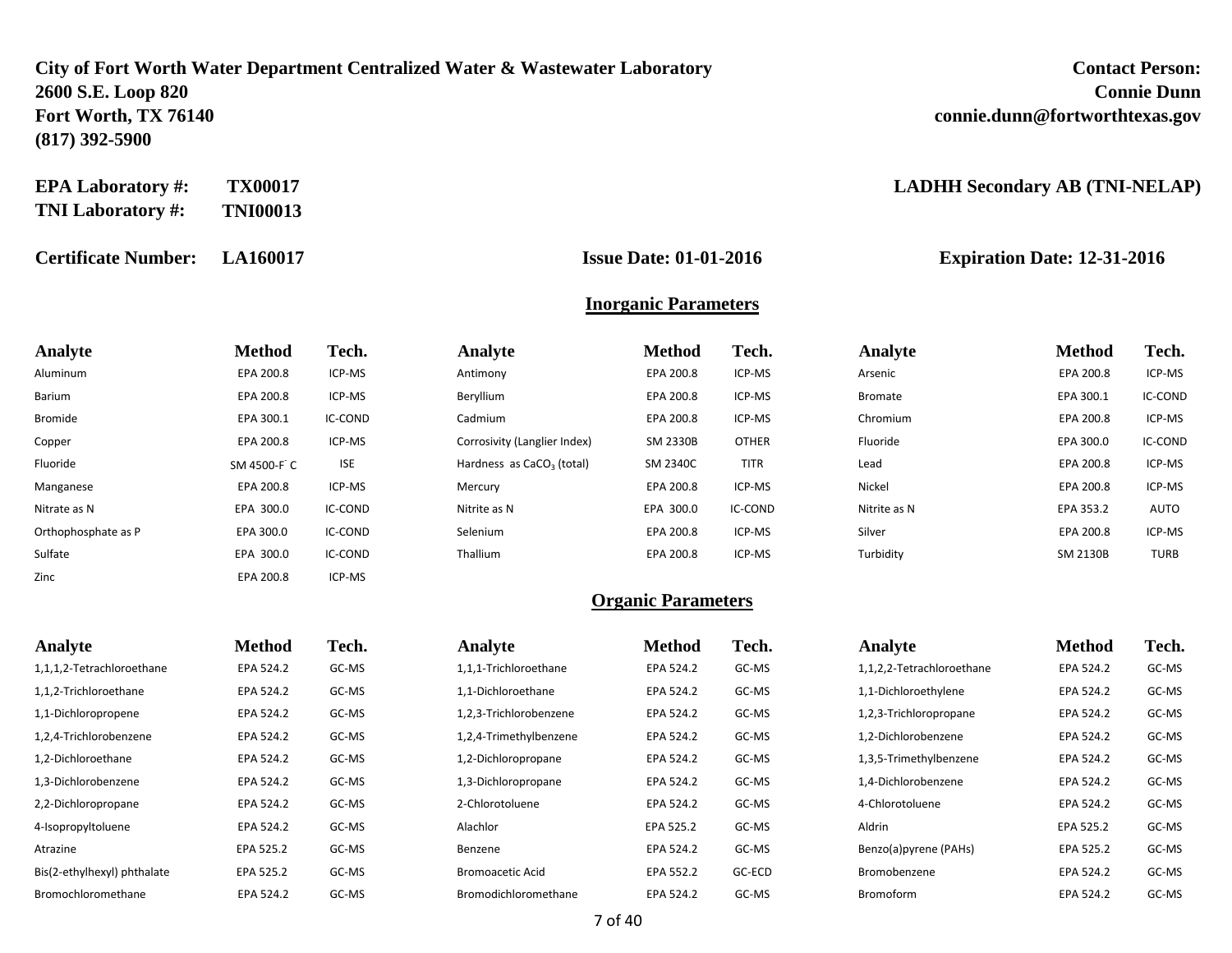### **City of Fort Worth Water Department Centralized Water & Wastewater Laboratory 2600 S.E. Loop 820 Connie Dunn Fort Worth, TX 76140 connie.dunn@fortworthtexas.gov (817) 392-5900**

| <b>Contact Person:</b>         |
|--------------------------------|
| <b>Connie Dunn</b>             |
| connie.dunn@fortworthtexas.gov |

**EPA Laboratory #: TX00017 LADHH Secondary AB (TNI-NELAP)**

**Certificate Number: LA160017 Issue Date: 01-01-2016 Expiration Date: 12-31-2016**

**TNI Laboratory #: TNI00013**

#### **Inorganic Parameters**

| Analyte             | <b>Method</b> | Tech.      | Analyte                               | <b>Method</b> | Tech.        | Analyte        | <b>Method</b> | Tech.       |
|---------------------|---------------|------------|---------------------------------------|---------------|--------------|----------------|---------------|-------------|
| Aluminum            | EPA 200.8     | ICP-MS     | Antimony                              | EPA 200.8     | ICP-MS       | Arsenic        | EPA 200.8     | ICP-MS      |
| Barium              | EPA 200.8     | ICP-MS     | Beryllium                             | EPA 200.8     | ICP-MS       | <b>Bromate</b> | EPA 300.1     | IC-COND     |
| <b>Bromide</b>      | EPA 300.1     | IC-COND    | Cadmium                               | EPA 200.8     | ICP-MS       | Chromium       | EPA 200.8     | ICP-MS      |
| Copper              | EPA 200.8     | ICP-MS     | Corrosivity (Langlier Index)          | SM 2330B      | <b>OTHER</b> | Fluoride       | EPA 300.0     | IC-COND     |
| Fluoride            | SM 4500-F C   | <b>ISE</b> | Hardness as CaCO <sub>3</sub> (total) | SM 2340C      | TITR         | Lead           | EPA 200.8     | ICP-MS      |
| Manganese           | EPA 200.8     | ICP-MS     | Mercury                               | EPA 200.8     | ICP-MS       | Nickel         | EPA 200.8     | ICP-MS      |
| Nitrate as N        | EPA 300.0     | IC-COND    | Nitrite as N                          | EPA 300.0     | IC-COND      | Nitrite as N   | EPA 353.2     | AUTO        |
| Orthophosphate as P | EPA 300.0     | IC-COND    | Selenium                              | EPA 200.8     | ICP-MS       | Silver         | EPA 200.8     | ICP-MS      |
| Sulfate             | EPA 300.0     | IC-COND    | Thallium                              | EPA 200.8     | ICP-MS       | Turbidity      | SM 2130B      | <b>TURB</b> |
| Zinc                | EPA 200.8     | ICP-MS     |                                       |               |              |                |               |             |

| Analyte                     | <b>Method</b> | Tech. | Analyte                 | <b>Method</b> | Tech.  | Analyte                   | <b>Method</b> | Tech. |
|-----------------------------|---------------|-------|-------------------------|---------------|--------|---------------------------|---------------|-------|
| 1,1,1,2-Tetrachloroethane   | EPA 524.2     | GC-MS | 1,1,1-Trichloroethane   | EPA 524.2     | GC-MS  | 1,1,2,2-Tetrachloroethane | EPA 524.2     | GC-MS |
| 1,1,2-Trichloroethane       | EPA 524.2     | GC-MS | 1,1-Dichloroethane      | EPA 524.2     | GC-MS  | 1,1-Dichloroethylene      | EPA 524.2     | GC-MS |
| 1,1-Dichloropropene         | EPA 524.2     | GC-MS | 1,2,3-Trichlorobenzene  | EPA 524.2     | GC-MS  | 1,2,3-Trichloropropane    | EPA 524.2     | GC-MS |
| 1,2,4-Trichlorobenzene      | EPA 524.2     | GC-MS | 1,2,4-Trimethylbenzene  | EPA 524.2     | GC-MS  | 1,2-Dichlorobenzene       | EPA 524.2     | GC-MS |
| 1,2-Dichloroethane          | EPA 524.2     | GC-MS | 1,2-Dichloropropane     | EPA 524.2     | GC-MS  | 1,3,5-Trimethylbenzene    | EPA 524.2     | GC-MS |
| 1,3-Dichlorobenzene         | EPA 524.2     | GC-MS | 1,3-Dichloropropane     | EPA 524.2     | GC-MS  | 1,4-Dichlorobenzene       | EPA 524.2     | GC-MS |
| 2,2-Dichloropropane         | EPA 524.2     | GC-MS | 2-Chlorotoluene         | EPA 524.2     | GC-MS  | 4-Chlorotoluene           | EPA 524.2     | GC-MS |
| 4-Isopropyltoluene          | EPA 524.2     | GC-MS | Alachlor                | EPA 525.2     | GC-MS  | Aldrin                    | EPA 525.2     | GC-MS |
| Atrazine                    | EPA 525.2     | GC-MS | Benzene                 | EPA 524.2     | GC-MS  | Benzo(a)pyrene (PAHs)     | EPA 525.2     | GC-MS |
| Bis(2-ethylhexyl) phthalate | EPA 525.2     | GC-MS | <b>Bromoacetic Acid</b> | EPA 552.2     | GC-ECD | Bromobenzene              | EPA 524.2     | GC-MS |
| Bromochloromethane          | EPA 524.2     | GC-MS | Bromodichloromethane    | EPA 524.2     | GC-MS  | Bromoform                 | EPA 524.2     | GC-MS |
|                             |               |       |                         |               |        |                           |               |       |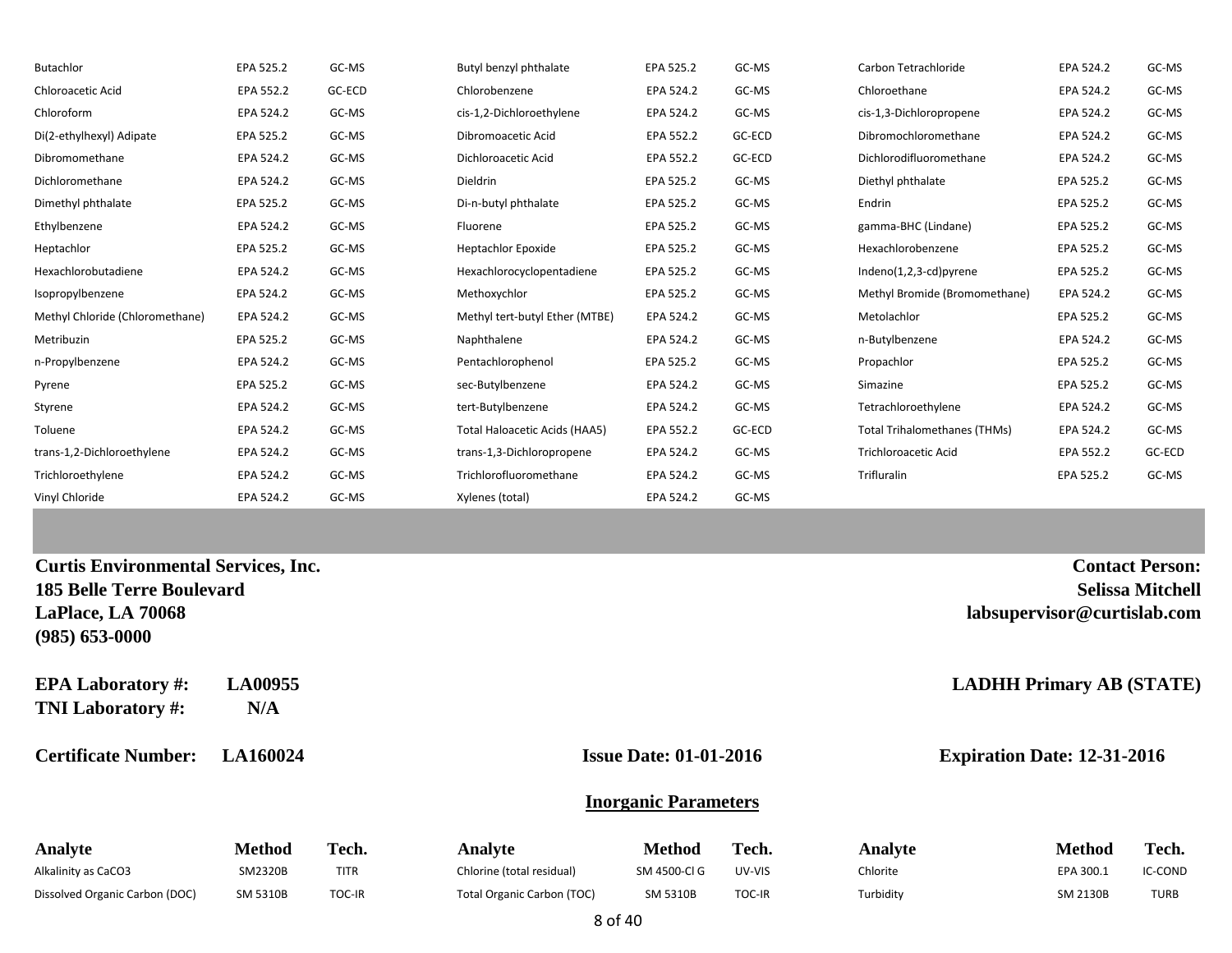| <b>Butachlor</b>                                     | EPA 525.2      | GC-MS       | Butyl benzyl phthalate            | EPA 525.2                     | GC-MS  | Carbon Tetrachloride                | EPA 524.2                   | GC-MS                   |
|------------------------------------------------------|----------------|-------------|-----------------------------------|-------------------------------|--------|-------------------------------------|-----------------------------|-------------------------|
| Chloroacetic Acid                                    | EPA 552.2      | GC-ECD      | Chlorobenzene                     | EPA 524.2                     | GC-MS  | Chloroethane                        | EPA 524.2                   | GC-MS                   |
| Chloroform                                           | EPA 524.2      | GC-MS       | cis-1,2-Dichloroethylene          | EPA 524.2                     | GC-MS  | cis-1,3-Dichloropropene             | EPA 524.2                   | GC-MS                   |
| Di(2-ethylhexyl) Adipate                             | EPA 525.2      | GC-MS       | Dibromoacetic Acid                | EPA 552.2                     | GC-ECD | Dibromochloromethane                | EPA 524.2                   | GC-MS                   |
| Dibromomethane                                       | EPA 524.2      | GC-MS       | Dichloroacetic Acid               | EPA 552.2                     | GC-ECD | Dichlorodifluoromethane             | EPA 524.2                   | GC-MS                   |
| Dichloromethane                                      | EPA 524.2      | GC-MS       | Dieldrin                          | EPA 525.2                     | GC-MS  | Diethyl phthalate                   | EPA 525.2                   | GC-MS                   |
| Dimethyl phthalate                                   | EPA 525.2      | GC-MS       | Di-n-butyl phthalate              | EPA 525.2                     | GC-MS  | Endrin                              | EPA 525.2                   | GC-MS                   |
| Ethylbenzene                                         | EPA 524.2      | GC-MS       | Fluorene                          | EPA 525.2                     | GC-MS  | gamma-BHC (Lindane)                 | EPA 525.2                   | GC-MS                   |
| Heptachlor                                           | EPA 525.2      | GC-MS       | <b>Heptachlor Epoxide</b>         | EPA 525.2                     | GC-MS  | Hexachlorobenzene                   | EPA 525.2                   | GC-MS                   |
| Hexachlorobutadiene                                  | EPA 524.2      | GC-MS       | Hexachlorocyclopentadiene         | EPA 525.2                     | GC-MS  | Indeno(1,2,3-cd)pyrene              | EPA 525.2                   | GC-MS                   |
| Isopropylbenzene                                     | EPA 524.2      | GC-MS       | Methoxychlor                      | EPA 525.2                     | GC-MS  | Methyl Bromide (Bromomethane)       | EPA 524.2                   | GC-MS                   |
| Methyl Chloride (Chloromethane)                      | EPA 524.2      | GC-MS       | Methyl tert-butyl Ether (MTBE)    | EPA 524.2                     | GC-MS  | Metolachlor                         | EPA 525.2                   | GC-MS                   |
| Metribuzin                                           | EPA 525.2      | GC-MS       | Naphthalene                       | EPA 524.2                     | GC-MS  | n-Butylbenzene                      | EPA 524.2                   | GC-MS                   |
| n-Propylbenzene                                      | EPA 524.2      | GC-MS       | Pentachlorophenol                 | EPA 525.2                     | GC-MS  | Propachlor                          | EPA 525.2                   | GC-MS                   |
| Pyrene                                               | EPA 525.2      | GC-MS       | sec-Butylbenzene                  | EPA 524.2                     | GC-MS  | Simazine                            | EPA 525.2                   | GC-MS                   |
| Styrene                                              | EPA 524.2      | GC-MS       | tert-Butylbenzene                 | EPA 524.2                     | GC-MS  | Tetrachloroethylene                 | EPA 524.2                   | GC-MS                   |
| Toluene                                              | EPA 524.2      | GC-MS       | Total Haloacetic Acids (HAA5)     | EPA 552.2                     | GC-ECD | <b>Total Trihalomethanes (THMs)</b> | EPA 524.2                   | GC-MS                   |
| trans-1,2-Dichloroethylene                           | EPA 524.2      | GC-MS       | trans-1,3-Dichloropropene         | EPA 524.2                     | GC-MS  | Trichloroacetic Acid                | EPA 552.2                   | GC-ECD                  |
| Trichloroethylene                                    | EPA 524.2      | GC-MS       | Trichlorofluoromethane            | EPA 524.2                     | GC-MS  | Trifluralin                         | EPA 525.2                   | GC-MS                   |
| Vinyl Chloride                                       | EPA 524.2      | GC-MS       | Xylenes (total)                   | EPA 524.2                     | GC-MS  |                                     |                             |                         |
|                                                      |                |             |                                   |                               |        |                                     |                             |                         |
| <b>Curtis Environmental Services, Inc.</b>           |                |             |                                   |                               |        |                                     |                             | <b>Contact Person:</b>  |
| <b>185 Belle Terre Boulevard</b>                     |                |             |                                   |                               |        |                                     |                             | <b>Selissa Mitchell</b> |
| LaPlace, LA 70068<br>$(985) 653 - 0000$              |                |             |                                   |                               |        |                                     | labsupervisor@curtislab.com |                         |
| <b>EPA Laboratory #:</b><br><b>TNI Laboratory #:</b> | LA00955<br>N/A |             |                                   |                               |        | <b>LADHH Primary AB (STATE)</b>     |                             |                         |
| <b>Certificate Number:</b>                           | LA160024       |             |                                   | <b>Issue Date: 01-01-2016</b> |        | <b>Expiration Date: 12-31-2016</b>  |                             |                         |
|                                                      |                |             |                                   | <b>Inorganic Parameters</b>   |        |                                     |                             |                         |
| Analyte                                              | <b>Method</b>  | Tech.       | Analyte                           | <b>Method</b>                 | Tech.  | Analyte                             | <b>Method</b>               | Tech.                   |
| Alkalinity as CaCO3                                  | SM2320B        | <b>TITR</b> | Chlorine (total residual)         | SM 4500-Cl G                  | UV-VIS | Chlorite                            | EPA 300.1                   | IC-COND                 |
| Dissolved Organic Carbon (DOC)                       | SM 5310B       | TOC-IR      | <b>Total Organic Carbon (TOC)</b> | SM 5310B                      | TOC-IR | Turbidity                           | SM 2130B                    | <b>TURB</b>             |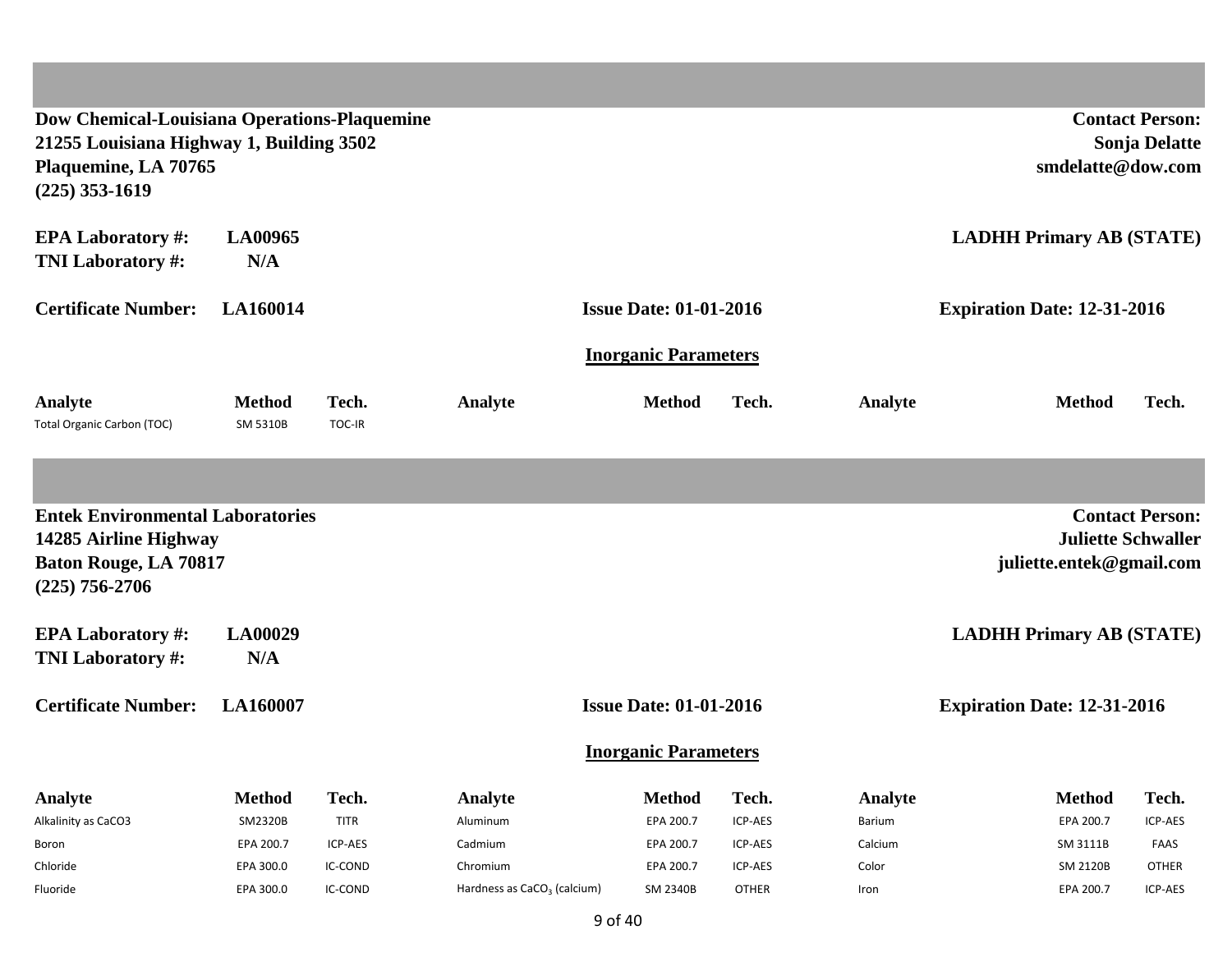| Dow Chemical-Louisiana Operations-Plaquemine<br>21255 Louisiana Highway 1, Building 3502<br>Plaquemine, LA 70765<br>$(225)$ 353-1619 |                           |                 |                                         |                               |              |         | smdelatte@dow.com                                     | <b>Contact Person:</b><br><b>Sonja Delatte</b> |
|--------------------------------------------------------------------------------------------------------------------------------------|---------------------------|-----------------|-----------------------------------------|-------------------------------|--------------|---------|-------------------------------------------------------|------------------------------------------------|
| <b>EPA Laboratory #:</b><br><b>TNI Laboratory #:</b>                                                                                 | <b>LA00965</b><br>N/A     |                 |                                         |                               |              |         | <b>LADHH Primary AB (STATE)</b>                       |                                                |
| <b>Certificate Number:</b>                                                                                                           | LA160014                  |                 |                                         | <b>Issue Date: 01-01-2016</b> |              |         | <b>Expiration Date: 12-31-2016</b>                    |                                                |
|                                                                                                                                      |                           |                 |                                         | <b>Inorganic Parameters</b>   |              |         |                                                       |                                                |
| Analyte<br><b>Total Organic Carbon (TOC)</b>                                                                                         | <b>Method</b><br>SM 5310B | Tech.<br>TOC-IR | Analyte                                 | <b>Method</b>                 | Tech.        | Analyte | <b>Method</b>                                         | Tech.                                          |
|                                                                                                                                      |                           |                 |                                         |                               |              |         |                                                       |                                                |
| <b>Entek Environmental Laboratories</b><br>14285 Airline Highway<br><b>Baton Rouge, LA 70817</b><br>$(225)$ 756-2706                 |                           |                 |                                         |                               |              |         | <b>Juliette Schwaller</b><br>juliette.entek@gmail.com | <b>Contact Person:</b>                         |
| <b>EPA Laboratory #:</b><br><b>TNI Laboratory #:</b>                                                                                 | <b>LA00029</b><br>N/A     |                 |                                         |                               |              |         | <b>LADHH Primary AB (STATE)</b>                       |                                                |
| <b>Certificate Number:</b>                                                                                                           | LA160007                  |                 |                                         | <b>Issue Date: 01-01-2016</b> |              |         | <b>Expiration Date: 12-31-2016</b>                    |                                                |
|                                                                                                                                      |                           |                 |                                         | <b>Inorganic Parameters</b>   |              |         |                                                       |                                                |
| <b>Analyte</b>                                                                                                                       | <b>Method</b>             | Tech.           | Analyte                                 | <b>Method</b>                 | Tech.        | Analyte | <b>Method</b>                                         | Tech.                                          |
| Alkalinity as CaCO3                                                                                                                  | SM2320B                   | <b>TITR</b>     | Aluminum                                | EPA 200.7                     | ICP-AES      | Barium  | EPA 200.7                                             | ICP-AES                                        |
| Boron                                                                                                                                | EPA 200.7                 | ICP-AES         | Cadmium                                 | EPA 200.7                     | ICP-AES      | Calcium | SM 3111B                                              | FAAS                                           |
| Chloride                                                                                                                             | EPA 300.0                 | IC-COND         | Chromium                                | EPA 200.7                     | ICP-AES      | Color   | <b>SM 2120B</b>                                       | <b>OTHER</b>                                   |
| Fluoride                                                                                                                             | EPA 300.0                 | IC-COND         | Hardness as CaCO <sub>3</sub> (calcium) | SM 2340B                      | <b>OTHER</b> | Iron    | EPA 200.7                                             | ICP-AES                                        |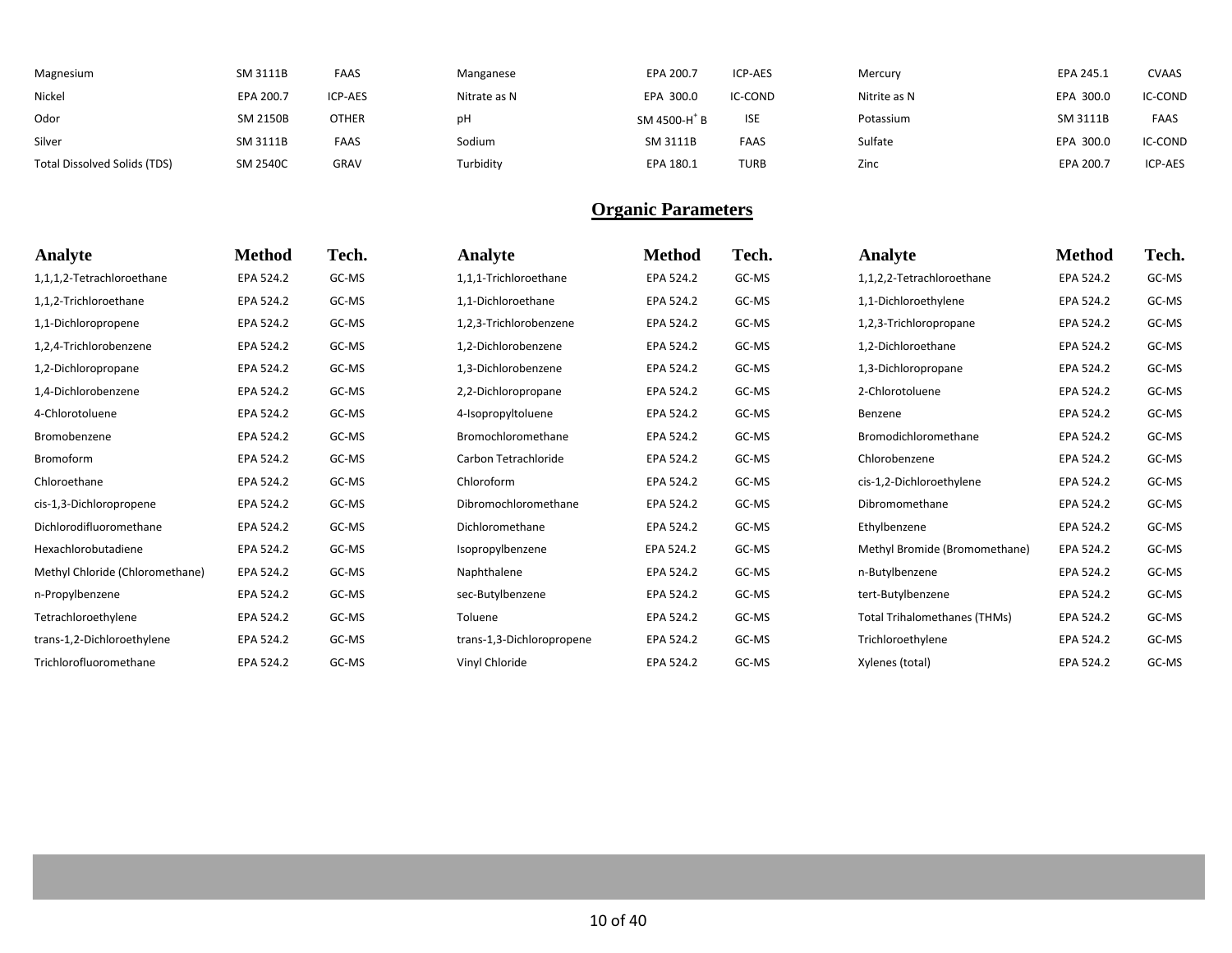| Magnesium                    | SM 3111B        | <b>FAAS</b>    | Manganese    | EPA 200.7                | ICP-AES     | Mercury      | EPA 245.1 | <b>CVAAS</b> |
|------------------------------|-----------------|----------------|--------------|--------------------------|-------------|--------------|-----------|--------------|
| Nickel                       | EPA 200.7       | <b>ICP-AES</b> | Nitrate as N | EPA 300.0                | IC-COND     | Nitrite as N | EPA 300.0 | IC-COND      |
| Odor                         | SM 2150B        | <b>OTHER</b>   | pН           | SM 4500-H <sup>+</sup> B | <b>ISE</b>  | Potassium    | SM 3111B  | <b>FAAS</b>  |
| Silver                       | SM 3111B        | <b>FAAS</b>    | Sodium       | SM 3111B                 | <b>FAAS</b> | Sulfate      | EPA 300.0 | IC-COND      |
| Total Dissolved Solids (TDS) | <b>SM 2540C</b> | GRAV           | Turbidity    | EPA 180.1                | <b>TURB</b> | Zinc         | EPA 200.7 | ICP-AES      |

| Analyte                         | <b>Method</b> | Tech. | Analyte                   | <b>Method</b> | Tech. | Analyte                             | <b>Method</b> | Tech. |
|---------------------------------|---------------|-------|---------------------------|---------------|-------|-------------------------------------|---------------|-------|
| 1,1,1,2-Tetrachloroethane       | EPA 524.2     | GC-MS | 1,1,1-Trichloroethane     | EPA 524.2     | GC-MS | 1,1,2,2-Tetrachloroethane           | EPA 524.2     | GC-MS |
| 1,1,2-Trichloroethane           | EPA 524.2     | GC-MS | 1,1-Dichloroethane        | EPA 524.2     | GC-MS | 1,1-Dichloroethylene                | EPA 524.2     | GC-MS |
| 1,1-Dichloropropene             | EPA 524.2     | GC-MS | 1,2,3-Trichlorobenzene    | EPA 524.2     | GC-MS | 1,2,3-Trichloropropane              | EPA 524.2     | GC-MS |
| 1,2,4-Trichlorobenzene          | EPA 524.2     | GC-MS | 1,2-Dichlorobenzene       | EPA 524.2     | GC-MS | 1,2-Dichloroethane                  | EPA 524.2     | GC-MS |
| 1,2-Dichloropropane             | EPA 524.2     | GC-MS | 1,3-Dichlorobenzene       | EPA 524.2     | GC-MS | 1,3-Dichloropropane                 | EPA 524.2     | GC-MS |
| 1,4-Dichlorobenzene             | EPA 524.2     | GC-MS | 2,2-Dichloropropane       | EPA 524.2     | GC-MS | 2-Chlorotoluene                     | EPA 524.2     | GC-MS |
| 4-Chlorotoluene                 | EPA 524.2     | GC-MS | 4-Isopropyltoluene        | EPA 524.2     | GC-MS | Benzene                             | EPA 524.2     | GC-MS |
| Bromobenzene                    | EPA 524.2     | GC-MS | Bromochloromethane        | EPA 524.2     | GC-MS | Bromodichloromethane                | EPA 524.2     | GC-MS |
| Bromoform                       | EPA 524.2     | GC-MS | Carbon Tetrachloride      | EPA 524.2     | GC-MS | Chlorobenzene                       | EPA 524.2     | GC-MS |
| Chloroethane                    | EPA 524.2     | GC-MS | Chloroform                | EPA 524.2     | GC-MS | cis-1,2-Dichloroethylene            | EPA 524.2     | GC-MS |
| cis-1,3-Dichloropropene         | EPA 524.2     | GC-MS | Dibromochloromethane      | EPA 524.2     | GC-MS | Dibromomethane                      | EPA 524.2     | GC-MS |
| Dichlorodifluoromethane         | EPA 524.2     | GC-MS | Dichloromethane           | EPA 524.2     | GC-MS | Ethylbenzene                        | EPA 524.2     | GC-MS |
| Hexachlorobutadiene             | EPA 524.2     | GC-MS | Isopropylbenzene          | EPA 524.2     | GC-MS | Methyl Bromide (Bromomethane)       | EPA 524.2     | GC-MS |
| Methyl Chloride (Chloromethane) | EPA 524.2     | GC-MS | Naphthalene               | EPA 524.2     | GC-MS | n-Butylbenzene                      | EPA 524.2     | GC-MS |
| n-Propylbenzene                 | EPA 524.2     | GC-MS | sec-Butylbenzene          | EPA 524.2     | GC-MS | tert-Butylbenzene                   | EPA 524.2     | GC-MS |
| Tetrachloroethylene             | EPA 524.2     | GC-MS | Toluene                   | EPA 524.2     | GC-MS | <b>Total Trihalomethanes (THMs)</b> | EPA 524.2     | GC-MS |
| trans-1,2-Dichloroethylene      | EPA 524.2     | GC-MS | trans-1,3-Dichloropropene | EPA 524.2     | GC-MS | Trichloroethylene                   | EPA 524.2     | GC-MS |
| Trichlorofluoromethane          | EPA 524.2     | GC-MS | Vinyl Chloride            | EPA 524.2     | GC-MS | Xylenes (total)                     | EPA 524.2     | GC-MS |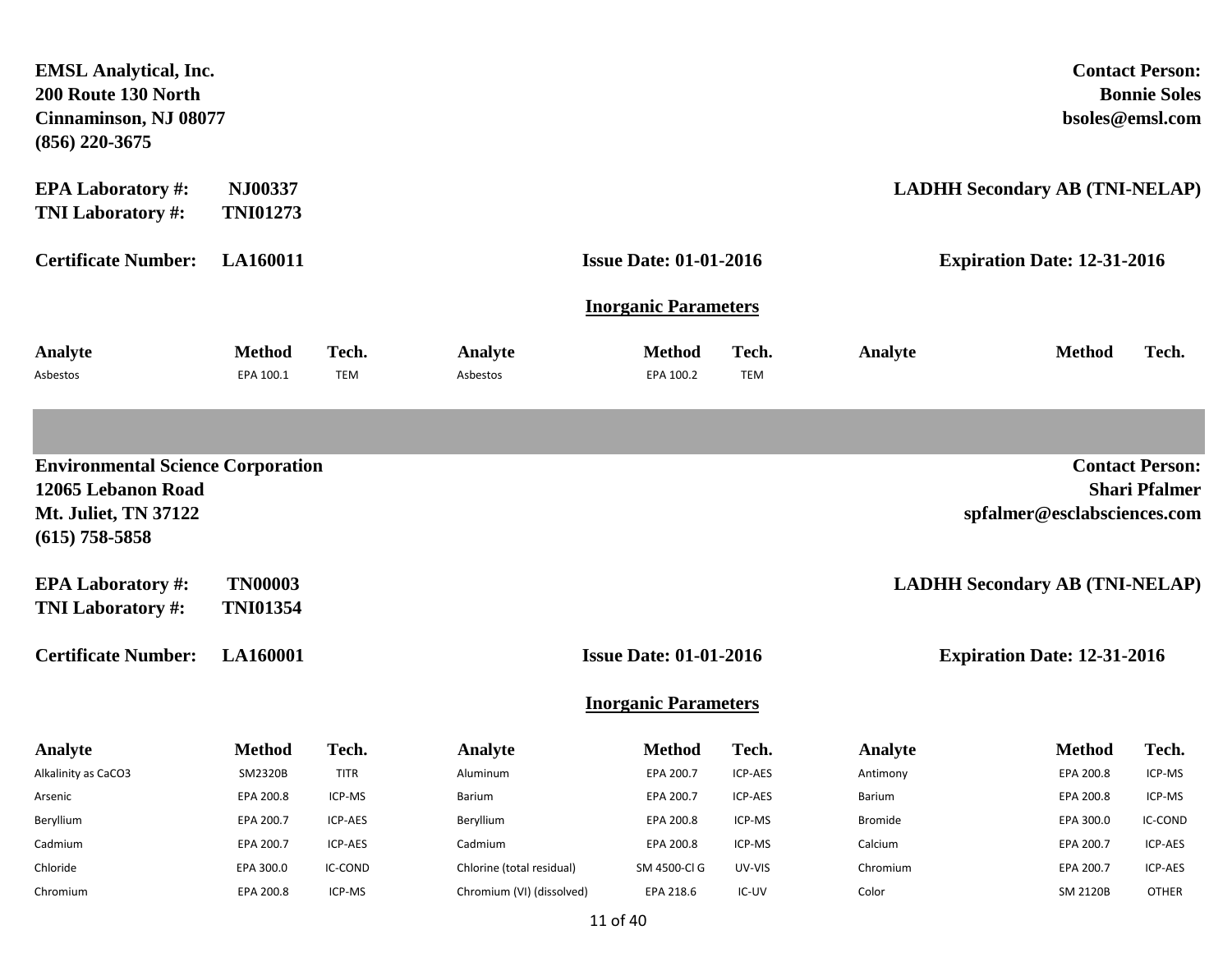| <b>EMSL Analytical, Inc.</b><br>200 Route 130 North<br>Cinnaminson, NJ 08077<br>$(856)$ 220-3675                  |                                   |                     |                           |                               |                     |                |                                       | <b>Contact Person:</b><br><b>Bonnie Soles</b><br>bsoles@emsl.com |
|-------------------------------------------------------------------------------------------------------------------|-----------------------------------|---------------------|---------------------------|-------------------------------|---------------------|----------------|---------------------------------------|------------------------------------------------------------------|
| <b>EPA Laboratory #:</b><br><b>TNI Laboratory #:</b>                                                              | NJ00337<br><b>TNI01273</b>        |                     |                           |                               |                     |                | <b>LADHH Secondary AB (TNI-NELAP)</b> |                                                                  |
| <b>Certificate Number:</b>                                                                                        | <b>LA160011</b>                   |                     |                           | <b>Issue Date: 01-01-2016</b> |                     |                | <b>Expiration Date: 12-31-2016</b>    |                                                                  |
|                                                                                                                   |                                   |                     |                           | <b>Inorganic Parameters</b>   |                     |                |                                       |                                                                  |
| Analyte<br>Asbestos                                                                                               | <b>Method</b><br>EPA 100.1        | Tech.<br><b>TEM</b> | Analyte<br>Asbestos       | <b>Method</b><br>EPA 100.2    | Tech.<br><b>TEM</b> | Analyte        | <b>Method</b>                         | Tech.                                                            |
|                                                                                                                   |                                   |                     |                           |                               |                     |                |                                       |                                                                  |
| <b>Environmental Science Corporation</b><br>12065 Lebanon Road<br><b>Mt. Juliet, TN 37122</b><br>$(615)$ 758-5858 |                                   |                     |                           |                               |                     |                | spfalmer@esclabsciences.com           | <b>Contact Person:</b><br><b>Shari Pfalmer</b>                   |
| <b>EPA Laboratory #:</b><br><b>TNI Laboratory #:</b>                                                              | <b>TN00003</b><br><b>TNI01354</b> |                     |                           |                               |                     |                | <b>LADHH Secondary AB (TNI-NELAP)</b> |                                                                  |
| <b>Certificate Number:</b>                                                                                        | <b>LA160001</b>                   |                     |                           | <b>Issue Date: 01-01-2016</b> |                     |                | <b>Expiration Date: 12-31-2016</b>    |                                                                  |
|                                                                                                                   |                                   |                     |                           | <b>Inorganic Parameters</b>   |                     |                |                                       |                                                                  |
| <b>Analyte</b>                                                                                                    | Method                            | Tech.               | <b>Analyte</b>            | Method                        | Tech.               | <b>Analyte</b> | Method                                | Tech.                                                            |
| Alkalinity as CaCO3                                                                                               | SM2320B                           | <b>TITR</b>         | Aluminum                  | EPA 200.7                     | ICP-AES             | Antimony       | EPA 200.8                             | ICP-MS                                                           |
| Arsenic                                                                                                           | EPA 200.8                         | ICP-MS              | Barium                    | EPA 200.7                     | ICP-AES             | <b>Barium</b>  | EPA 200.8                             | ICP-MS                                                           |
| Beryllium                                                                                                         | EPA 200.7                         | ICP-AES             | Beryllium                 | EPA 200.8                     | ICP-MS              | <b>Bromide</b> | EPA 300.0                             | IC-COND                                                          |
| Cadmium                                                                                                           | EPA 200.7                         | ICP-AES             | Cadmium                   | EPA 200.8                     | ICP-MS              | Calcium        | EPA 200.7                             | ICP-AES                                                          |
| Chloride                                                                                                          | EPA 300.0                         | IC-COND             | Chlorine (total residual) | SM 4500-Cl G                  | UV-VIS              | Chromium       | EPA 200.7                             | ICP-AES                                                          |
| Chromium                                                                                                          | EPA 200.8                         | ICP-MS              | Chromium (VI) (dissolved) | EPA 218.6                     | IC-UV               | Color          | <b>SM 2120B</b>                       | <b>OTHER</b>                                                     |

11 of 40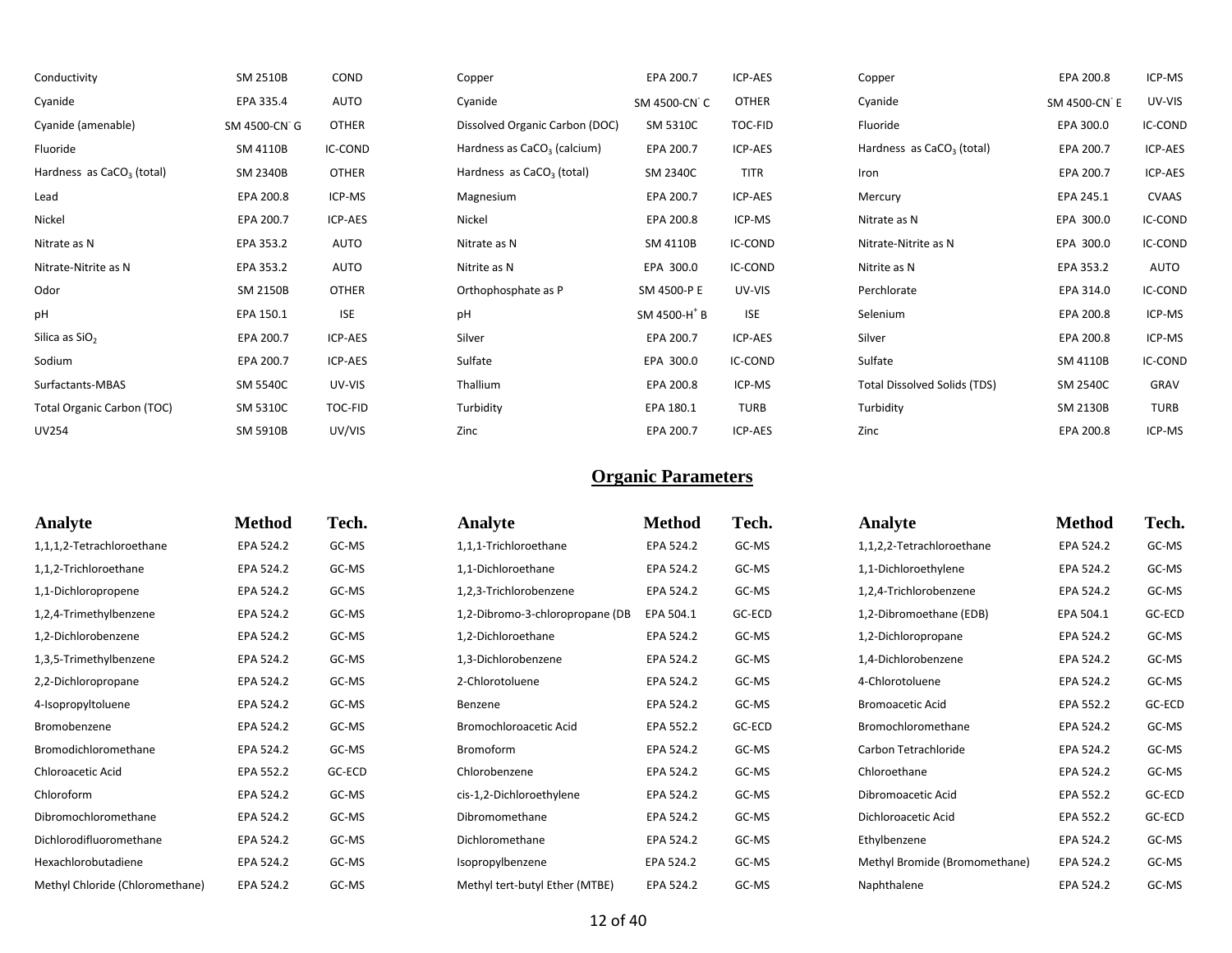| Conductivity                          | SM 2510B     | COND         | Copper                                  | EPA 200.7                | ICP-AES      | Copper                                | EPA 200.8    | ICP-MS       |
|---------------------------------------|--------------|--------------|-----------------------------------------|--------------------------|--------------|---------------------------------------|--------------|--------------|
| Cyanide                               | EPA 335.4    | <b>AUTO</b>  | Cyanide                                 | SM 4500-CN C             | <b>OTHER</b> | Cyanide                               | SM 4500-CN E | UV-VIS       |
| Cyanide (amenable)                    | SM 4500-CN G | <b>OTHER</b> | Dissolved Organic Carbon (DOC)          | SM 5310C                 | TOC-FID      | Fluoride                              | EPA 300.0    | IC-COND      |
| Fluoride                              | SM 4110B     | IC-COND      | Hardness as CaCO <sub>3</sub> (calcium) | EPA 200.7                | ICP-AES      | Hardness as CaCO <sub>3</sub> (total) | EPA 200.7    | ICP-AES      |
| Hardness as CaCO <sub>3</sub> (total) | SM 2340B     | <b>OTHER</b> | Hardness as $CaCO3$ (total)             | SM 2340C                 | TITR         | Iron                                  | EPA 200.7    | ICP-AES      |
| Lead                                  | EPA 200.8    | ICP-MS       | Magnesium                               | EPA 200.7                | ICP-AES      | Mercury                               | EPA 245.1    | <b>CVAAS</b> |
| Nickel                                | EPA 200.7    | ICP-AES      | Nickel                                  | EPA 200.8                | ICP-MS       | Nitrate as N                          | EPA 300.0    | IC-COND      |
| Nitrate as N                          | EPA 353.2    | AUTO         | Nitrate as N                            | SM 4110B                 | IC-COND      | Nitrate-Nitrite as N                  | EPA 300.0    | IC-COND      |
| Nitrate-Nitrite as N                  | EPA 353.2    | AUTO         | Nitrite as N                            | EPA 300.0                | IC-COND      | Nitrite as N                          | EPA 353.2    | AUTO         |
| Odor                                  | SM 2150B     | <b>OTHER</b> | Orthophosphate as P                     | SM 4500-P E              | UV-VIS       | Perchlorate                           | EPA 314.0    | IC-COND      |
| pH                                    | EPA 150.1    | <b>ISE</b>   | pH                                      | SM 4500-H <sup>+</sup> B | <b>ISE</b>   | Selenium                              | EPA 200.8    | ICP-MS       |
| Silica as $SiO2$                      | EPA 200.7    | ICP-AES      | Silver                                  | EPA 200.7                | ICP-AES      | Silver                                | EPA 200.8    | ICP-MS       |
| Sodium                                | EPA 200.7    | ICP-AES      | Sulfate                                 | EPA 300.0                | IC-COND      | Sulfate                               | SM 4110B     | IC-COND      |
| Surfactants-MBAS                      | SM 5540C     | UV-VIS       | Thallium                                | EPA 200.8                | ICP-MS       | Total Dissolved Solids (TDS)          | SM 2540C     | GRAV         |
| Total Organic Carbon (TOC)            | SM 5310C     | TOC-FID      | Turbidity                               | EPA 180.1                | <b>TURB</b>  | Turbidity                             | SM 2130B     | <b>TURB</b>  |
| <b>UV254</b>                          | SM 5910B     | UV/VIS       | Zinc                                    | EPA 200.7                | ICP-AES      | Zinc                                  | EPA 200.8    | ICP-MS       |

| Analyte                         | <b>Method</b> | Tech.  | <b>Analyte</b>                  | <b>Method</b> | Tech.  | Analyte                       | <b>Method</b> | Tech.  |
|---------------------------------|---------------|--------|---------------------------------|---------------|--------|-------------------------------|---------------|--------|
| 1,1,1,2-Tetrachloroethane       | EPA 524.2     | GC-MS  | 1,1,1-Trichloroethane           | EPA 524.2     | GC-MS  | 1,1,2,2-Tetrachloroethane     | EPA 524.2     | GC-MS  |
| 1,1,2-Trichloroethane           | EPA 524.2     | GC-MS  | 1,1-Dichloroethane              | EPA 524.2     | GC-MS  | 1,1-Dichloroethylene          | EPA 524.2     | GC-MS  |
| 1,1-Dichloropropene             | EPA 524.2     | GC-MS  | 1,2,3-Trichlorobenzene          | EPA 524.2     | GC-MS  | 1,2,4-Trichlorobenzene        | EPA 524.2     | GC-MS  |
| 1,2,4-Trimethylbenzene          | EPA 524.2     | GC-MS  | 1,2-Dibromo-3-chloropropane (DB | EPA 504.1     | GC-ECD | 1,2-Dibromoethane (EDB)       | EPA 504.1     | GC-ECD |
| 1,2-Dichlorobenzene             | EPA 524.2     | GC-MS  | 1,2-Dichloroethane              | EPA 524.2     | GC-MS  | 1,2-Dichloropropane           | EPA 524.2     | GC-MS  |
| 1,3,5-Trimethylbenzene          | EPA 524.2     | GC-MS  | 1,3-Dichlorobenzene             | EPA 524.2     | GC-MS  | 1,4-Dichlorobenzene           | EPA 524.2     | GC-MS  |
| 2,2-Dichloropropane             | EPA 524.2     | GC-MS  | 2-Chlorotoluene                 | EPA 524.2     | GC-MS  | 4-Chlorotoluene               | EPA 524.2     | GC-MS  |
| 4-Isopropyltoluene              | EPA 524.2     | GC-MS  | Benzene                         | EPA 524.2     | GC-MS  | <b>Bromoacetic Acid</b>       | EPA 552.2     | GC-ECD |
| Bromobenzene                    | EPA 524.2     | GC-MS  | Bromochloroacetic Acid          | EPA 552.2     | GC-ECD | Bromochloromethane            | EPA 524.2     | GC-MS  |
| Bromodichloromethane            | EPA 524.2     | GC-MS  | Bromoform                       | EPA 524.2     | GC-MS  | Carbon Tetrachloride          | EPA 524.2     | GC-MS  |
| Chloroacetic Acid               | EPA 552.2     | GC-ECD | Chlorobenzene                   | EPA 524.2     | GC-MS  | Chloroethane                  | EPA 524.2     | GC-MS  |
| Chloroform                      | EPA 524.2     | GC-MS  | cis-1,2-Dichloroethylene        | EPA 524.2     | GC-MS  | Dibromoacetic Acid            | EPA 552.2     | GC-ECD |
| Dibromochloromethane            | EPA 524.2     | GC-MS  | Dibromomethane                  | EPA 524.2     | GC-MS  | Dichloroacetic Acid           | EPA 552.2     | GC-ECD |
| Dichlorodifluoromethane         | EPA 524.2     | GC-MS  | Dichloromethane                 | EPA 524.2     | GC-MS  | Ethylbenzene                  | EPA 524.2     | GC-MS  |
| Hexachlorobutadiene             | EPA 524.2     | GC-MS  | Isopropylbenzene                | EPA 524.2     | GC-MS  | Methyl Bromide (Bromomethane) | EPA 524.2     | GC-MS  |
| Methyl Chloride (Chloromethane) | EPA 524.2     | GC-MS  | Methyl tert-butyl Ether (MTBE)  | EPA 524.2     | GC-MS  | Naphthalene                   | EPA 524.2     | GC-MS  |
|                                 |               |        |                                 |               |        |                               |               |        |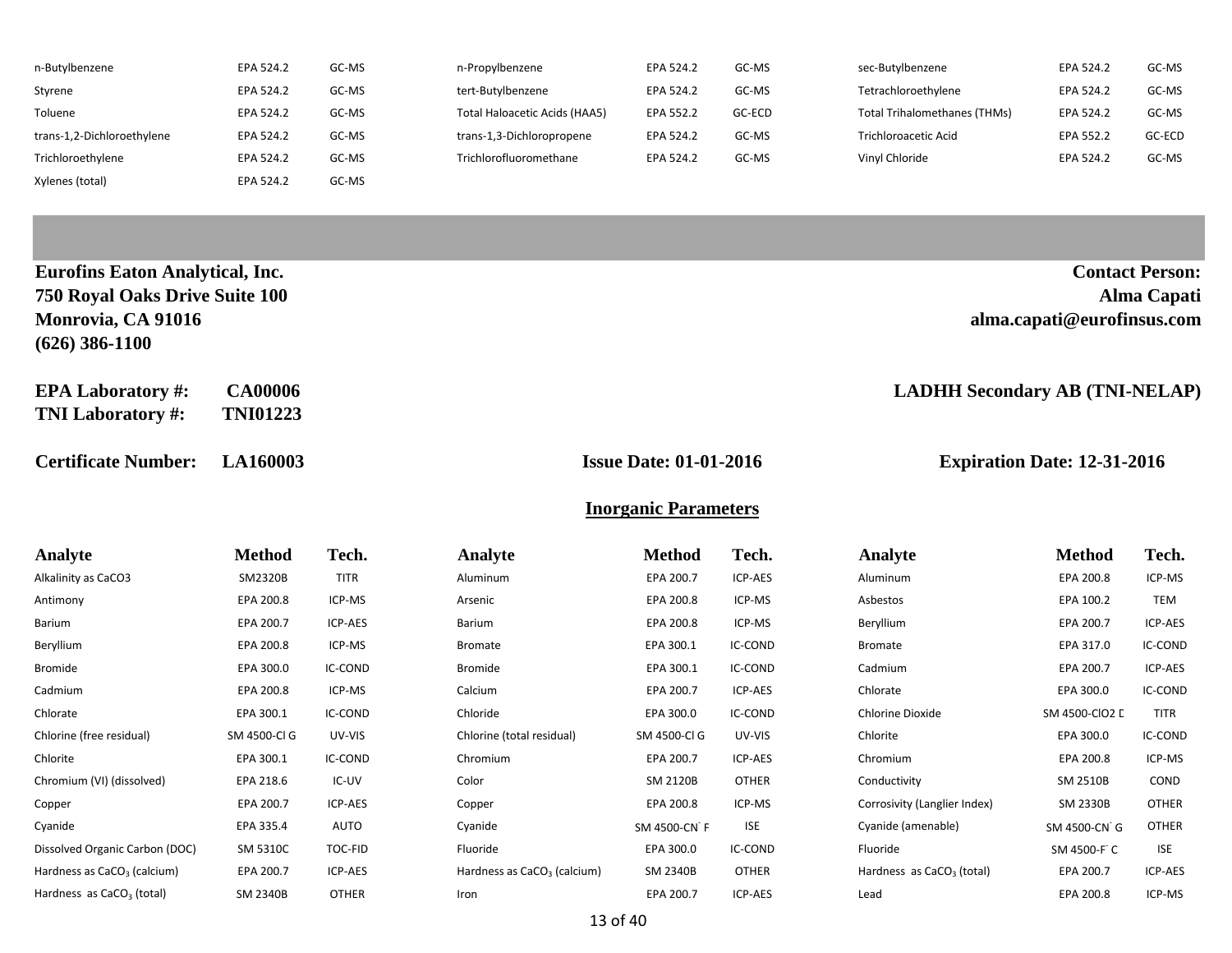| n-Butylbenzene             | EPA 524.2 | GC-MS | n-Propylbenzene               | EPA 524.2 | GC-MS  | sec-Butylbenzene                    | EPA 524.2 | GC-MS  |
|----------------------------|-----------|-------|-------------------------------|-----------|--------|-------------------------------------|-----------|--------|
| Styrene                    | EPA 524.2 | GC-MS | tert-Butylbenzene             | EPA 524.2 | GC-MS  | Tetrachloroethylene                 | EPA 524.2 | GC-MS  |
| Toluene                    | EPA 524.2 | GC-MS | Total Haloacetic Acids (HAA5) | EPA 552.2 | GC-ECD | <b>Total Trihalomethanes (THMs)</b> | EPA 524.2 | GC-MS  |
| trans-1,2-Dichloroethylene | EPA 524.2 | GC-MS | trans-1,3-Dichloropropene     | EPA 524.2 | GC-MS  | Trichloroacetic Acid                | EPA 552.2 | GC-ECD |
| Trichloroethylene          | EPA 524.2 | GC-MS | Trichlorofluoromethane        | EPA 524.2 | GC-MS  | Vinyl Chloride                      | EPA 524.2 | GC-MS  |
| Xylenes (total)            | EPA 524.2 | GC-MS |                               |           |        |                                     |           |        |

| <b>Eurofins Eaton Analytical, Inc.</b> |                 |                               | <b>Contact Person:</b>                |
|----------------------------------------|-----------------|-------------------------------|---------------------------------------|
| 750 Royal Oaks Drive Suite 100         |                 |                               | Alma Capati                           |
| Monrovia, CA 91016                     |                 |                               | alma.capati@eurofinsus.com            |
| $(626)$ 386-1100                       |                 |                               |                                       |
| <b>EPA Laboratory #:</b>               | <b>CA00006</b>  |                               | <b>LADHH Secondary AB (TNI-NELAP)</b> |
| <b>TNI Laboratory #:</b>               | <b>TNI01223</b> |                               |                                       |
|                                        |                 |                               |                                       |
| <b>Certificate Number:</b>             | <b>LA160003</b> | <b>Issue Date: 01-01-2016</b> | <b>Expiration Date: 12-31-2016</b>    |

**Inorganic Parameters**

| Analyte                                 | Method       | Tech.        | Analyte                       | <b>Method</b> | Tech.        | Analyte                      | <b>Method</b>  | Tech.        |
|-----------------------------------------|--------------|--------------|-------------------------------|---------------|--------------|------------------------------|----------------|--------------|
| Alkalinity as CaCO3                     | SM2320B      | <b>TITR</b>  | Aluminum                      | EPA 200.7     | ICP-AES      | Aluminum                     | EPA 200.8      | ICP-MS       |
| Antimony                                | EPA 200.8    | ICP-MS       | Arsenic                       | EPA 200.8     | ICP-MS       | Asbestos                     | EPA 100.2      | TEM          |
| Barium                                  | EPA 200.7    | ICP-AES      | Barium                        | EPA 200.8     | ICP-MS       | Beryllium                    | EPA 200.7      | ICP-AES      |
| Beryllium                               | EPA 200.8    | ICP-MS       | Bromate                       | EPA 300.1     | IC-COND      | Bromate                      | EPA 317.0      | IC-COND      |
| <b>Bromide</b>                          | EPA 300.0    | IC-COND      | Bromide                       | EPA 300.1     | IC-COND      | Cadmium                      | EPA 200.7      | ICP-AES      |
| Cadmium                                 | EPA 200.8    | ICP-MS       | Calcium                       | EPA 200.7     | ICP-AES      | Chlorate                     | EPA 300.0      | IC-COND      |
| Chlorate                                | EPA 300.1    | IC-COND      | Chloride                      | EPA 300.0     | IC-COND      | Chlorine Dioxide             | SM 4500-CIO2 L | <b>TITR</b>  |
| Chlorine (free residual)                | SM 4500-Cl G | UV-VIS       | Chlorine (total residual)     | SM 4500-Cl G  | UV-VIS       | Chlorite                     | EPA 300.0      | IC-COND      |
| Chlorite                                | EPA 300.1    | IC-COND      | Chromium                      | EPA 200.7     | ICP-AES      | Chromium                     | EPA 200.8      | ICP-MS       |
| Chromium (VI) (dissolved)               | EPA 218.6    | IC-UV        | Color                         | SM 2120B      | <b>OTHER</b> | Conductivity                 | SM 2510B       | COND         |
| Copper                                  | EPA 200.7    | ICP-AES      | Copper                        | EPA 200.8     | ICP-MS       | Corrosivity (Langlier Index) | SM 2330B       | <b>OTHER</b> |
| Cyanide                                 | EPA 335.4    | AUTO         | Cyanide                       | SM 4500-CN F  | <b>ISE</b>   | Cyanide (amenable)           | SM 4500-CN G   | <b>OTHER</b> |
| Dissolved Organic Carbon (DOC)          | SM 5310C     | TOC-FID      | Fluoride                      | EPA 300.0     | IC-COND      | Fluoride                     | SM 4500-F C    | <b>ISE</b>   |
| Hardness as CaCO <sub>3</sub> (calcium) | EPA 200.7    | ICP-AES      | Hardness as $CaCO3$ (calcium) | SM 2340B      | <b>OTHER</b> | Hardness as $CaCO3$ (total)  | EPA 200.7      | ICP-AES      |
| Hardness as CaCO <sub>3</sub> (total)   | SM 2340B     | <b>OTHER</b> | Iron                          | EPA 200.7     | ICP-AES      | Lead                         | EPA 200.8      | ICP-MS       |
|                                         |              |              |                               |               |              |                              |                |              |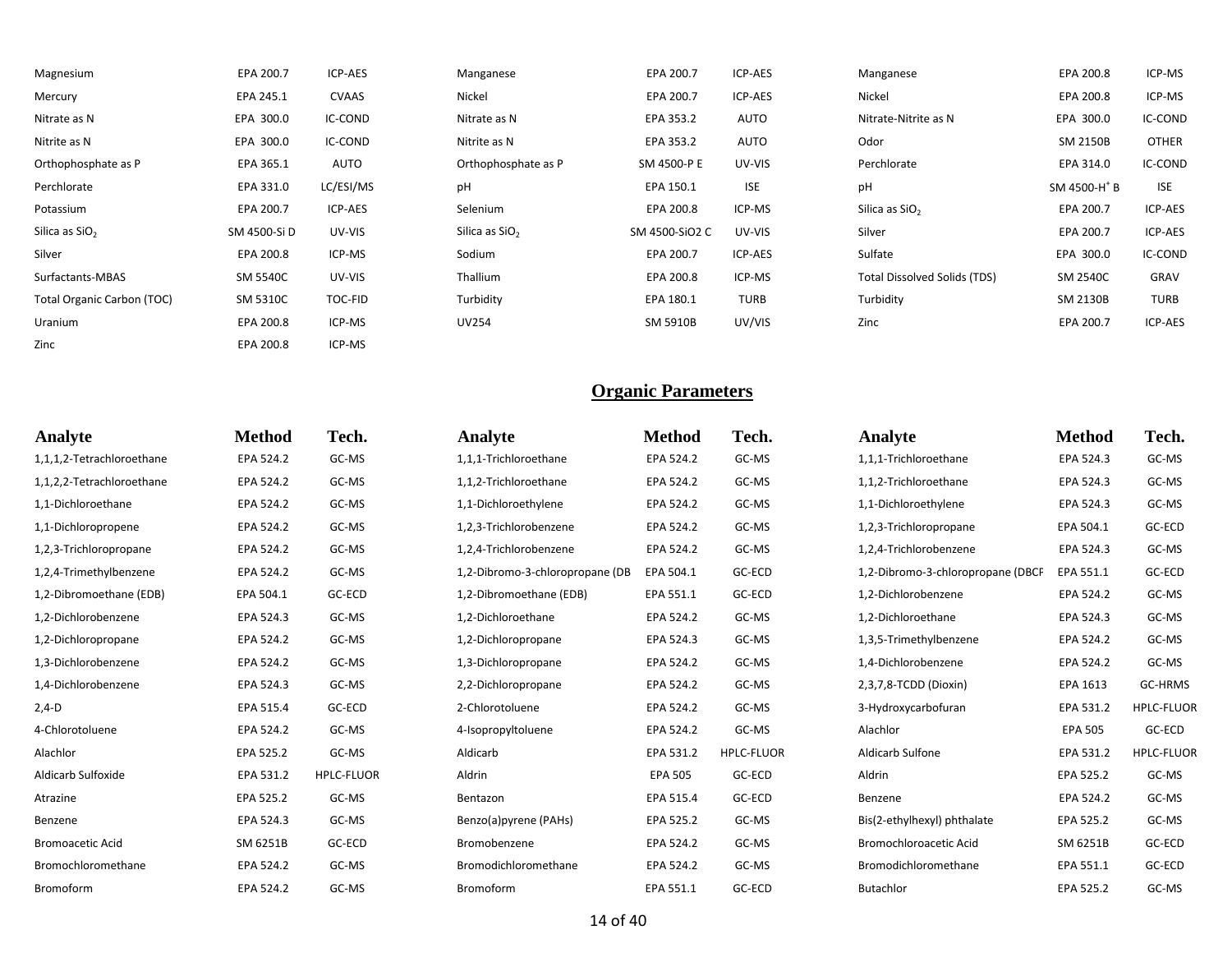| EPA 200.7    | <b>ICP-AES</b> | Manganese                  | EPA 200.7      | ICP-AES     | Manganese                           | EPA 200.8                | ICP-MS       |
|--------------|----------------|----------------------------|----------------|-------------|-------------------------------------|--------------------------|--------------|
| EPA 245.1    | <b>CVAAS</b>   | Nickel                     | EPA 200.7      | ICP-AES     | Nickel                              | EPA 200.8                | ICP-MS       |
| EPA 300.0    | IC-COND        | Nitrate as N               | EPA 353.2      | AUTO        | Nitrate-Nitrite as N                | EPA 300.0                | IC-COND      |
| EPA 300.0    | IC-COND        | Nitrite as N               | EPA 353.2      | AUTO        | Odor                                | SM 2150B                 | <b>OTHER</b> |
| EPA 365.1    | AUTO           | Orthophosphate as P        | SM 4500-P E    | UV-VIS      | Perchlorate                         | EPA 314.0                | IC-COND      |
| EPA 331.0    | LC/ESI/MS      | рH                         | EPA 150.1      | <b>ISE</b>  | pH                                  | SM 4500-H <sup>+</sup> B | <b>ISE</b>   |
| EPA 200.7    | ICP-AES        | Selenium                   | EPA 200.8      | ICP-MS      | Silica as SiO <sub>2</sub>          | EPA 200.7                | ICP-AES      |
| SM 4500-Si D | UV-VIS         | Silica as SiO <sub>2</sub> | SM 4500-SiO2 C | UV-VIS      | Silver                              | EPA 200.7                | ICP-AES      |
| EPA 200.8    | ICP-MS         | Sodium                     | EPA 200.7      | ICP-AES     | Sulfate                             | EPA 300.0                | IC-COND      |
| SM 5540C     | UV-VIS         | Thallium                   | EPA 200.8      | ICP-MS      | <b>Total Dissolved Solids (TDS)</b> | SM 2540C                 | GRAV         |
| SM 5310C     | TOC-FID        | Turbidity                  | EPA 180.1      | <b>TURB</b> | Turbidity                           | SM 2130B                 | TURB         |
| EPA 200.8    | ICP-MS         | <b>UV254</b>               | SM 5910B       | UV/VIS      | Zinc                                | EPA 200.7                | ICP-AES      |
|              |                |                            |                |             |                                     |                          |              |

Zinc **EPA 200.8** ICP-MS

| Analyte                   | <b>Method</b> | Tech.             | <b>Analyte</b>                  | <b>Method</b>  | Tech.             | Analyte                           | <b>Method</b>  | Tech.             |
|---------------------------|---------------|-------------------|---------------------------------|----------------|-------------------|-----------------------------------|----------------|-------------------|
| 1,1,1,2-Tetrachloroethane | EPA 524.2     | GC-MS             | 1,1,1-Trichloroethane           | EPA 524.2      | GC-MS             | 1,1,1-Trichloroethane             | EPA 524.3      | GC-MS             |
| 1,1,2,2-Tetrachloroethane | EPA 524.2     | GC-MS             | 1,1,2-Trichloroethane           | EPA 524.2      | GC-MS             | 1,1,2-Trichloroethane             | EPA 524.3      | GC-MS             |
| 1,1-Dichloroethane        | EPA 524.2     | GC-MS             | 1,1-Dichloroethylene            | EPA 524.2      | GC-MS             | 1,1-Dichloroethylene              | EPA 524.3      | GC-MS             |
| 1,1-Dichloropropene       | EPA 524.2     | GC-MS             | 1,2,3-Trichlorobenzene          | EPA 524.2      | GC-MS             | 1,2,3-Trichloropropane            | EPA 504.1      | GC-ECD            |
| 1,2,3-Trichloropropane    | EPA 524.2     | GC-MS             | 1,2,4-Trichlorobenzene          | EPA 524.2      | GC-MS             | 1,2,4-Trichlorobenzene            | EPA 524.3      | GC-MS             |
| 1,2,4-Trimethylbenzene    | EPA 524.2     | GC-MS             | 1,2-Dibromo-3-chloropropane (DB | EPA 504.1      | GC-ECD            | 1,2-Dibromo-3-chloropropane (DBCP | EPA 551.1      | GC-ECD            |
| 1,2-Dibromoethane (EDB)   | EPA 504.1     | GC-ECD            | 1,2-Dibromoethane (EDB)         | EPA 551.1      | GC-ECD            | 1,2-Dichlorobenzene               | EPA 524.2      | GC-MS             |
| 1,2-Dichlorobenzene       | EPA 524.3     | GC-MS             | 1,2-Dichloroethane              | EPA 524.2      | GC-MS             | 1.2-Dichloroethane                | EPA 524.3      | GC-MS             |
| 1,2-Dichloropropane       | EPA 524.2     | GC-MS             | 1,2-Dichloropropane             | EPA 524.3      | GC-MS             | 1,3,5-Trimethylbenzene            | EPA 524.2      | GC-MS             |
| 1,3-Dichlorobenzene       | EPA 524.2     | GC-MS             | 1,3-Dichloropropane             | EPA 524.2      | GC-MS             | 1,4-Dichlorobenzene               | EPA 524.2      | GC-MS             |
| 1,4-Dichlorobenzene       | EPA 524.3     | GC-MS             | 2,2-Dichloropropane             | EPA 524.2      | GC-MS             | 2,3,7,8-TCDD (Dioxin)             | EPA 1613       | GC-HRMS           |
| $2,4-D$                   | EPA 515.4     | GC-ECD            | 2-Chlorotoluene                 | EPA 524.2      | GC-MS             | 3-Hydroxycarbofuran               | EPA 531.2      | <b>HPLC-FLUOR</b> |
| 4-Chlorotoluene           | EPA 524.2     | GC-MS             | 4-Isopropyltoluene              | EPA 524.2      | GC-MS             | Alachlor                          | <b>EPA 505</b> | GC-ECD            |
| Alachlor                  | EPA 525.2     | GC-MS             | Aldicarb                        | EPA 531.2      | <b>HPLC-FLUOR</b> | Aldicarb Sulfone                  | EPA 531.2      | HPLC-FLUOR        |
| Aldicarb Sulfoxide        | EPA 531.2     | <b>HPLC-FLUOR</b> | Aldrin                          | <b>EPA 505</b> | GC-ECD            | Aldrin                            | EPA 525.2      | GC-MS             |
| Atrazine                  | EPA 525.2     | GC-MS             | Bentazon                        | EPA 515.4      | GC-ECD            | Benzene                           | EPA 524.2      | GC-MS             |
| Benzene                   | EPA 524.3     | GC-MS             | Benzo(a)pyrene (PAHs)           | EPA 525.2      | GC-MS             | Bis(2-ethylhexyl) phthalate       | EPA 525.2      | GC-MS             |
| <b>Bromoacetic Acid</b>   | SM 6251B      | GC-ECD            | Bromobenzene                    | EPA 524.2      | GC-MS             | Bromochloroacetic Acid            | SM 6251B       | GC-ECD            |
| Bromochloromethane        | EPA 524.2     | GC-MS             | Bromodichloromethane            | EPA 524.2      | GC-MS             | Bromodichloromethane              | EPA 551.1      | GC-ECD            |
| Bromoform                 | EPA 524.2     | GC-MS             | Bromoform                       | EPA 551.1      | GC-ECD            | Butachlor                         | EPA 525.2      | GC-MS             |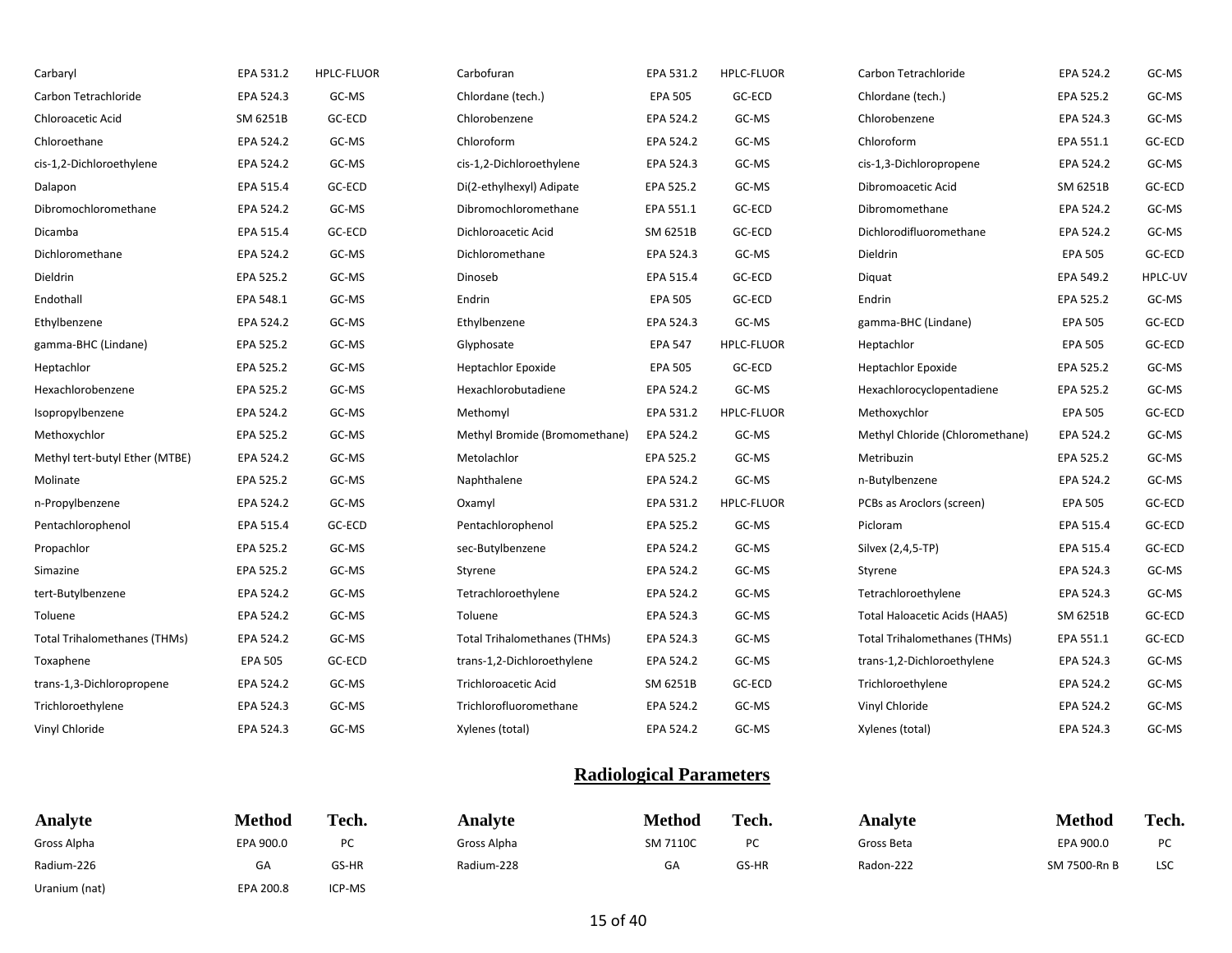| Carbaryl                       | EPA 531.2      | <b>HPLC-FLUOR</b> | Carbofuran                          | EPA 531.2      | <b>HPLC-FLUOR</b> | Carbon Tetrachloride                | EPA 524.2      | GC-MS   |
|--------------------------------|----------------|-------------------|-------------------------------------|----------------|-------------------|-------------------------------------|----------------|---------|
| Carbon Tetrachloride           | EPA 524.3      | GC-MS             | Chlordane (tech.)                   | <b>EPA 505</b> | GC-ECD            | Chlordane (tech.)                   | EPA 525.2      | GC-MS   |
| Chloroacetic Acid              | SM 6251B       | GC-ECD            | Chlorobenzene                       | EPA 524.2      | GC-MS             | Chlorobenzene                       | EPA 524.3      | GC-MS   |
| Chloroethane                   | EPA 524.2      | GC-MS             | Chloroform                          | EPA 524.2      | GC-MS             | Chloroform                          | EPA 551.1      | GC-ECD  |
| cis-1,2-Dichloroethylene       | EPA 524.2      | GC-MS             | cis-1,2-Dichloroethylene            | EPA 524.3      | GC-MS             | cis-1,3-Dichloropropene             | EPA 524.2      | GC-MS   |
| Dalapon                        | EPA 515.4      | GC-ECD            | Di(2-ethylhexyl) Adipate            | EPA 525.2      | GC-MS             | Dibromoacetic Acid                  | SM 6251B       | GC-ECD  |
| Dibromochloromethane           | EPA 524.2      | GC-MS             | Dibromochloromethane                | EPA 551.1      | GC-ECD            | Dibromomethane                      | EPA 524.2      | GC-MS   |
| Dicamba                        | EPA 515.4      | GC-ECD            | Dichloroacetic Acid                 | SM 6251B       | GC-ECD            | Dichlorodifluoromethane             | EPA 524.2      | GC-MS   |
| Dichloromethane                | EPA 524.2      | GC-MS             | Dichloromethane                     | EPA 524.3      | GC-MS             | Dieldrin                            | <b>EPA 505</b> | GC-ECD  |
| Dieldrin                       | EPA 525.2      | GC-MS             | Dinoseb                             | EPA 515.4      | GC-ECD            | Diquat                              | EPA 549.2      | HPLC-UV |
| Endothall                      | EPA 548.1      | GC-MS             | Endrin                              | <b>EPA 505</b> | GC-ECD            | Endrin                              | EPA 525.2      | GC-MS   |
| Ethylbenzene                   | EPA 524.2      | GC-MS             | Ethylbenzene                        | EPA 524.3      | GC-MS             | gamma-BHC (Lindane)                 | <b>EPA 505</b> | GC-ECD  |
| gamma-BHC (Lindane)            | EPA 525.2      | GC-MS             | Glyphosate                          | <b>EPA 547</b> | <b>HPLC-FLUOR</b> | Heptachlor                          | <b>EPA 505</b> | GC-ECD  |
| Heptachlor                     | EPA 525.2      | GC-MS             | <b>Heptachlor Epoxide</b>           | <b>EPA 505</b> | GC-ECD            | <b>Heptachlor Epoxide</b>           | EPA 525.2      | GC-MS   |
| Hexachlorobenzene              | EPA 525.2      | GC-MS             | Hexachlorobutadiene                 | EPA 524.2      | GC-MS             | Hexachlorocyclopentadiene           | EPA 525.2      | GC-MS   |
| Isopropylbenzene               | EPA 524.2      | GC-MS             | Methomyl                            | EPA 531.2      | <b>HPLC-FLUOR</b> | Methoxychlor                        | <b>EPA 505</b> | GC-ECD  |
| Methoxychlor                   | EPA 525.2      | GC-MS             | Methyl Bromide (Bromomethane)       | EPA 524.2      | GC-MS             | Methyl Chloride (Chloromethane)     | EPA 524.2      | GC-MS   |
| Methyl tert-butyl Ether (MTBE) | EPA 524.2      | GC-MS             | Metolachlor                         | EPA 525.2      | GC-MS             | Metribuzin                          | EPA 525.2      | GC-MS   |
| Molinate                       | EPA 525.2      | GC-MS             | Naphthalene                         | EPA 524.2      | GC-MS             | n-Butylbenzene                      | EPA 524.2      | GC-MS   |
| n-Propylbenzene                | EPA 524.2      | GC-MS             | Oxamyl                              | EPA 531.2      | <b>HPLC-FLUOR</b> | PCBs as Aroclors (screen)           | <b>EPA 505</b> | GC-ECD  |
| Pentachlorophenol              | EPA 515.4      | GC-ECD            | Pentachlorophenol                   | EPA 525.2      | GC-MS             | Picloram                            | EPA 515.4      | GC-ECD  |
| Propachlor                     | EPA 525.2      | GC-MS             | sec-Butylbenzene                    | EPA 524.2      | GC-MS             | Silvex (2,4,5-TP)                   | EPA 515.4      | GC-ECD  |
| Simazine                       | EPA 525.2      | GC-MS             | Styrene                             | EPA 524.2      | GC-MS             | Styrene                             | EPA 524.3      | GC-MS   |
| tert-Butylbenzene              | EPA 524.2      | GC-MS             | Tetrachloroethylene                 | EPA 524.2      | GC-MS             | Tetrachloroethylene                 | EPA 524.3      | GC-MS   |
| Toluene                        | EPA 524.2      | GC-MS             | Toluene                             | EPA 524.3      | GC-MS             | Total Haloacetic Acids (HAA5)       | SM 6251B       | GC-ECD  |
| Total Trihalomethanes (THMs)   | EPA 524.2      | GC-MS             | <b>Total Trihalomethanes (THMs)</b> | EPA 524.3      | GC-MS             | <b>Total Trihalomethanes (THMs)</b> | EPA 551.1      | GC-ECD  |
| Toxaphene                      | <b>EPA 505</b> | GC-ECD            | trans-1,2-Dichloroethylene          | EPA 524.2      | GC-MS             | trans-1,2-Dichloroethylene          | EPA 524.3      | GC-MS   |
| trans-1,3-Dichloropropene      | EPA 524.2      | GC-MS             | <b>Trichloroacetic Acid</b>         | SM 6251B       | GC-ECD            | Trichloroethylene                   | EPA 524.2      | GC-MS   |
| Trichloroethylene              | EPA 524.3      | GC-MS             | Trichlorofluoromethane              | EPA 524.2      | GC-MS             | Vinyl Chloride                      | EPA 524.2      | GC-MS   |
| Vinyl Chloride                 | EPA 524.3      | GC-MS             | Xylenes (total)                     | EPA 524.2      | GC-MS             | Xylenes (total)                     | EPA 524.3      | GC-MS   |

### **Radiological Parameters**

| <b>Analyte</b> | <b>Method</b> | Tech.  | Analvte     | <b>Method</b> | Tech. | Analyte    | <b>Method</b> | Tech.      |
|----------------|---------------|--------|-------------|---------------|-------|------------|---------------|------------|
| Gross Alpha    | EPA 900.0     | PC     | Gross Alpha | SM 7110C      | PC    | Gross Beta | EPA 900.0     | PC         |
| Radium-226     | GA            | GS-HR  | Radium-228  | GA            | GS-HR | Radon-222  | SM 7500-Rn B  | <b>LSC</b> |
| Uranium (nat)  | EPA 200.8     | ICP-MS |             |               |       |            |               |            |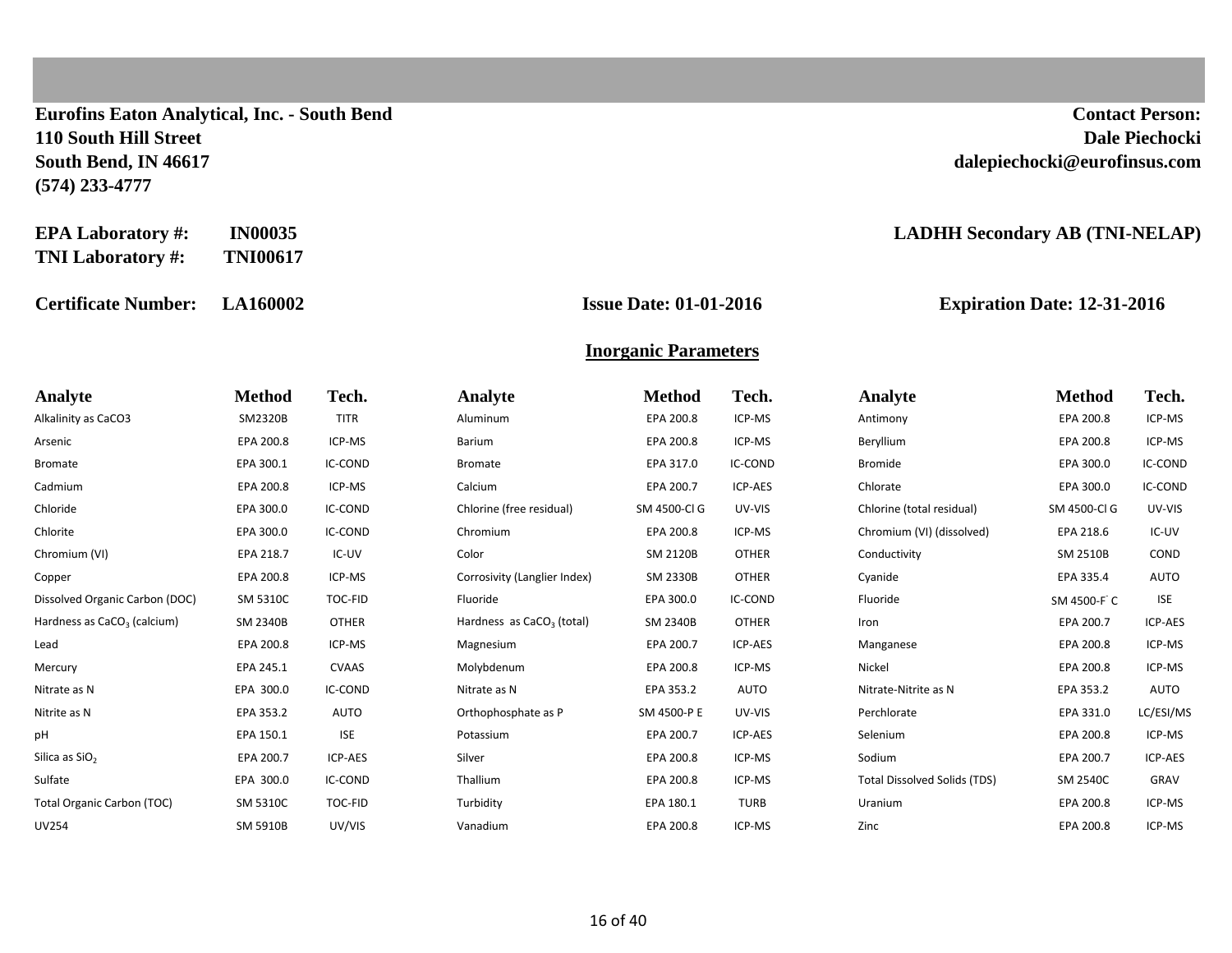**Eurofins Eaton Analytical, Inc. - South Bend Contact Person: 110 South Hill Street Dale Piechocki South Bend, IN 46617 dalepiechocki@eurofinsus.com (574) 233-4777**

| <b>EPA Laboratory #:</b> | <b>IN00035</b>  |
|--------------------------|-----------------|
| <b>TNI Laboratory #:</b> | <b>TNI00617</b> |

**Certificate Number: LA160002 Issue Date: 01-01-2016 Expiration Date: 12-31-2016**

#### **EADHH Secondary AB (TNI-NELAP)**

#### **Inorganic Parameters**

| Analyte                                 | <b>Method</b>   | Tech.          | <b>Analyte</b>               | <b>Method</b> | Tech.        | Analyte                             | <b>Method</b> | Tech.       |
|-----------------------------------------|-----------------|----------------|------------------------------|---------------|--------------|-------------------------------------|---------------|-------------|
| Alkalinity as CaCO3                     | SM2320B         | <b>TITR</b>    | Aluminum                     | EPA 200.8     | ICP-MS       | Antimony                            | EPA 200.8     | ICP-MS      |
| Arsenic                                 | EPA 200.8       | ICP-MS         | Barium                       | EPA 200.8     | ICP-MS       | Beryllium                           | EPA 200.8     | ICP-MS      |
| <b>Bromate</b>                          | EPA 300.1       | <b>IC-COND</b> | <b>Bromate</b>               | EPA 317.0     | IC-COND      | <b>Bromide</b>                      | EPA 300.0     | IC-COND     |
| Cadmium                                 | EPA 200.8       | ICP-MS         | Calcium                      | EPA 200.7     | ICP-AES      | Chlorate                            | EPA 300.0     | IC-COND     |
| Chloride                                | EPA 300.0       | IC-COND        | Chlorine (free residual)     | SM 4500-Cl G  | UV-VIS       | Chlorine (total residual)           | SM 4500-Cl G  | UV-VIS      |
| Chlorite                                | EPA 300.0       | <b>IC-COND</b> | Chromium                     | EPA 200.8     | ICP-MS       | Chromium (VI) (dissolved)           | EPA 218.6     | IC-UV       |
| Chromium (VI)                           | EPA 218.7       | IC-UV          | Color                        | SM 2120B      | <b>OTHER</b> | Conductivity                        | SM 2510B      | <b>COND</b> |
| Copper                                  | EPA 200.8       | ICP-MS         | Corrosivity (Langlier Index) | SM 2330B      | <b>OTHER</b> | Cyanide                             | EPA 335.4     | <b>AUTO</b> |
| Dissolved Organic Carbon (DOC)          | SM 5310C        | TOC-FID        | Fluoride                     | EPA 300.0     | IC-COND      | Fluoride                            | SM 4500-F C   | <b>ISE</b>  |
| Hardness as CaCO <sub>3</sub> (calcium) | <b>SM 2340B</b> | <b>OTHER</b>   | Hardness as $CaCO3$ (total)  | SM 2340B      | <b>OTHER</b> | Iron                                | EPA 200.7     | ICP-AES     |
| Lead                                    | EPA 200.8       | ICP-MS         | Magnesium                    | EPA 200.7     | ICP-AES      | Manganese                           | EPA 200.8     | ICP-MS      |
| Mercury                                 | EPA 245.1       | <b>CVAAS</b>   | Molybdenum                   | EPA 200.8     | ICP-MS       | Nickel                              | EPA 200.8     | ICP-MS      |
| Nitrate as N                            | EPA 300.0       | IC-COND        | Nitrate as N                 | EPA 353.2     | <b>AUTO</b>  | Nitrate-Nitrite as N                | EPA 353.2     | AUTO        |
| Nitrite as N                            | EPA 353.2       | AUTO           | Orthophosphate as P          | SM 4500-P E   | UV-VIS       | Perchlorate                         | EPA 331.0     | LC/ESI/MS   |
| pH                                      | EPA 150.1       | <b>ISE</b>     | Potassium                    | EPA 200.7     | ICP-AES      | Selenium                            | EPA 200.8     | ICP-MS      |
| Silica as SiO <sub>2</sub>              | EPA 200.7       | ICP-AES        | Silver                       | EPA 200.8     | ICP-MS       | Sodium                              | EPA 200.7     | ICP-AES     |
| Sulfate                                 | EPA 300.0       | <b>IC-COND</b> | Thallium                     | EPA 200.8     | ICP-MS       | <b>Total Dissolved Solids (TDS)</b> | SM 2540C      | GRAV        |
| Total Organic Carbon (TOC)              | SM 5310C        | TOC-FID        | Turbidity                    | EPA 180.1     | <b>TURB</b>  | Uranium                             | EPA 200.8     | ICP-MS      |
| <b>UV254</b>                            | <b>SM 5910B</b> | UV/VIS         | Vanadium                     | EPA 200.8     | ICP-MS       | Zinc                                | EPA 200.8     | ICP-MS      |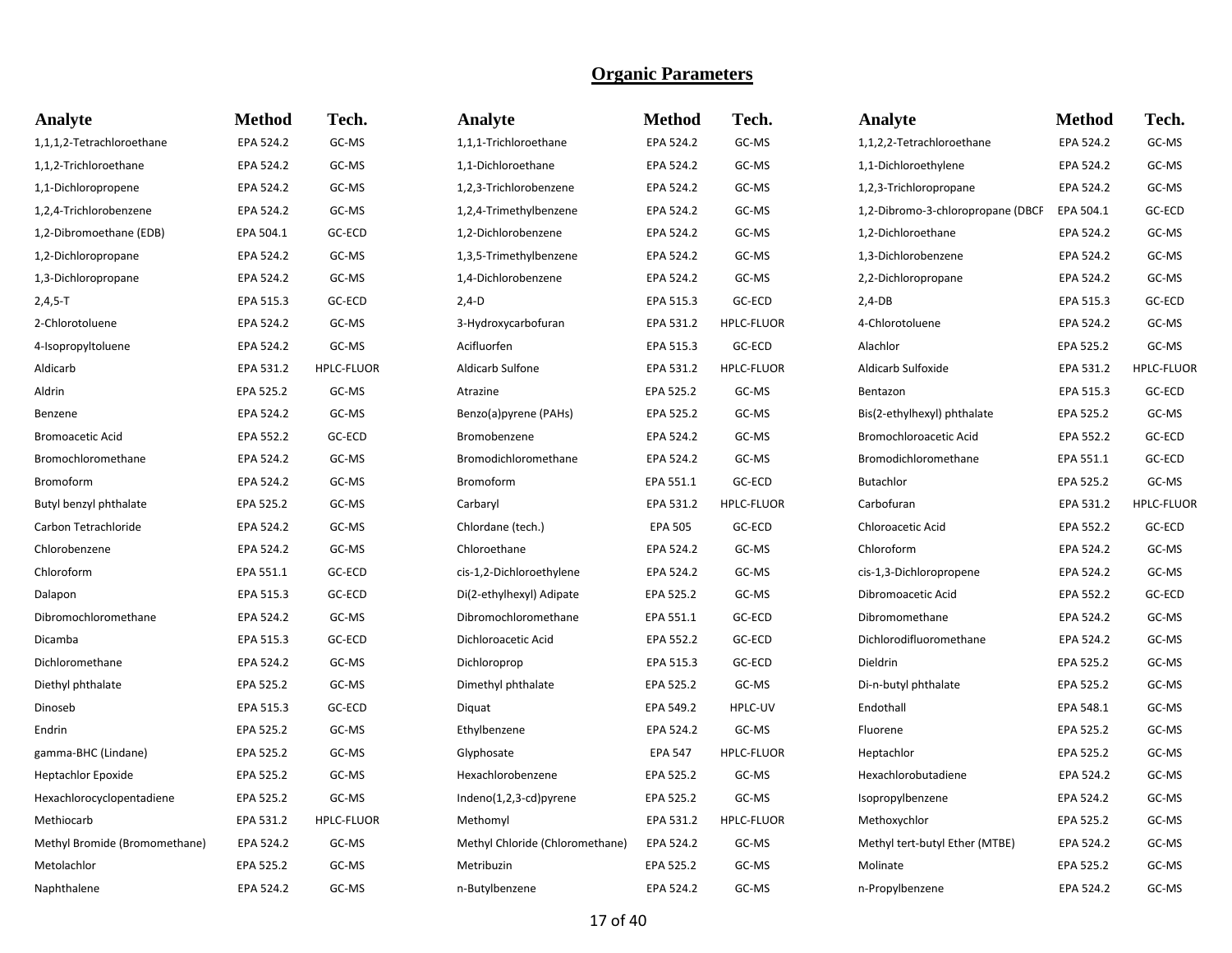| <b>Analyte</b>                | <b>Method</b> | Tech.             | Analyte                         | <b>Method</b>  | Tech.             | Analyte                           | <b>Method</b> | Tech.             |
|-------------------------------|---------------|-------------------|---------------------------------|----------------|-------------------|-----------------------------------|---------------|-------------------|
| 1,1,1,2-Tetrachloroethane     | EPA 524.2     | GC-MS             | 1,1,1-Trichloroethane           | EPA 524.2      | GC-MS             | 1,1,2,2-Tetrachloroethane         | EPA 524.2     | GC-MS             |
| 1,1,2-Trichloroethane         | EPA 524.2     | GC-MS             | 1,1-Dichloroethane              | EPA 524.2      | GC-MS             | 1,1-Dichloroethylene              | EPA 524.2     | GC-MS             |
| 1,1-Dichloropropene           | EPA 524.2     | GC-MS             | 1,2,3-Trichlorobenzene          | EPA 524.2      | GC-MS             | 1,2,3-Trichloropropane            | EPA 524.2     | GC-MS             |
| 1,2,4-Trichlorobenzene        | EPA 524.2     | GC-MS             | 1,2,4-Trimethylbenzene          | EPA 524.2      | GC-MS             | 1,2-Dibromo-3-chloropropane (DBCP | EPA 504.1     | GC-ECD            |
| 1,2-Dibromoethane (EDB)       | EPA 504.1     | GC-ECD            | 1,2-Dichlorobenzene             | EPA 524.2      | GC-MS             | 1,2-Dichloroethane                | EPA 524.2     | GC-MS             |
| 1,2-Dichloropropane           | EPA 524.2     | GC-MS             | 1,3,5-Trimethylbenzene          | EPA 524.2      | GC-MS             | 1,3-Dichlorobenzene               | EPA 524.2     | GC-MS             |
| 1,3-Dichloropropane           | EPA 524.2     | GC-MS             | 1,4-Dichlorobenzene             | EPA 524.2      | GC-MS             | 2,2-Dichloropropane               | EPA 524.2     | GC-MS             |
| $2,4,5-T$                     | EPA 515.3     | GC-ECD            | $2,4-D$                         | EPA 515.3      | GC-ECD            | $2,4-DB$                          | EPA 515.3     | GC-ECD            |
| 2-Chlorotoluene               | EPA 524.2     | GC-MS             | 3-Hydroxycarbofuran             | EPA 531.2      | <b>HPLC-FLUOR</b> | 4-Chlorotoluene                   | EPA 524.2     | GC-MS             |
| 4-Isopropyltoluene            | EPA 524.2     | GC-MS             | Acifluorfen                     | EPA 515.3      | GC-ECD            | Alachlor                          | EPA 525.2     | GC-MS             |
| Aldicarb                      | EPA 531.2     | <b>HPLC-FLUOR</b> | Aldicarb Sulfone                | EPA 531.2      | <b>HPLC-FLUOR</b> | Aldicarb Sulfoxide                | EPA 531.2     | <b>HPLC-FLUOR</b> |
| Aldrin                        | EPA 525.2     | GC-MS             | Atrazine                        | EPA 525.2      | GC-MS             | Bentazon                          | EPA 515.3     | GC-ECD            |
| Benzene                       | EPA 524.2     | GC-MS             | Benzo(a)pyrene (PAHs)           | EPA 525.2      | GC-MS             | Bis(2-ethylhexyl) phthalate       | EPA 525.2     | GC-MS             |
| <b>Bromoacetic Acid</b>       | EPA 552.2     | GC-ECD            | Bromobenzene                    | EPA 524.2      | GC-MS             | <b>Bromochloroacetic Acid</b>     | EPA 552.2     | GC-ECD            |
| Bromochloromethane            | EPA 524.2     | GC-MS             | Bromodichloromethane            | EPA 524.2      | GC-MS             | Bromodichloromethane              | EPA 551.1     | GC-ECD            |
| Bromoform                     | EPA 524.2     | GC-MS             | Bromoform                       | EPA 551.1      | GC-ECD            | Butachlor                         | EPA 525.2     | GC-MS             |
| Butyl benzyl phthalate        | EPA 525.2     | GC-MS             | Carbaryl                        | EPA 531.2      | <b>HPLC-FLUOR</b> | Carbofuran                        | EPA 531.2     | HPLC-FLUOR        |
| Carbon Tetrachloride          | EPA 524.2     | GC-MS             | Chlordane (tech.)               | <b>EPA 505</b> | GC-ECD            | Chloroacetic Acid                 | EPA 552.2     | GC-ECD            |
| Chlorobenzene                 | EPA 524.2     | GC-MS             | Chloroethane                    | EPA 524.2      | GC-MS             | Chloroform                        | EPA 524.2     | GC-MS             |
| Chloroform                    | EPA 551.1     | GC-ECD            | cis-1,2-Dichloroethylene        | EPA 524.2      | GC-MS             | cis-1,3-Dichloropropene           | EPA 524.2     | GC-MS             |
| Dalapon                       | EPA 515.3     | GC-ECD            | Di(2-ethylhexyl) Adipate        | EPA 525.2      | GC-MS             | Dibromoacetic Acid                | EPA 552.2     | GC-ECD            |
| Dibromochloromethane          | EPA 524.2     | GC-MS             | Dibromochloromethane            | EPA 551.1      | GC-ECD            | Dibromomethane                    | EPA 524.2     | GC-MS             |
| Dicamba                       | EPA 515.3     | GC-ECD            | Dichloroacetic Acid             | EPA 552.2      | GC-ECD            | Dichlorodifluoromethane           | EPA 524.2     | GC-MS             |
| Dichloromethane               | EPA 524.2     | GC-MS             | Dichloroprop                    | EPA 515.3      | GC-ECD            | Dieldrin                          | EPA 525.2     | GC-MS             |
| Diethyl phthalate             | EPA 525.2     | GC-MS             | Dimethyl phthalate              | EPA 525.2      | GC-MS             | Di-n-butyl phthalate              | EPA 525.2     | GC-MS             |
| Dinoseb                       | EPA 515.3     | GC-ECD            | Diquat                          | EPA 549.2      | HPLC-UV           | Endothall                         | EPA 548.1     | GC-MS             |
| Endrin                        | EPA 525.2     | GC-MS             | Ethylbenzene                    | EPA 524.2      | GC-MS             | Fluorene                          | EPA 525.2     | GC-MS             |
| gamma-BHC (Lindane)           | EPA 525.2     | GC-MS             | Glyphosate                      | <b>EPA 547</b> | <b>HPLC-FLUOR</b> | Heptachlor                        | EPA 525.2     | GC-MS             |
| Heptachlor Epoxide            | EPA 525.2     | GC-MS             | Hexachlorobenzene               | EPA 525.2      | GC-MS             | Hexachlorobutadiene               | EPA 524.2     | GC-MS             |
| Hexachlorocyclopentadiene     | EPA 525.2     | GC-MS             | Indeno(1,2,3-cd)pyrene          | EPA 525.2      | GC-MS             | Isopropylbenzene                  | EPA 524.2     | GC-MS             |
| Methiocarb                    | EPA 531.2     | <b>HPLC-FLUOR</b> | Methomyl                        | EPA 531.2      | <b>HPLC-FLUOR</b> | Methoxychlor                      | EPA 525.2     | GC-MS             |
| Methyl Bromide (Bromomethane) | EPA 524.2     | GC-MS             | Methyl Chloride (Chloromethane) | EPA 524.2      | GC-MS             | Methyl tert-butyl Ether (MTBE)    | EPA 524.2     | GC-MS             |
| Metolachlor                   | EPA 525.2     | GC-MS             | Metribuzin                      | EPA 525.2      | GC-MS             | Molinate                          | EPA 525.2     | GC-MS             |
| Naphthalene                   | EPA 524.2     | GC-MS             | n-Butylbenzene                  | EPA 524.2      | GC-MS             | n-Propylbenzene                   | EPA 524.2     | GC-MS             |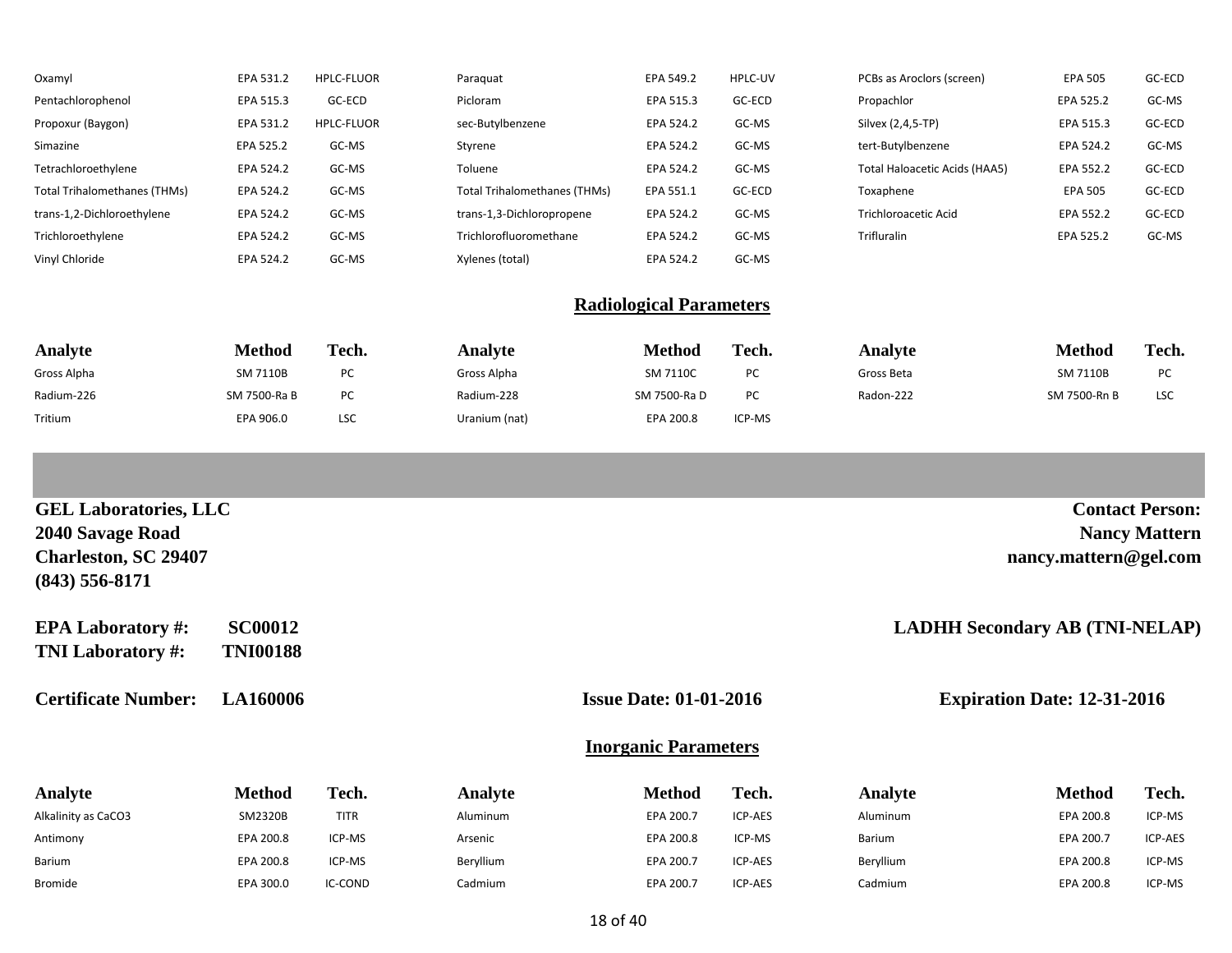| Oxamyl                       | EPA 531.2 | <b>HPLC-FLUOR</b> | Paraguat                            | EPA 549.2 | HPLC-UV | PCBs as Aroclors (screen)     | <b>EPA 505</b> | GC-ECD |
|------------------------------|-----------|-------------------|-------------------------------------|-----------|---------|-------------------------------|----------------|--------|
| Pentachlorophenol            | EPA 515.3 | GC-ECD            | Picloram                            | EPA 515.3 | GC-ECD  | Propachlor                    | EPA 525.2      | GC-MS  |
| Propoxur (Baygon)            | EPA 531.2 | <b>HPLC-FLUOR</b> | sec-Butylbenzene                    | EPA 524.2 | GC-MS   | Silvex (2,4,5-TP)             | EPA 515.3      | GC-ECD |
| Simazine                     | EPA 525.2 | GC-MS             | Styrene                             | EPA 524.2 | GC-MS   | tert-Butylbenzene             | EPA 524.2      | GC-MS  |
| Tetrachloroethylene          | EPA 524.2 | GC-MS             | Toluene                             | EPA 524.2 | GC-MS   | Total Haloacetic Acids (HAA5) | EPA 552.2      | GC-ECD |
| Total Trihalomethanes (THMs) | EPA 524.2 | GC-MS             | <b>Total Trihalomethanes (THMs)</b> | EPA 551.1 | GC-ECD  | Toxaphene                     | <b>EPA 505</b> | GC-ECD |
| trans-1,2-Dichloroethylene   | EPA 524.2 | GC-MS             | trans-1,3-Dichloropropene           | EPA 524.2 | GC-MS   | <b>Trichloroacetic Acid</b>   | EPA 552.2      | GC-ECD |
| Trichloroethylene            | EPA 524.2 | GC-MS             | Trichlorofluoromethane              | EPA 524.2 | GC-MS   | Trifluralin                   | EPA 525.2      | GC-MS  |
| Vinyl Chloride               | EPA 524.2 | GC-MS             | Xylenes (total)                     | EPA 524.2 | GC-MS   |                               |                |        |

#### **Radiological Parameters**

| Analyte     | <b>Method</b>   | Tech. | Analvte       | Method       | Tech.  | Analyte    | Method       | Tech.      |
|-------------|-----------------|-------|---------------|--------------|--------|------------|--------------|------------|
| Gross Alpha | <b>SM 7110B</b> | PC    | Gross Alpha   | SM 7110C     | PC     | Gross Beta | SM 7110B     | PC         |
| Radium-226  | SM 7500-Ra B    | PC    | Radium-228    | SM 7500-Ra D | PC     | Radon-222  | SM 7500-Rn B | <b>LSC</b> |
| Tritium     | EPA 906.0       | LSC   | Uranium (nat) | EPA 200.8    | ICP-MS |            |              |            |

| <b>GEL Laboratories, LLC</b>                         |                                   |             |           |                               |                |           |                                       | <b>Contact Person:</b> |
|------------------------------------------------------|-----------------------------------|-------------|-----------|-------------------------------|----------------|-----------|---------------------------------------|------------------------|
| 2040 Savage Road                                     |                                   |             |           |                               |                |           |                                       | <b>Nancy Mattern</b>   |
| <b>Charleston, SC 29407</b><br>$(843)$ 556-8171      |                                   |             |           |                               |                |           | nancy.mattern@gel.com                 |                        |
| <b>EPA Laboratory #:</b><br><b>TNI Laboratory #:</b> | <b>SC00012</b><br><b>TNI00188</b> |             |           |                               |                |           | <b>LADHH Secondary AB (TNI-NELAP)</b> |                        |
| <b>Certificate Number:</b>                           | <b>LA160006</b>                   |             |           | <b>Issue Date: 01-01-2016</b> |                |           | <b>Expiration Date: 12-31-2016</b>    |                        |
|                                                      |                                   |             |           | <b>Inorganic Parameters</b>   |                |           |                                       |                        |
| Analyte                                              | <b>Method</b>                     | Tech.       | Analyte   | <b>Method</b>                 | Tech.          | Analyte   | <b>Method</b>                         | Tech.                  |
| Alkalinity as CaCO3                                  | SM2320B                           | <b>TITR</b> | Aluminum  | EPA 200.7                     | ICP-AES        | Aluminum  | EPA 200.8                             | ICP-MS                 |
| Antimony                                             | EPA 200.8                         | ICP-MS      | Arsenic   | EPA 200.8                     | ICP-MS         | Barium    | EPA 200.7                             | ICP-AES                |
| Barium                                               | EPA 200.8                         | ICP-MS      | Beryllium | EPA 200.7                     | <b>ICP-AES</b> | Beryllium | EPA 200.8                             | ICP-MS                 |

Bromide **EPA 300.0** IC-COND Cadmium Cadmium EPA 200.7 ICP-AES Cadmium EPA 200.8 ICP-MS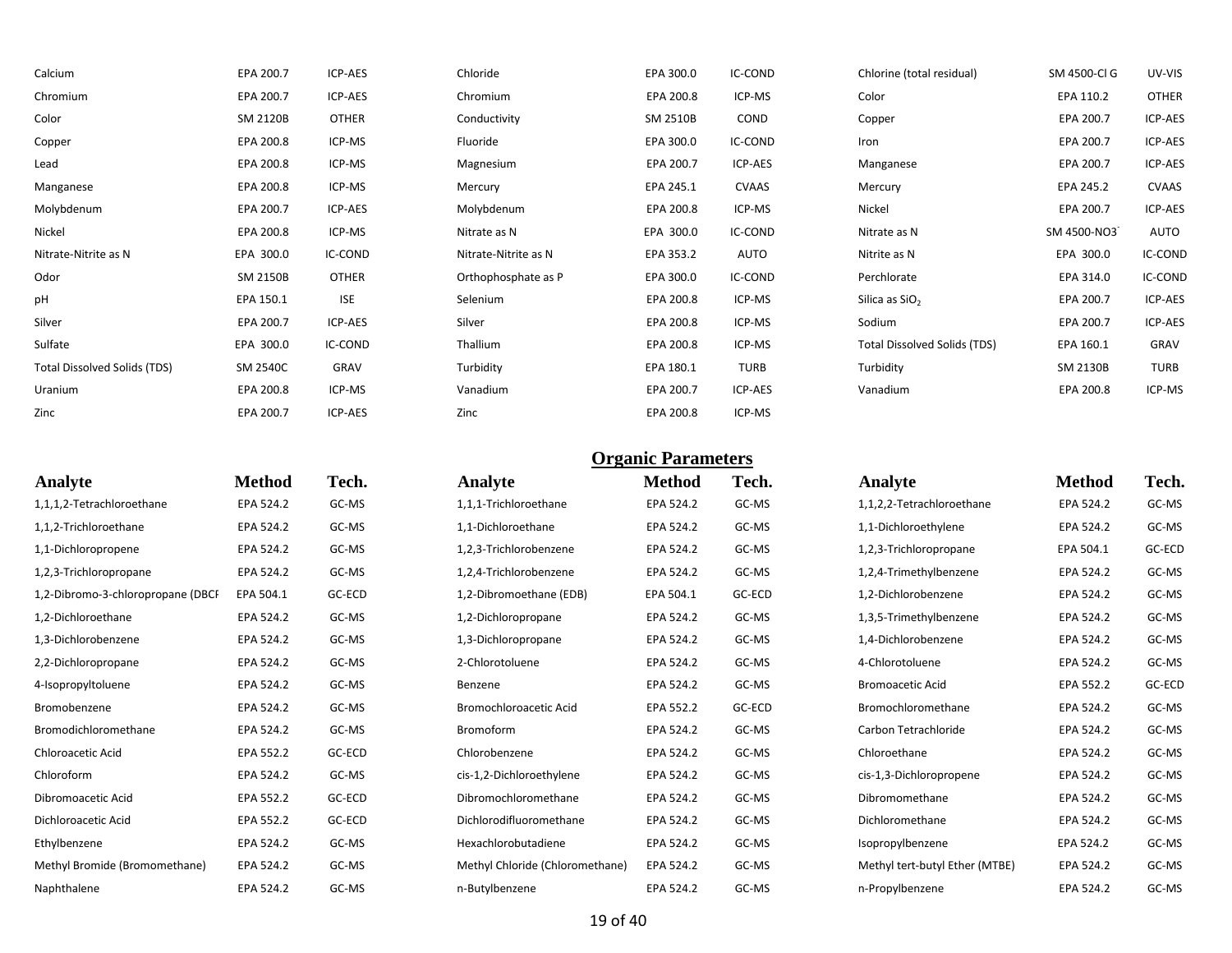| Calcium                             | EPA 200.7 | ICP-AES      | Chloride             | EPA 300.0 | IC-COND | Chlorine (total residual)           | SM 4500-Cl G | UV-VIS       |
|-------------------------------------|-----------|--------------|----------------------|-----------|---------|-------------------------------------|--------------|--------------|
| Chromium                            | EPA 200.7 | ICP-AES      | Chromium             | EPA 200.8 | ICP-MS  | Color                               | EPA 110.2    | <b>OTHER</b> |
| Color                               | SM 2120B  | <b>OTHER</b> | Conductivity         | SM 2510B  | COND    | Copper                              | EPA 200.7    | ICP-AES      |
| Copper                              | EPA 200.8 | ICP-MS       | Fluoride             | EPA 300.0 | IC-COND | Iron                                | EPA 200.7    | ICP-AES      |
| Lead                                | EPA 200.8 | ICP-MS       | Magnesium            | EPA 200.7 | ICP-AES | Manganese                           | EPA 200.7    | ICP-AES      |
| Manganese                           | EPA 200.8 | ICP-MS       | Mercury              | EPA 245.1 | CVAAS   | Mercury                             | EPA 245.2    | <b>CVAAS</b> |
| Molybdenum                          | EPA 200.7 | ICP-AES      | Molybdenum           | EPA 200.8 | ICP-MS  | Nickel                              | EPA 200.7    | ICP-AES      |
| Nickel                              | EPA 200.8 | ICP-MS       | Nitrate as N         | EPA 300.0 | IC-COND | Nitrate as N                        | SM 4500-NO3  | AUTO         |
| Nitrate-Nitrite as N                | EPA 300.0 | IC-COND      | Nitrate-Nitrite as N | EPA 353.2 | AUTO    | Nitrite as N                        | EPA 300.0    | IC-COND      |
| Odor                                | SM 2150B  | <b>OTHER</b> | Orthophosphate as P  | EPA 300.0 | IC-COND | Perchlorate                         | EPA 314.0    | IC-COND      |
| pH                                  | EPA 150.1 | <b>ISE</b>   | Selenium             | EPA 200.8 | ICP-MS  | Silica as SiO <sub>2</sub>          | EPA 200.7    | ICP-AES      |
| Silver                              | EPA 200.7 | ICP-AES      | Silver               | EPA 200.8 | ICP-MS  | Sodium                              | EPA 200.7    | ICP-AES      |
| Sulfate                             | EPA 300.0 | IC-COND      | Thallium             | EPA 200.8 | ICP-MS  | <b>Total Dissolved Solids (TDS)</b> | EPA 160.1    | GRAV         |
| <b>Total Dissolved Solids (TDS)</b> | SM 2540C  | GRAV         | Turbidity            | EPA 180.1 | TURB    | Turbidity                           | SM 2130B     | <b>TURB</b>  |
| Uranium                             | EPA 200.8 | ICP-MS       | Vanadium             | EPA 200.7 | ICP-AES | Vanadium                            | EPA 200.8    | ICP-MS       |
| Zinc                                | EPA 200.7 | ICP-AES      | Zinc                 | EPA 200.8 | ICP-MS  |                                     |              |              |

| <b>Method</b> | Tech.  | Analyte                         | <b>Method</b> | Tech.  | Analyte                        | <b>Method</b> | <b>Tech.</b> |
|---------------|--------|---------------------------------|---------------|--------|--------------------------------|---------------|--------------|
| EPA 524.2     | GC-MS  | 1,1,1-Trichloroethane           | EPA 524.2     | GC-MS  | 1,1,2,2-Tetrachloroethane      | EPA 524.2     | GC-MS        |
| EPA 524.2     | GC-MS  | 1,1-Dichloroethane              | EPA 524.2     | GC-MS  | 1,1-Dichloroethylene           | EPA 524.2     | GC-MS        |
| EPA 524.2     | GC-MS  | 1,2,3-Trichlorobenzene          | EPA 524.2     | GC-MS  | 1,2,3-Trichloropropane         | EPA 504.1     | GC-ECD       |
| EPA 524.2     | GC-MS  | 1,2,4-Trichlorobenzene          | EPA 524.2     | GC-MS  | 1,2,4-Trimethylbenzene         | EPA 524.2     | GC-MS        |
| EPA 504.1     | GC-ECD | 1,2-Dibromoethane (EDB)         | EPA 504.1     | GC-ECD | 1,2-Dichlorobenzene            | EPA 524.2     | GC-MS        |
| EPA 524.2     | GC-MS  | 1,2-Dichloropropane             | EPA 524.2     | GC-MS  | 1,3,5-Trimethylbenzene         | EPA 524.2     | GC-MS        |
| EPA 524.2     | GC-MS  | 1,3-Dichloropropane             | EPA 524.2     | GC-MS  | 1,4-Dichlorobenzene            | EPA 524.2     | GC-MS        |
| EPA 524.2     | GC-MS  | 2-Chlorotoluene                 | EPA 524.2     | GC-MS  | 4-Chlorotoluene                | EPA 524.2     | GC-MS        |
| EPA 524.2     | GC-MS  | Benzene                         | EPA 524.2     | GC-MS  | <b>Bromoacetic Acid</b>        | EPA 552.2     | GC-ECD       |
| EPA 524.2     | GC-MS  | Bromochloroacetic Acid          | EPA 552.2     | GC-ECD | Bromochloromethane             | EPA 524.2     | GC-MS        |
| EPA 524.2     | GC-MS  | Bromoform                       | EPA 524.2     | GC-MS  | Carbon Tetrachloride           | EPA 524.2     | GC-MS        |
| EPA 552.2     | GC-ECD | Chlorobenzene                   | EPA 524.2     | GC-MS  | Chloroethane                   | EPA 524.2     | GC-MS        |
| EPA 524.2     | GC-MS  | cis-1,2-Dichloroethylene        | EPA 524.2     | GC-MS  | cis-1,3-Dichloropropene        | EPA 524.2     | GC-MS        |
| EPA 552.2     | GC-ECD | Dibromochloromethane            | EPA 524.2     | GC-MS  | Dibromomethane                 | EPA 524.2     | GC-MS        |
| EPA 552.2     | GC-ECD | Dichlorodifluoromethane         | EPA 524.2     | GC-MS  | Dichloromethane                | EPA 524.2     | GC-MS        |
| EPA 524.2     | GC-MS  | Hexachlorobutadiene             | EPA 524.2     | GC-MS  | Isopropylbenzene               | EPA 524.2     | GC-MS        |
| EPA 524.2     | GC-MS  | Methyl Chloride (Chloromethane) | EPA 524.2     | GC-MS  | Methyl tert-butyl Ether (MTBE) | EPA 524.2     | GC-MS        |
| EPA 524.2     | GC-MS  | n-Butylbenzene                  | EPA 524.2     | GC-MS  | n-Propylbenzene                | EPA 524.2     | GC-MS        |
|               |        |                                 |               |        |                                |               |              |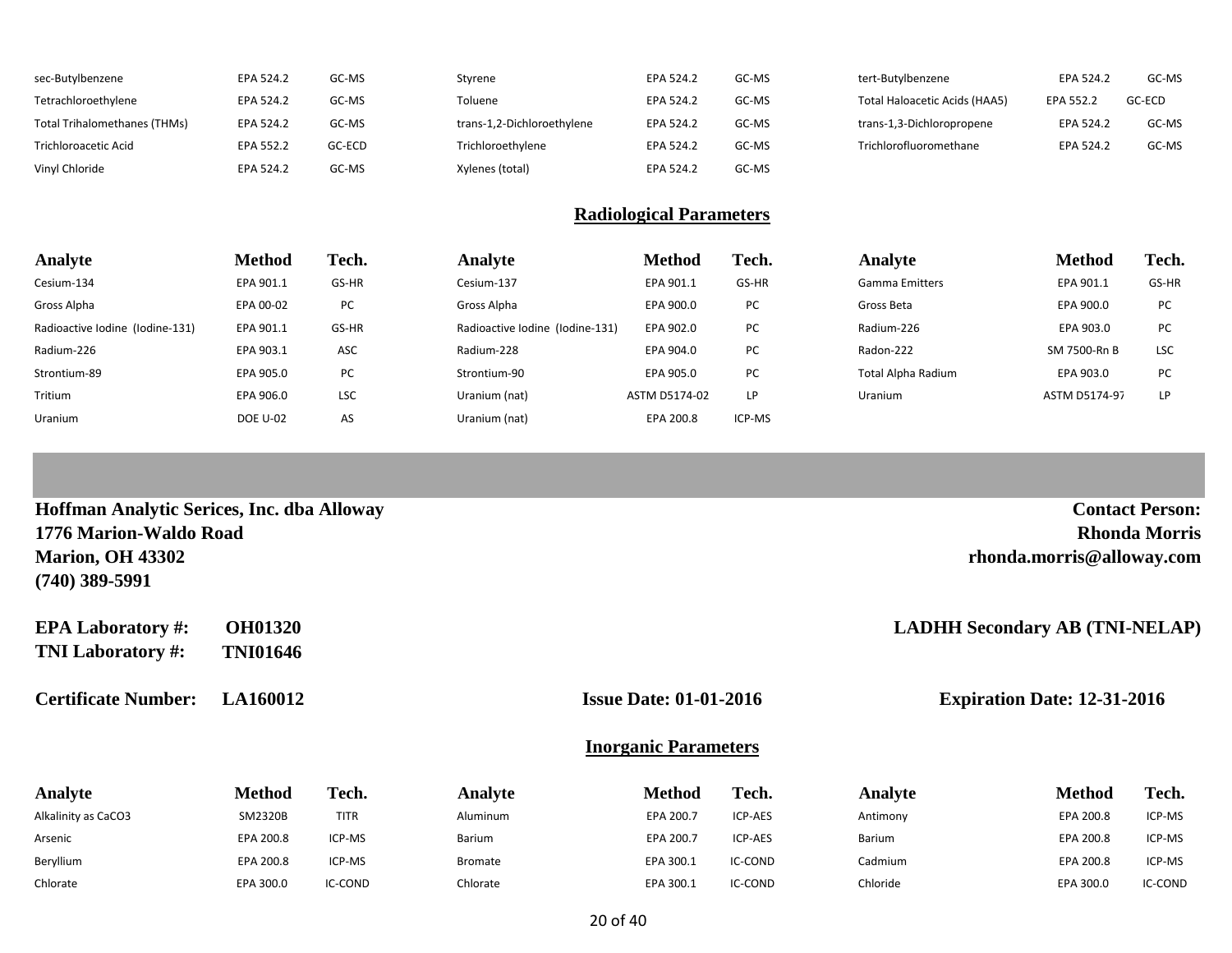| sec-Butylbenzene             | EPA 524.2 | GC-MS  | Styrene                    | EPA 524.2 | GC-MS | tert-Butylbenzene             | EPA 524.2 | GC-MS  |
|------------------------------|-----------|--------|----------------------------|-----------|-------|-------------------------------|-----------|--------|
| Tetrachloroethylene          | EPA 524.2 | GC-MS  | Toluene                    | EPA 524.2 | GC-MS | Total Haloacetic Acids (HAA5) | EPA 552.2 | GC-ECD |
| Total Trihalomethanes (THMs) | EPA 524.2 | GC-MS  | trans-1,2-Dichloroethylene | EPA 524.2 | GC-MS | trans-1,3-Dichloropropene     | EPA 524.2 | GC-MS  |
| Trichloroacetic Acid         | EPA 552.2 | GC-ECD | Trichloroethylene          | EPA 524.2 | GC-MS | Trichlorofluoromethane        | EPA 524.2 | GC-MS  |
| Vinyl Chloride               | EPA 524.2 | GC-MS  | Xylenes (total)            | EPA 524.2 | GC-MS |                               |           |        |

### **Radiological Parameters**

| Analyte                         | <b>Method</b>   | Tech.      | Analyte                         | <b>Method</b> | Tech.     | Analyte               | <b>Method</b> | Tech.      |
|---------------------------------|-----------------|------------|---------------------------------|---------------|-----------|-----------------------|---------------|------------|
| Cesium-134                      | EPA 901.1       | GS-HR      | Cesium-137                      | EPA 901.1     | GS-HR     | <b>Gamma Emitters</b> | EPA 901.1     | GS-HR      |
| Gross Alpha                     | EPA 00-02       | PC         | Gross Alpha                     | EPA 900.0     | PC        | Gross Beta            | EPA 900.0     | PC         |
| Radioactive Iodine (Iodine-131) | EPA 901.1       | GS-HR      | Radioactive Iodine (Iodine-131) | EPA 902.0     | <b>PC</b> | Radium-226            | EPA 903.0     | PC         |
| Radium-226                      | EPA 903.1       | ASC        | Radium-228                      | EPA 904.0     | PC        | Radon-222             | SM 7500-Rn B  | <b>LSC</b> |
| Strontium-89                    | EPA 905.0       | PC         | Strontium-90                    | EPA 905.0     | PC        | Total Alpha Radium    | EPA 903.0     | PC         |
| Tritium                         | EPA 906.0       | <b>LSC</b> | Uranium (nat)                   | ASTM D5174-02 | LP.       | Uranium               | ASTM D5174-97 | LP         |
| Uranium                         | <b>DOE U-02</b> | AS         | Uranium (nat)                   | EPA 200.8     | ICP-MS    |                       |               |            |

| Hoffman Analytic Serices, Inc. dba Alloway |                 |             |                |                                                                     |         |          |                                       | <b>Contact Person:</b> |
|--------------------------------------------|-----------------|-------------|----------------|---------------------------------------------------------------------|---------|----------|---------------------------------------|------------------------|
| 1776 Marion-Waldo Road                     |                 |             |                |                                                                     |         |          |                                       | <b>Rhonda Morris</b>   |
| <b>Marion, OH 43302</b>                    |                 |             |                |                                                                     |         |          | rhonda.morris@alloway.com             |                        |
| $(740)$ 389-5991                           |                 |             |                |                                                                     |         |          |                                       |                        |
| <b>EPA Laboratory #:</b>                   | <b>OH01320</b>  |             |                |                                                                     |         |          | <b>LADHH Secondary AB (TNI-NELAP)</b> |                        |
| <b>TNI Laboratory #:</b>                   | <b>TNI01646</b> |             |                |                                                                     |         |          |                                       |                        |
| LA160012<br><b>Certificate Number:</b>     |                 |             |                | <b>Issue Date: 01-01-2016</b><br><b>Expiration Date: 12-31-2016</b> |         |          |                                       |                        |
|                                            |                 |             |                | <b>Inorganic Parameters</b>                                         |         |          |                                       |                        |
| Analyte                                    | <b>Method</b>   | Tech.       | Analyte        | <b>Method</b>                                                       | Tech.   | Analyte  | <b>Method</b>                         | Tech.                  |
| Alkalinity as CaCO3                        | SM2320B         | <b>TITR</b> | Aluminum       | EPA 200.7                                                           | ICP-AES | Antimony | EPA 200.8                             | ICP-MS                 |
| Arsenic                                    | EPA 200.8       | ICP-MS      | Barium         | EPA 200.7                                                           | ICP-AES | Barium   | EPA 200.8                             | ICP-MS                 |
| Beryllium                                  | EPA 200.8       | ICP-MS      | <b>Bromate</b> | EPA 300.1                                                           | IC-COND | Cadmium  | EPA 200.8                             | ICP-MS                 |

Chlorate EPA 300.0 IC-COND Chlorate EPA 300.1 IC-COND Chloride EPA 300.0 IC-COND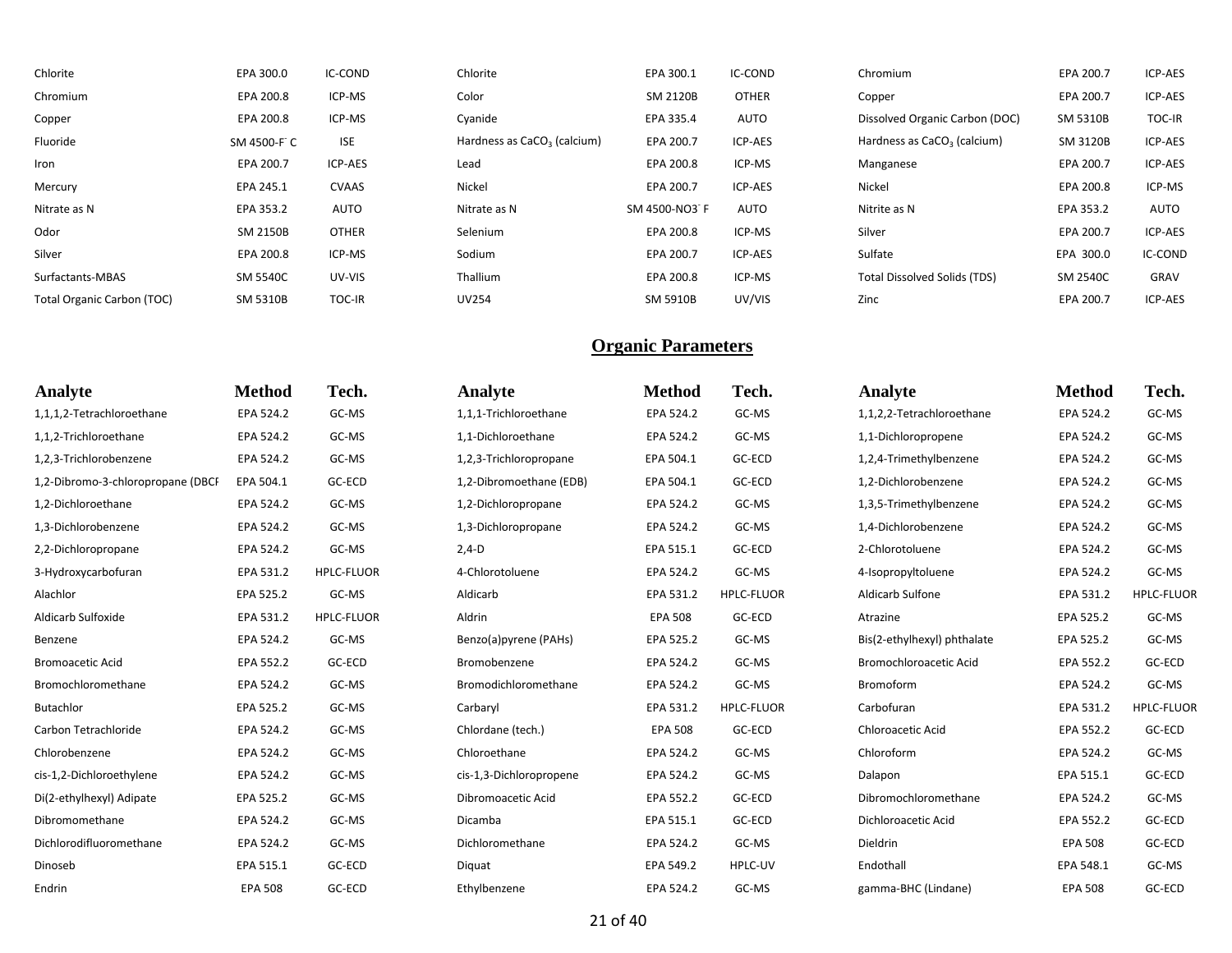| Chlorite                   | EPA 300.0   | IC-COND       | Chlorite                                | EPA 300.1       | IC-COND      | Chromium                                | EPA 200.7 | ICP-AES        |
|----------------------------|-------------|---------------|-----------------------------------------|-----------------|--------------|-----------------------------------------|-----------|----------------|
| Chromium                   | EPA 200.8   | ICP-MS        | Color                                   | SM 2120B        | <b>OTHER</b> | Copper                                  | EPA 200.7 | ICP-AES        |
| Copper                     | EPA 200.8   | ICP-MS        | Cyanide                                 | EPA 335.4       | AUTO         | Dissolved Organic Carbon (DOC)          | SM 5310B  | <b>TOC-IR</b>  |
| Fluoride                   | SM 4500-F C | <b>ISE</b>    | Hardness as CaCO <sub>3</sub> (calcium) | EPA 200.7       | ICP-AES      | Hardness as CaCO <sub>3</sub> (calcium) | SM 3120B  | ICP-AES        |
| Iron                       | EPA 200.7   | ICP-AES       | Lead                                    | EPA 200.8       | ICP-MS       | Manganese                               | EPA 200.7 | ICP-AES        |
| Mercury                    | EPA 245.1   | CVAAS         | Nickel                                  | EPA 200.7       | ICP-AES      | Nickel                                  | EPA 200.8 | ICP-MS         |
| Nitrate as N               | EPA 353.2   | <b>AUTO</b>   | Nitrate as N                            | SM 4500-NO3 F   | <b>AUTO</b>  | Nitrite as N                            | EPA 353.2 | AUTO           |
| Odor                       | SM 2150B    | <b>OTHER</b>  | Selenium                                | EPA 200.8       | ICP-MS       | Silver                                  | EPA 200.7 | <b>ICP-AES</b> |
| Silver                     | EPA 200.8   | ICP-MS        | Sodium                                  | EPA 200.7       | ICP-AES      | Sulfate                                 | EPA 300.0 | IC-COND        |
| Surfactants-MBAS           | SM 5540C    | UV-VIS        | Thallium                                | EPA 200.8       | ICP-MS       | <b>Total Dissolved Solids (TDS)</b>     | SM 2540C  | GRAV           |
| Total Organic Carbon (TOC) | SM 5310B    | <b>TOC-IR</b> | <b>UV254</b>                            | <b>SM 5910B</b> | UV/VIS       | Zinc                                    | EPA 200.7 | <b>ICP-AES</b> |

| Analyte                           | <b>Method</b>  | Tech.             | Analyte                 | <b>Method</b>  | Tech.             | Analyte                     | <b>Method</b>  | Tech.             |
|-----------------------------------|----------------|-------------------|-------------------------|----------------|-------------------|-----------------------------|----------------|-------------------|
| 1,1,1,2-Tetrachloroethane         | EPA 524.2      | GC-MS             | 1,1,1-Trichloroethane   | EPA 524.2      | GC-MS             | 1,1,2,2-Tetrachloroethane   | EPA 524.2      | GC-MS             |
| 1,1,2-Trichloroethane             | EPA 524.2      | GC-MS             | 1,1-Dichloroethane      | EPA 524.2      | GC-MS             | 1,1-Dichloropropene         | EPA 524.2      | GC-MS             |
| 1,2,3-Trichlorobenzene            | EPA 524.2      | GC-MS             | 1,2,3-Trichloropropane  | EPA 504.1      | GC-ECD            | 1,2,4-Trimethylbenzene      | EPA 524.2      | GC-MS             |
| 1,2-Dibromo-3-chloropropane (DBCF | EPA 504.1      | GC-ECD            | 1,2-Dibromoethane (EDB) | EPA 504.1      | GC-ECD            | 1,2-Dichlorobenzene         | EPA 524.2      | GC-MS             |
| 1,2-Dichloroethane                | EPA 524.2      | GC-MS             | 1,2-Dichloropropane     | EPA 524.2      | GC-MS             | 1,3,5-Trimethylbenzene      | EPA 524.2      | GC-MS             |
| 1,3-Dichlorobenzene               | EPA 524.2      | GC-MS             | 1,3-Dichloropropane     | EPA 524.2      | GC-MS             | 1,4-Dichlorobenzene         | EPA 524.2      | GC-MS             |
| 2,2-Dichloropropane               | EPA 524.2      | GC-MS             | $2,4-D$                 | EPA 515.1      | GC-ECD            | 2-Chlorotoluene             | EPA 524.2      | GC-MS             |
| 3-Hydroxycarbofuran               | EPA 531.2      | <b>HPLC-FLUOR</b> | 4-Chlorotoluene         | EPA 524.2      | GC-MS             | 4-Isopropyltoluene          | EPA 524.2      | GC-MS             |
| Alachlor                          | EPA 525.2      | GC-MS             | Aldicarb                | EPA 531.2      | <b>HPLC-FLUOR</b> | Aldicarb Sulfone            | EPA 531.2      | <b>HPLC-FLUOR</b> |
| Aldicarb Sulfoxide                | EPA 531.2      | <b>HPLC-FLUOR</b> | Aldrin                  | <b>EPA 508</b> | GC-ECD            | Atrazine                    | EPA 525.2      | GC-MS             |
| Benzene                           | EPA 524.2      | GC-MS             | Benzo(a)pyrene (PAHs)   | EPA 525.2      | GC-MS             | Bis(2-ethylhexyl) phthalate | EPA 525.2      | GC-MS             |
| <b>Bromoacetic Acid</b>           | EPA 552.2      | GC-ECD            | Bromobenzene            | EPA 524.2      | GC-MS             | Bromochloroacetic Acid      | EPA 552.2      | GC-ECD            |
| Bromochloromethane                | EPA 524.2      | GC-MS             | Bromodichloromethane    | EPA 524.2      | GC-MS             | Bromoform                   | EPA 524.2      | GC-MS             |
| Butachlor                         | EPA 525.2      | GC-MS             | Carbaryl                | EPA 531.2      | <b>HPLC-FLUOR</b> | Carbofuran                  | EPA 531.2      | <b>HPLC-FLUOR</b> |
| Carbon Tetrachloride              | EPA 524.2      | GC-MS             | Chlordane (tech.)       | <b>EPA 508</b> | GC-ECD            | <b>Chloroacetic Acid</b>    | EPA 552.2      | GC-ECD            |
| Chlorobenzene                     | EPA 524.2      | GC-MS             | Chloroethane            | EPA 524.2      | GC-MS             | Chloroform                  | EPA 524.2      | GC-MS             |
| cis-1,2-Dichloroethylene          | EPA 524.2      | GC-MS             | cis-1,3-Dichloropropene | EPA 524.2      | GC-MS             | Dalapon                     | EPA 515.1      | GC-ECD            |
| Di(2-ethylhexyl) Adipate          | EPA 525.2      | GC-MS             | Dibromoacetic Acid      | EPA 552.2      | GC-ECD            | Dibromochloromethane        | EPA 524.2      | GC-MS             |
| Dibromomethane                    | EPA 524.2      | GC-MS             | Dicamba                 | EPA 515.1      | GC-ECD            | Dichloroacetic Acid         | EPA 552.2      | GC-ECD            |
| Dichlorodifluoromethane           | EPA 524.2      | GC-MS             | Dichloromethane         | EPA 524.2      | GC-MS             | Dieldrin                    | <b>EPA 508</b> | GC-ECD            |
| Dinoseb                           | EPA 515.1      | GC-ECD            | Diquat                  | EPA 549.2      | HPLC-UV           | Endothall                   | EPA 548.1      | GC-MS             |
| Endrin                            | <b>EPA 508</b> | GC-ECD            | Ethylbenzene            | EPA 524.2      | GC-MS             | gamma-BHC (Lindane)         | <b>EPA 508</b> | GC-ECD            |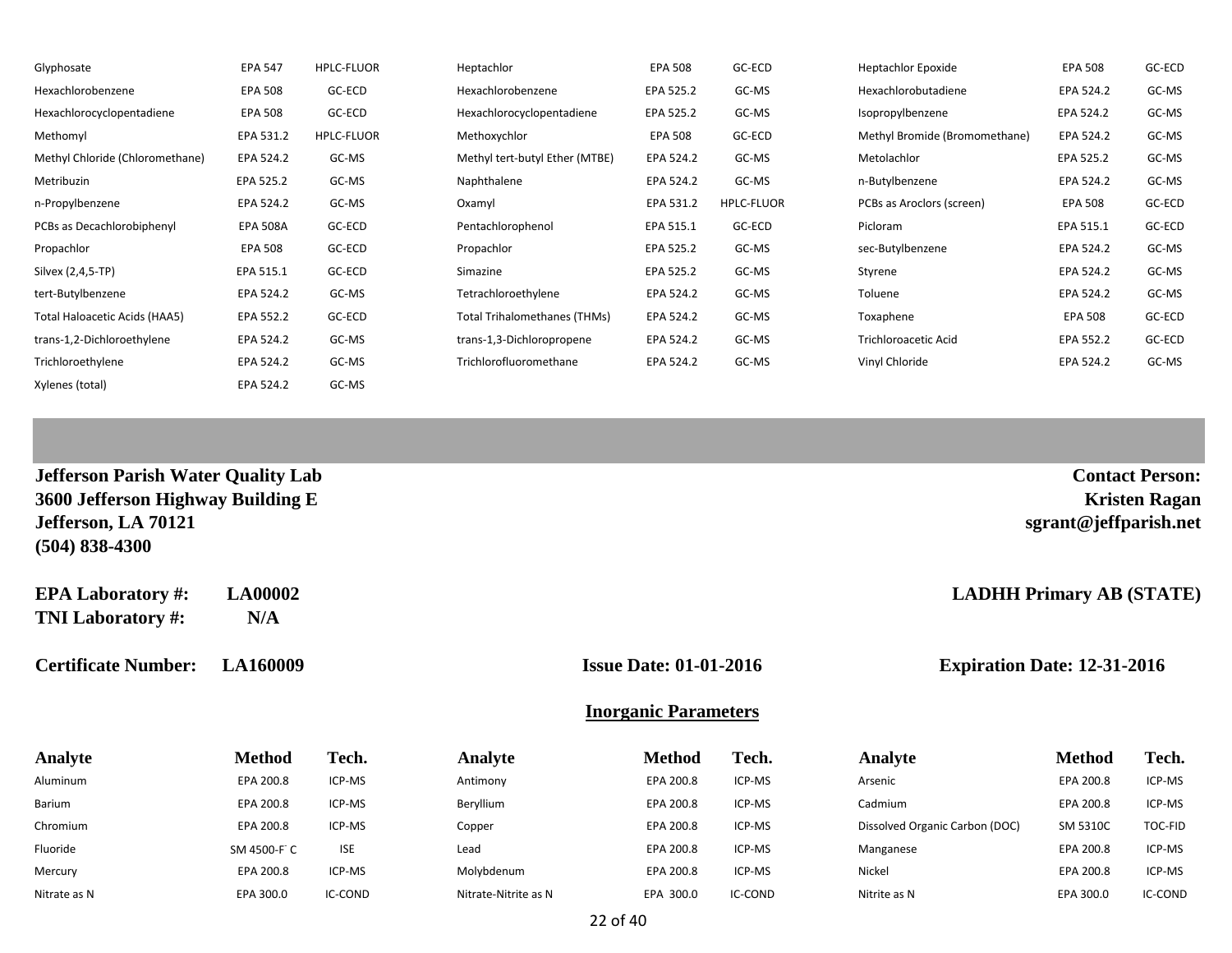| Glyphosate                      | <b>EPA 547</b>  | <b>HPLC-FLUOR</b> | Heptachlor                          | <b>EPA 508</b> | GC-ECD     | <b>Heptachlor Epoxide</b>     | <b>EPA 508</b> | GC-ECD |
|---------------------------------|-----------------|-------------------|-------------------------------------|----------------|------------|-------------------------------|----------------|--------|
| Hexachlorobenzene               | <b>EPA 508</b>  | GC-ECD            | Hexachlorobenzene                   | EPA 525.2      | GC-MS      | Hexachlorobutadiene           | EPA 524.2      | GC-MS  |
| Hexachlorocyclopentadiene       | EPA 508         | GC-ECD            | Hexachlorocyclopentadiene           | EPA 525.2      | GC-MS      | Isopropylbenzene              | EPA 524.2      | GC-MS  |
| Methomyl                        | EPA 531.2       | <b>HPLC-FLUOR</b> | Methoxychlor                        | EPA 508        | GC-ECD     | Methyl Bromide (Bromomethane) | EPA 524.2      | GC-MS  |
| Methyl Chloride (Chloromethane) | EPA 524.2       | GC-MS             | Methyl tert-butyl Ether (MTBE)      | EPA 524.2      | GC-MS      | Metolachlor                   | EPA 525.2      | GC-MS  |
| Metribuzin                      | EPA 525.2       | GC-MS             | Naphthalene                         | EPA 524.2      | GC-MS      | n-Butylbenzene                | EPA 524.2      | GC-MS  |
| n-Propylbenzene                 | EPA 524.2       | GC-MS             | Oxamyl                              | EPA 531.2      | HPLC-FLUOR | PCBs as Aroclors (screen)     | <b>EPA 508</b> | GC-ECD |
| PCBs as Decachlorobiphenyl      | <b>EPA 508A</b> | GC-ECD            | Pentachlorophenol                   | EPA 515.1      | GC-ECD     | Picloram                      | EPA 515.1      | GC-ECD |
| Propachlor                      | <b>EPA 508</b>  | GC-ECD            | Propachlor                          | EPA 525.2      | GC-MS      | sec-Butylbenzene              | EPA 524.2      | GC-MS  |
| Silvex (2,4,5-TP)               | EPA 515.1       | GC-ECD            | Simazine                            | EPA 525.2      | GC-MS      | Styrene                       | EPA 524.2      | GC-MS  |
| tert-Butylbenzene               | EPA 524.2       | GC-MS             | Tetrachloroethylene                 | EPA 524.2      | GC-MS      | Toluene                       | EPA 524.2      | GC-MS  |
| Total Haloacetic Acids (HAA5)   | EPA 552.2       | GC-ECD            | <b>Total Trihalomethanes (THMs)</b> | EPA 524.2      | GC-MS      | Toxaphene                     | <b>EPA 508</b> | GC-ECD |
| trans-1,2-Dichloroethylene      | EPA 524.2       | GC-MS             | trans-1,3-Dichloropropene           | EPA 524.2      | GC-MS      | <b>Trichloroacetic Acid</b>   | EPA 552.2      | GC-ECD |
| Trichloroethylene               | EPA 524.2       | GC-MS             | Trichlorofluoromethane              | EPA 524.2      | GC-MS      | Vinyl Chloride                | EPA 524.2      | GC-MS  |
| Xylenes (total)                 | EPA 524.2       | GC-MS             |                                     |                |            |                               |                |        |

| Jefferson Parish Water Quality Lab |  |
|------------------------------------|--|
| 3600 Jefferson Highway Building E  |  |
| Jefferson, LA 70121                |  |
| $(504)$ 838-4300                   |  |

**EPA Laboratory #: LA00002 LADHH Primary AB (STATE) TNI Laboratory #: N/A**

**Certificate Number: LA160009 Issue Date: 01-01-2016 Expiration Date: 12-31-2016**

**Contact Person: 3600 Jefferson Highway Building E Kristen Ragan**

**Jefferson, LA 70121 sgrant@jeffparish.net**

#### **Inorganic Parameters**

| <b>Analyte</b> | <b>Method</b> | Tech.      | Analyte              | Method    | Tech.   | Analyte                        | <b>Method</b> | Tech.   |
|----------------|---------------|------------|----------------------|-----------|---------|--------------------------------|---------------|---------|
| Aluminum       | EPA 200.8     | ICP-MS     | Antimony             | EPA 200.8 | ICP-MS  | Arsenic                        | EPA 200.8     | ICP-MS  |
| Barium         | EPA 200.8     | ICP-MS     | Beryllium            | EPA 200.8 | ICP-MS  | Cadmium                        | EPA 200.8     | ICP-MS  |
| Chromium       | EPA 200.8     | ICP-MS     | Copper               | EPA 200.8 | ICP-MS  | Dissolved Organic Carbon (DOC) | SM 5310C      | TOC-FID |
| Fluoride       | SM 4500-F C   | <b>ISE</b> | Lead                 | EPA 200.8 | ICP-MS  | Manganese                      | EPA 200.8     | ICP-MS  |
| Mercury        | EPA 200.8     | ICP-MS     | Molybdenum           | EPA 200.8 | ICP-MS  | Nickel                         | EPA 200.8     | ICP-MS  |
| Nitrate as N   | EPA 300.0     | IC-COND    | Nitrate-Nitrite as N | EPA 300.0 | IC-COND | Nitrite as N                   | EPA 300.0     | IC-COND |

22 of 40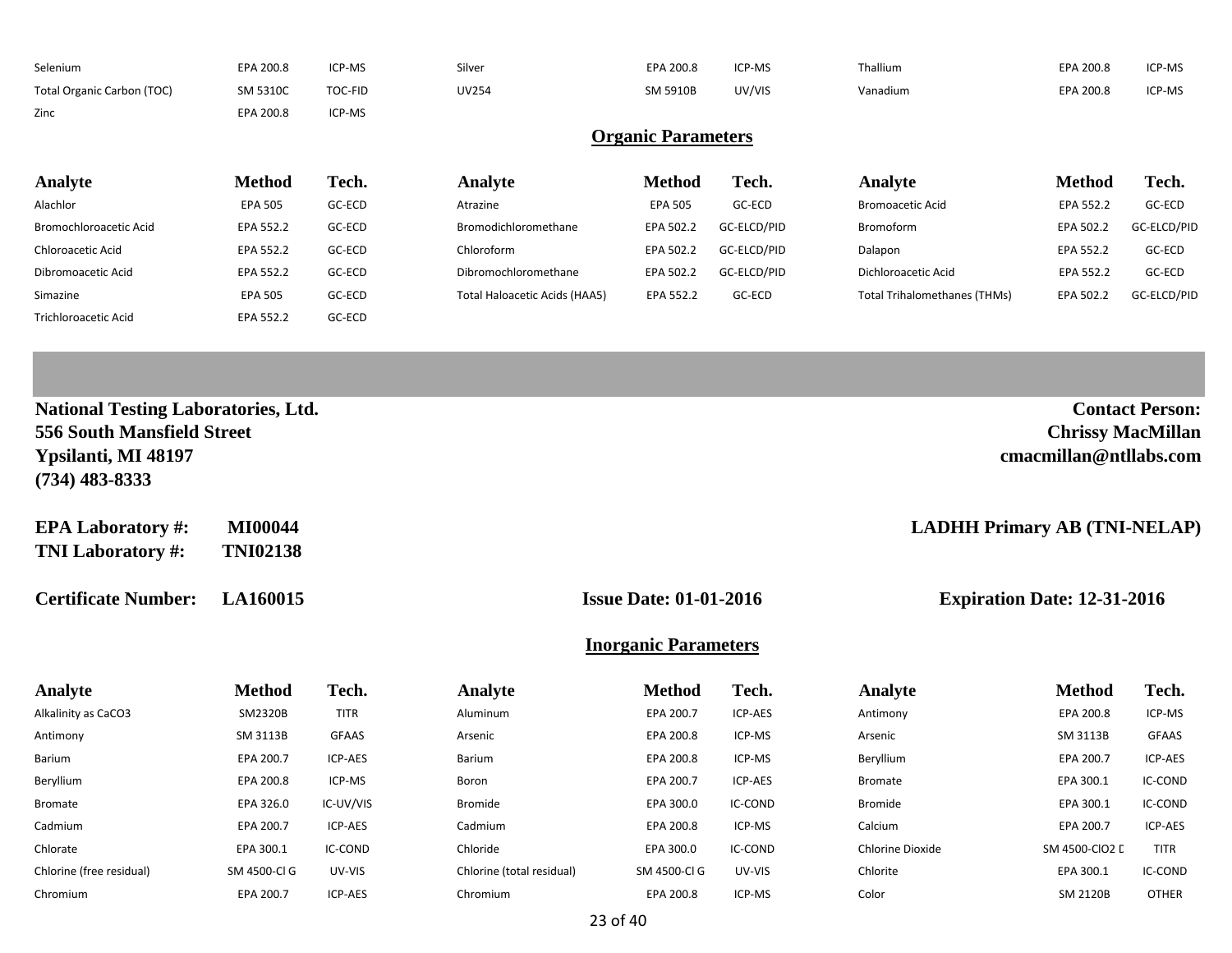| Selenium                                                                                        | EPA 200.8       | ICP-MS      | Silver                        | EPA 200.8                     | ICP-MS      | Thallium                            | EPA 200.8                                          | ICP-MS                 |
|-------------------------------------------------------------------------------------------------|-----------------|-------------|-------------------------------|-------------------------------|-------------|-------------------------------------|----------------------------------------------------|------------------------|
| Total Organic Carbon (TOC)                                                                      | SM 5310C        | TOC-FID     | <b>UV254</b>                  | SM 5910B                      | UV/VIS      | Vanadium                            | EPA 200.8                                          | ICP-MS                 |
| Zinc                                                                                            | EPA 200.8       | ICP-MS      |                               |                               |             |                                     |                                                    |                        |
|                                                                                                 |                 |             |                               | <b>Organic Parameters</b>     |             |                                     |                                                    |                        |
| Analyte                                                                                         | <b>Method</b>   | Tech.       | Analyte                       | <b>Method</b>                 | Tech.       | Analyte                             | <b>Method</b>                                      | Tech.                  |
| Alachlor                                                                                        | <b>EPA 505</b>  | GC-ECD      | Atrazine                      | <b>EPA 505</b>                | GC-ECD      | <b>Bromoacetic Acid</b>             | EPA 552.2                                          | GC-ECD                 |
| Bromochloroacetic Acid                                                                          | EPA 552.2       | GC-ECD      | Bromodichloromethane          | EPA 502.2                     | GC-ELCD/PID | Bromoform                           | EPA 502.2                                          | GC-ELCD/PID            |
| Chloroacetic Acid                                                                               | EPA 552.2       | GC-ECD      | Chloroform                    | EPA 502.2                     | GC-ELCD/PID | Dalapon                             | EPA 552.2                                          | GC-ECD                 |
| Dibromoacetic Acid                                                                              | EPA 552.2       | GC-ECD      | Dibromochloromethane          | EPA 502.2                     | GC-ELCD/PID | Dichloroacetic Acid                 | EPA 552.2                                          | GC-ECD                 |
| Simazine                                                                                        | <b>EPA 505</b>  | GC-ECD      | Total Haloacetic Acids (HAA5) | EPA 552.2                     | GC-ECD      | <b>Total Trihalomethanes (THMs)</b> | EPA 502.2                                          | GC-ELCD/PID            |
| <b>Trichloroacetic Acid</b>                                                                     | EPA 552.2       | GC-ECD      |                               |                               |             |                                     |                                                    |                        |
|                                                                                                 |                 |             |                               |                               |             |                                     |                                                    |                        |
|                                                                                                 |                 |             |                               |                               |             |                                     |                                                    |                        |
|                                                                                                 |                 |             |                               |                               |             |                                     |                                                    |                        |
| <b>National Testing Laboratories, Ltd.</b><br>556 South Mansfield Street<br>Ypsilanti, MI 48197 |                 |             |                               |                               |             |                                     | <b>Chrissy MacMillan</b><br>cmacmillan@ntllabs.com | <b>Contact Person:</b> |
| $(734)$ 483-8333                                                                                |                 |             |                               |                               |             |                                     |                                                    |                        |
|                                                                                                 | <b>MI00044</b>  |             |                               |                               |             |                                     |                                                    |                        |
| <b>EPA Laboratory #:</b><br><b>TNI Laboratory #:</b>                                            | <b>TNI02138</b> |             |                               |                               |             | <b>LADHH Primary AB (TNI-NELAP)</b> |                                                    |                        |
| <b>Certificate Number:</b>                                                                      | <b>LA160015</b> |             |                               | <b>Issue Date: 01-01-2016</b> |             |                                     | <b>Expiration Date: 12-31-2016</b>                 |                        |
|                                                                                                 |                 |             |                               | <b>Inorganic Parameters</b>   |             |                                     |                                                    |                        |
|                                                                                                 | <b>Method</b>   | Tech.       | Analyte                       | <b>Method</b>                 | Tech.       | Analyte                             | <b>Method</b>                                      | Tech.                  |
| Analyte<br>Alkalinity as CaCO3                                                                  | SM2320B         | <b>TITR</b> | Aluminum                      | EPA 200.7                     | ICP-AES     | Antimony                            | EPA 200.8                                          | ICP-MS                 |
| Antimony                                                                                        | SM 3113B        | GFAAS       | Arsenic                       | EPA 200.8                     | ICP-MS      | Arsenic                             | SM 3113B                                           | <b>GFAAS</b>           |
| Barium                                                                                          | EPA 200.7       | ICP-AES     | Barium                        | EPA 200.8                     | ICP-MS      | Beryllium                           | EPA 200.7                                          | ICP-AES                |
| Beryllium                                                                                       | EPA 200.8       | ICP-MS      | Boron                         | EPA 200.7                     | ICP-AES     | <b>Bromate</b>                      | EPA 300.1                                          | IC-COND                |
| <b>Bromate</b>                                                                                  | EPA 326.0       | IC-UV/VIS   | <b>Bromide</b>                | EPA 300.0                     | IC-COND     | Bromide                             | EPA 300.1                                          | IC-COND                |
| Cadmium                                                                                         | EPA 200.7       | ICP-AES     | Cadmium                       | EPA 200.8                     | ICP-MS      | Calcium                             | EPA 200.7                                          | ICP-AES                |
| Chlorate                                                                                        | EPA 300.1       | IC-COND     | Chloride                      | EPA 300.0                     | IC-COND     | Chlorine Dioxide                    | SM 4500-CIO2 D                                     | <b>TITR</b>            |

Chromium EPA 200.7 ICP-AES Chromium EPA 200.8 ICP-MS Color SM 2120B OTHER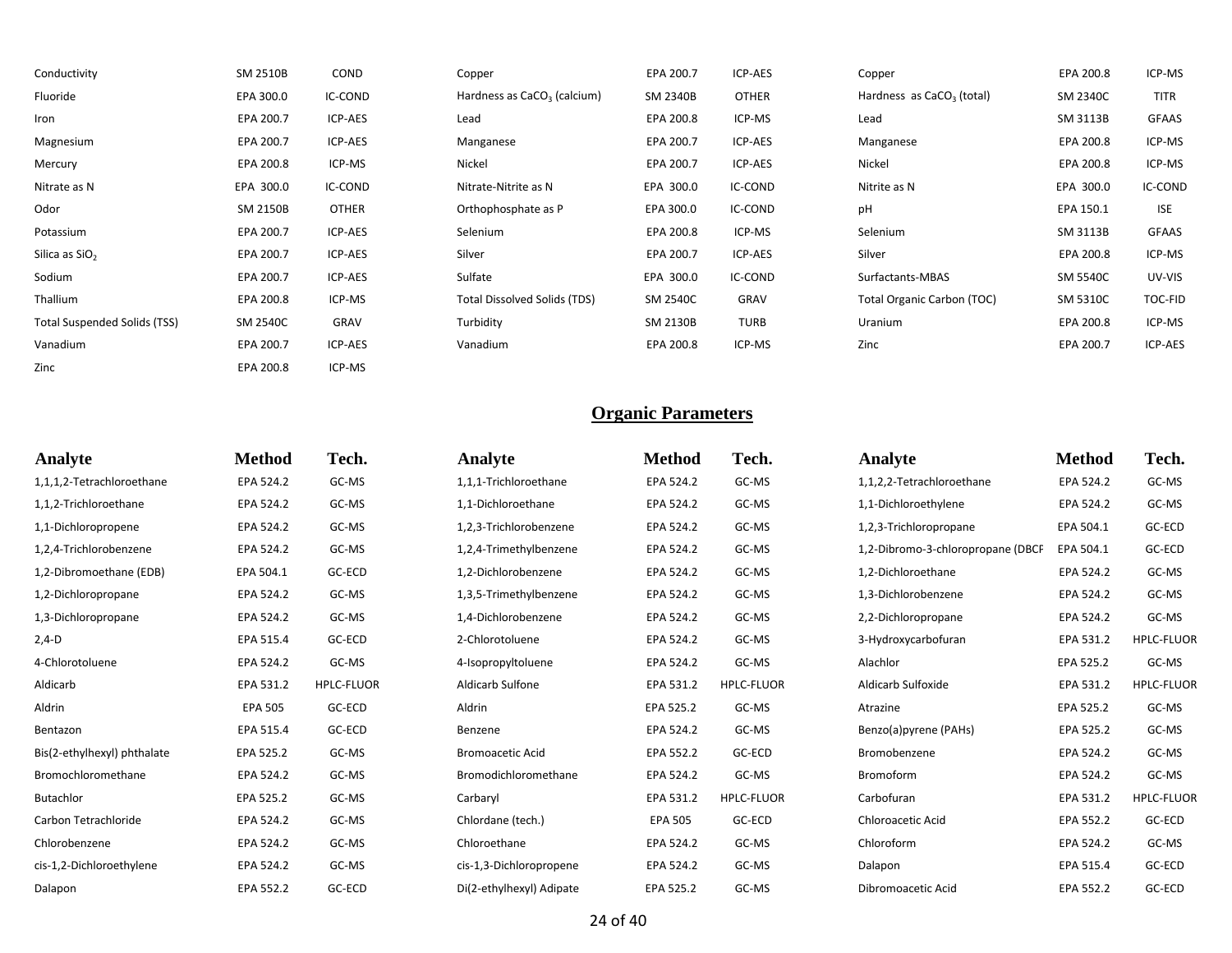| Conductivity                 | SM 2510B        | COND         | Copper                                  | EPA 200.7 | ICP-AES      | Copper                            | EPA 200.8 | ICP-MS       |
|------------------------------|-----------------|--------------|-----------------------------------------|-----------|--------------|-----------------------------------|-----------|--------------|
| Fluoride                     | EPA 300.0       | IC-COND      | Hardness as CaCO <sub>3</sub> (calcium) | SM 2340B  | <b>OTHER</b> | Hardness as $CaCO3$ (total)       | SM 2340C  | TITR         |
| Iron                         | EPA 200.7       | ICP-AES      | Lead                                    | EPA 200.8 | ICP-MS       | Lead                              | SM 3113B  | <b>GFAAS</b> |
| Magnesium                    | EPA 200.7       | ICP-AES      | Manganese                               | EPA 200.7 | ICP-AES      | Manganese                         | EPA 200.8 | ICP-MS       |
| Mercury                      | EPA 200.8       | ICP-MS       | Nickel                                  | EPA 200.7 | ICP-AES      | Nickel                            | EPA 200.8 | ICP-MS       |
| Nitrate as N                 | EPA 300.0       | IC-COND      | Nitrate-Nitrite as N                    | EPA 300.0 | IC-COND      | Nitrite as N                      | EPA 300.0 | IC-COND      |
| Odor                         | SM 2150B        | <b>OTHER</b> | Orthophosphate as P                     | EPA 300.0 | IC-COND      | pH                                | EPA 150.1 | <b>ISE</b>   |
| Potassium                    | EPA 200.7       | ICP-AES      | Selenium                                | EPA 200.8 | ICP-MS       | Selenium                          | SM 3113B  | <b>GFAAS</b> |
| Silica as SiO <sub>2</sub>   | EPA 200.7       | ICP-AES      | Silver                                  | EPA 200.7 | ICP-AES      | Silver                            | EPA 200.8 | ICP-MS       |
| Sodium                       | EPA 200.7       | ICP-AES      | Sulfate                                 | EPA 300.0 | IC-COND      | Surfactants-MBAS                  | SM 5540C  | UV-VIS       |
| Thallium                     | EPA 200.8       | ICP-MS       | Total Dissolved Solids (TDS)            | SM 2540C  | GRAV         | <b>Total Organic Carbon (TOC)</b> | SM 5310C  | TOC-FID      |
| Total Suspended Solids (TSS) | <b>SM 2540C</b> | GRAV         | Turbidity                               | SM 2130B  | <b>TURB</b>  | Uranium                           | EPA 200.8 | ICP-MS       |
| Vanadium                     | EPA 200.7       | ICP-AES      | Vanadium                                | EPA 200.8 | ICP-MS       | Zinc                              | EPA 200.7 | ICP-AES      |
| Zinc                         | EPA 200.8       | ICP-MS       |                                         |           |              |                                   |           |              |

| Analyte                     | <b>Method</b>  | Tech.             | Analyte                  | <b>Method</b>  | Tech.             | Analyte                           | <b>Method</b> | Tech.             |
|-----------------------------|----------------|-------------------|--------------------------|----------------|-------------------|-----------------------------------|---------------|-------------------|
| 1,1,1,2-Tetrachloroethane   | EPA 524.2      | GC-MS             | 1,1,1-Trichloroethane    | EPA 524.2      | GC-MS             | 1,1,2,2-Tetrachloroethane         | EPA 524.2     | GC-MS             |
| 1,1,2-Trichloroethane       | EPA 524.2      | GC-MS             | 1,1-Dichloroethane       | EPA 524.2      | GC-MS             | 1,1-Dichloroethylene              | EPA 524.2     | GC-MS             |
| 1,1-Dichloropropene         | EPA 524.2      | GC-MS             | 1,2,3-Trichlorobenzene   | EPA 524.2      | GC-MS             | 1,2,3-Trichloropropane            | EPA 504.1     | GC-ECD            |
| 1,2,4-Trichlorobenzene      | EPA 524.2      | GC-MS             | 1,2,4-Trimethylbenzene   | EPA 524.2      | GC-MS             | 1,2-Dibromo-3-chloropropane (DBCP | EPA 504.1     | GC-ECD            |
| 1,2-Dibromoethane (EDB)     | EPA 504.1      | GC-ECD            | 1.2-Dichlorobenzene      | EPA 524.2      | GC-MS             | 1,2-Dichloroethane                | EPA 524.2     | GC-MS             |
| 1,2-Dichloropropane         | EPA 524.2      | GC-MS             | 1,3,5-Trimethylbenzene   | EPA 524.2      | GC-MS             | 1,3-Dichlorobenzene               | EPA 524.2     | GC-MS             |
| 1,3-Dichloropropane         | EPA 524.2      | GC-MS             | 1,4-Dichlorobenzene      | EPA 524.2      | GC-MS             | 2,2-Dichloropropane               | EPA 524.2     | GC-MS             |
| $2,4-D$                     | EPA 515.4      | GC-ECD            | 2-Chlorotoluene          | EPA 524.2      | GC-MS             | 3-Hydroxycarbofuran               | EPA 531.2     | <b>HPLC-FLUOR</b> |
| 4-Chlorotoluene             | EPA 524.2      | GC-MS             | 4-Isopropyltoluene       | EPA 524.2      | GC-MS             | Alachlor                          | EPA 525.2     | GC-MS             |
| Aldicarb                    | EPA 531.2      | <b>HPLC-FLUOR</b> | Aldicarb Sulfone         | EPA 531.2      | <b>HPLC-FLUOR</b> | Aldicarb Sulfoxide                | EPA 531.2     | HPLC-FLUOR        |
| Aldrin                      | <b>EPA 505</b> | GC-ECD            | Aldrin                   | EPA 525.2      | GC-MS             | Atrazine                          | EPA 525.2     | GC-MS             |
| Bentazon                    | EPA 515.4      | GC-ECD            | Benzene                  | EPA 524.2      | GC-MS             | Benzo(a)pyrene (PAHs)             | EPA 525.2     | GC-MS             |
| Bis(2-ethylhexyl) phthalate | EPA 525.2      | GC-MS             | <b>Bromoacetic Acid</b>  | EPA 552.2      | GC-ECD            | Bromobenzene                      | EPA 524.2     | GC-MS             |
| Bromochloromethane          | EPA 524.2      | GC-MS             | Bromodichloromethane     | EPA 524.2      | GC-MS             | Bromoform                         | EPA 524.2     | GC-MS             |
| Butachlor                   | EPA 525.2      | GC-MS             | Carbaryl                 | EPA 531.2      | <b>HPLC-FLUOR</b> | Carbofuran                        | EPA 531.2     | <b>HPLC-FLUOR</b> |
| Carbon Tetrachloride        | EPA 524.2      | GC-MS             | Chlordane (tech.)        | <b>EPA 505</b> | GC-ECD            | <b>Chloroacetic Acid</b>          | EPA 552.2     | GC-ECD            |
| Chlorobenzene               | EPA 524.2      | GC-MS             | Chloroethane             | EPA 524.2      | GC-MS             | Chloroform                        | EPA 524.2     | GC-MS             |
| cis-1,2-Dichloroethylene    | EPA 524.2      | GC-MS             | cis-1,3-Dichloropropene  | EPA 524.2      | GC-MS             | Dalapon                           | EPA 515.4     | GC-ECD            |
| Dalapon                     | EPA 552.2      | GC-ECD            | Di(2-ethylhexyl) Adipate | EPA 525.2      | GC-MS             | Dibromoacetic Acid                | EPA 552.2     | GC-ECD            |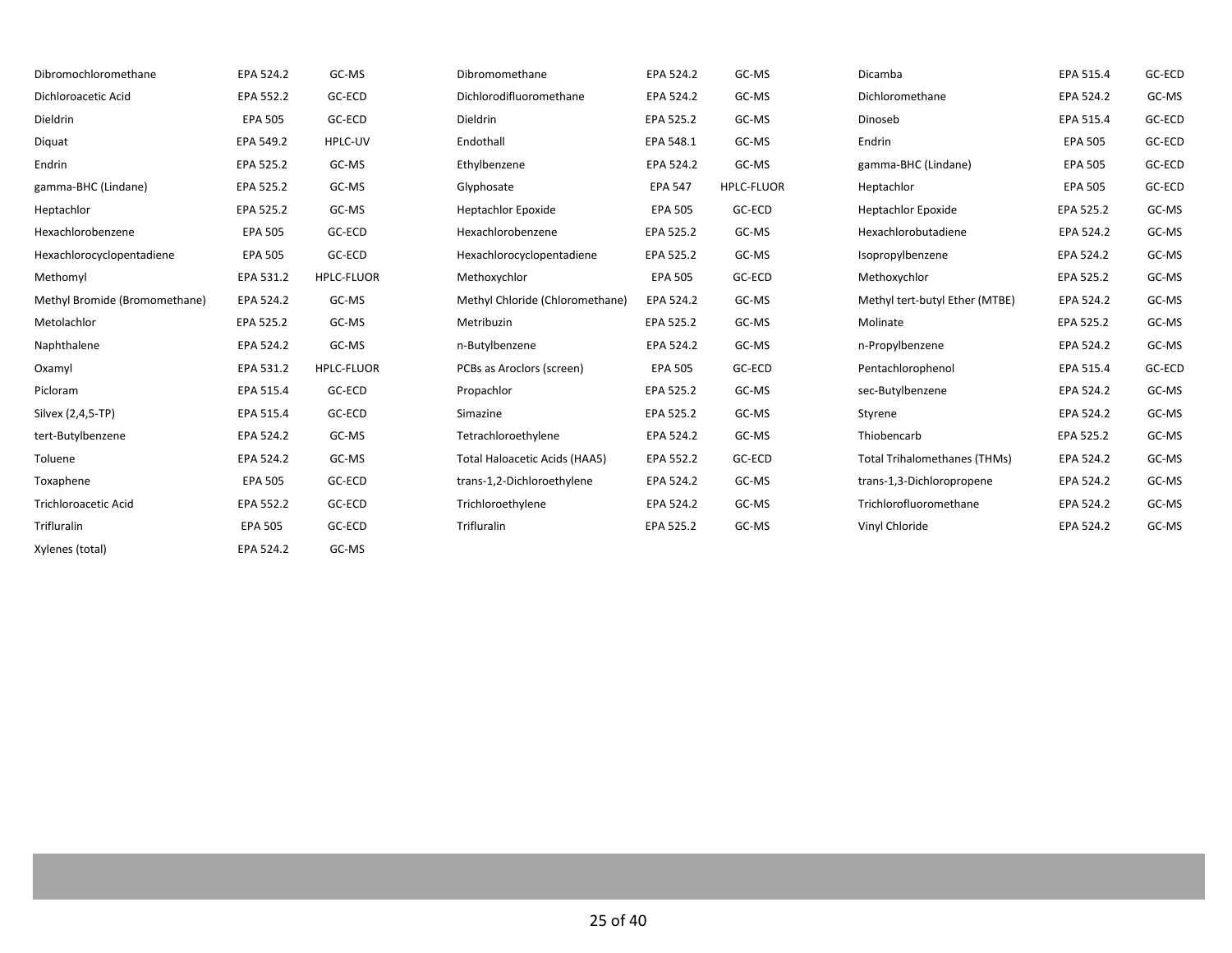| Dibromochloromethane          | EPA 524.2      | GC-MS             | Dibromomethane                  | EPA 524.2      | GC-MS             | Dicamba                             | EPA 515.4      | GC-ECD |
|-------------------------------|----------------|-------------------|---------------------------------|----------------|-------------------|-------------------------------------|----------------|--------|
| Dichloroacetic Acid           | EPA 552.2      | GC-ECD            | Dichlorodifluoromethane         | EPA 524.2      | GC-MS             | Dichloromethane                     | EPA 524.2      | GC-MS  |
| Dieldrin                      | <b>EPA 505</b> | GC-ECD            | Dieldrin                        | EPA 525.2      | GC-MS             | Dinoseb                             | EPA 515.4      | GC-ECD |
| Diquat                        | EPA 549.2      | HPLC-UV           | Endothall                       | EPA 548.1      | GC-MS             | Endrin                              | <b>EPA 505</b> | GC-ECD |
| Endrin                        | EPA 525.2      | GC-MS             | Ethylbenzene                    | EPA 524.2      | GC-MS             | gamma-BHC (Lindane)                 | <b>EPA 505</b> | GC-ECD |
| gamma-BHC (Lindane)           | EPA 525.2      | GC-MS             | Glyphosate                      | <b>EPA 547</b> | <b>HPLC-FLUOR</b> | Heptachlor                          | <b>EPA 505</b> | GC-ECD |
| Heptachlor                    | EPA 525.2      | GC-MS             | <b>Heptachlor Epoxide</b>       | <b>EPA 505</b> | GC-ECD            | <b>Heptachlor Epoxide</b>           | EPA 525.2      | GC-MS  |
| Hexachlorobenzene             | <b>EPA 505</b> | GC-ECD            | Hexachlorobenzene               | EPA 525.2      | GC-MS             | Hexachlorobutadiene                 | EPA 524.2      | GC-MS  |
| Hexachlorocyclopentadiene     | <b>EPA 505</b> | GC-ECD            | Hexachlorocyclopentadiene       | EPA 525.2      | GC-MS             | Isopropylbenzene                    | EPA 524.2      | GC-MS  |
| Methomyl                      | EPA 531.2      | <b>HPLC-FLUOR</b> | Methoxychlor                    | <b>EPA 505</b> | GC-ECD            | Methoxychlor                        | EPA 525.2      | GC-MS  |
| Methyl Bromide (Bromomethane) | EPA 524.2      | GC-MS             | Methyl Chloride (Chloromethane) | EPA 524.2      | GC-MS             | Methyl tert-butyl Ether (MTBE)      | EPA 524.2      | GC-MS  |
| Metolachlor                   | EPA 525.2      | GC-MS             | Metribuzin                      | EPA 525.2      | GC-MS             | Molinate                            | EPA 525.2      | GC-MS  |
| Naphthalene                   | EPA 524.2      | GC-MS             | n-Butylbenzene                  | EPA 524.2      | GC-MS             | n-Propylbenzene                     | EPA 524.2      | GC-MS  |
| Oxamyl                        | EPA 531.2      | <b>HPLC-FLUOR</b> | PCBs as Aroclors (screen)       | <b>EPA 505</b> | GC-ECD            | Pentachlorophenol                   | EPA 515.4      | GC-ECD |
| Picloram                      | EPA 515.4      | GC-ECD            | Propachlor                      | EPA 525.2      | GC-MS             | sec-Butylbenzene                    | EPA 524.2      | GC-MS  |
| Silvex (2,4,5-TP)             | EPA 515.4      | GC-ECD            | Simazine                        | EPA 525.2      | GC-MS             | Styrene                             | EPA 524.2      | GC-MS  |
| tert-Butylbenzene             | EPA 524.2      | GC-MS             | Tetrachloroethylene             | EPA 524.2      | GC-MS             | Thiobencarb                         | EPA 525.2      | GC-MS  |
| Toluene                       | EPA 524.2      | GC-MS             | Total Haloacetic Acids (HAA5)   | EPA 552.2      | GC-ECD            | <b>Total Trihalomethanes (THMs)</b> | EPA 524.2      | GC-MS  |
| Toxaphene                     | <b>EPA 505</b> | GC-ECD            | trans-1,2-Dichloroethylene      | EPA 524.2      | GC-MS             | trans-1,3-Dichloropropene           | EPA 524.2      | GC-MS  |
| Trichloroacetic Acid          | EPA 552.2      | GC-ECD            | Trichloroethylene               | EPA 524.2      | GC-MS             | Trichlorofluoromethane              | EPA 524.2      | GC-MS  |
| Trifluralin                   | <b>EPA 505</b> | GC-ECD            | Trifluralin                     | EPA 525.2      | GC-MS             | Vinyl Chloride                      | EPA 524.2      | GC-MS  |
| Xylenes (total)               | EPA 524.2      | GC-MS             |                                 |                |                   |                                     |                |        |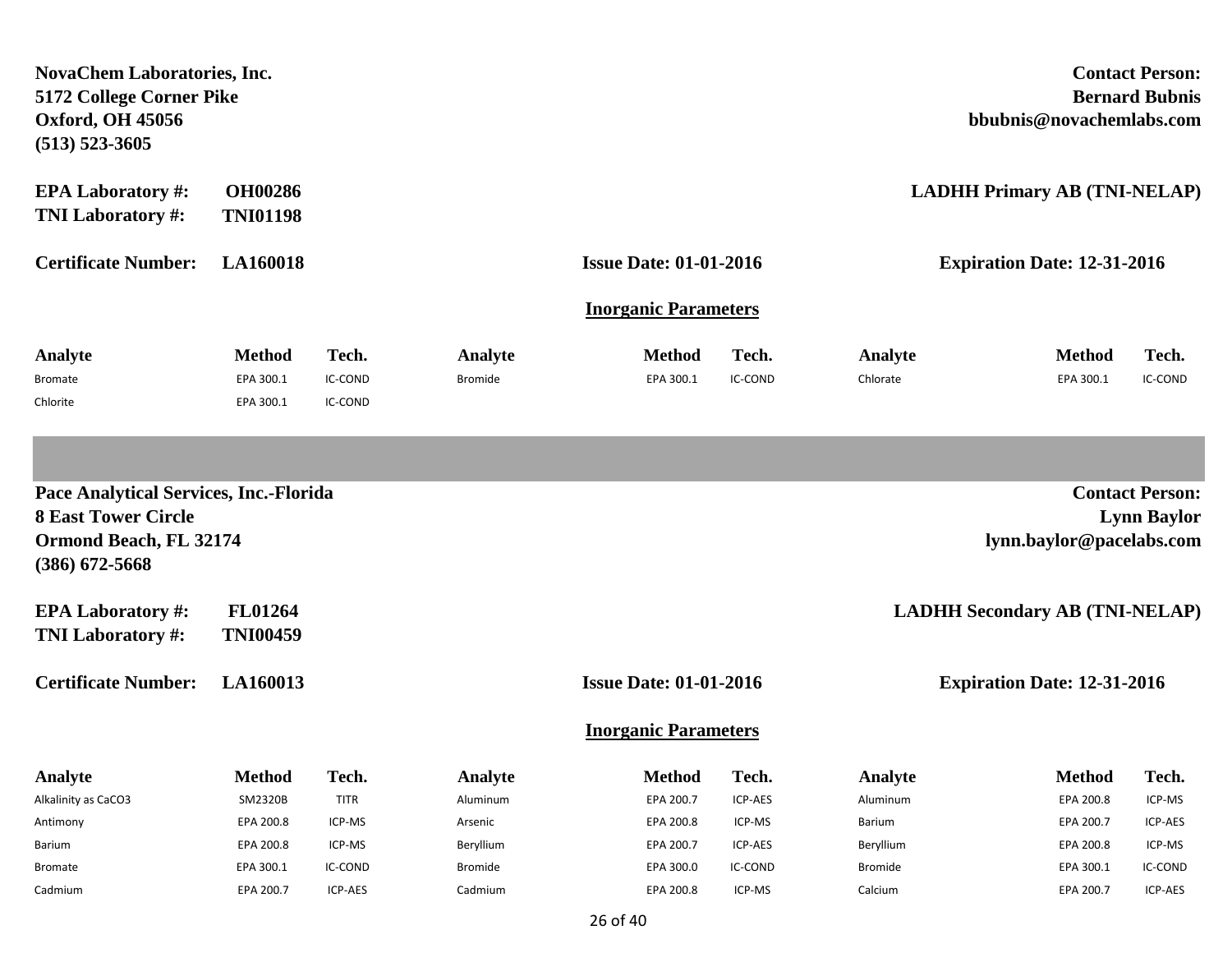| <b>NovaChem Laboratories, Inc.</b><br>5172 College Corner Pike<br><b>Oxford, OH 45056</b><br>$(513) 523 - 3605$           |                                         |                             |                           |                               |                  |                     | <b>Contact Person:</b><br><b>Bernard Bubnis</b><br>bbubnis@novachemlabs.com |                    |
|---------------------------------------------------------------------------------------------------------------------------|-----------------------------------------|-----------------------------|---------------------------|-------------------------------|------------------|---------------------|-----------------------------------------------------------------------------|--------------------|
| <b>EPA Laboratory #:</b><br>TNI Laboratory #:                                                                             | <b>OH00286</b><br><b>TNI01198</b>       |                             |                           |                               |                  |                     | <b>LADHH Primary AB (TNI-NELAP)</b>                                         |                    |
| <b>Certificate Number:</b>                                                                                                | <b>LA160018</b>                         |                             |                           | <b>Issue Date: 01-01-2016</b> |                  |                     | <b>Expiration Date: 12-31-2016</b>                                          |                    |
|                                                                                                                           |                                         |                             |                           | <b>Inorganic Parameters</b>   |                  |                     |                                                                             |                    |
| Analyte<br><b>Bromate</b><br>Chlorite                                                                                     | <b>Method</b><br>EPA 300.1<br>EPA 300.1 | Tech.<br>IC-COND<br>IC-COND | Analyte<br><b>Bromide</b> | <b>Method</b><br>EPA 300.1    | Tech.<br>IC-COND | Analyte<br>Chlorate | <b>Method</b><br>EPA 300.1                                                  | Tech.<br>IC-COND   |
|                                                                                                                           |                                         |                             |                           |                               |                  |                     |                                                                             |                    |
| <b>Pace Analytical Services, Inc.-Florida</b><br><b>8 East Tower Circle</b><br>Ormond Beach, FL 32174<br>$(386)$ 672-5668 |                                         |                             |                           |                               |                  |                     | <b>Contact Person:</b><br>lynn.baylor@pacelabs.com                          | <b>Lynn Baylor</b> |
| <b>EPA Laboratory #:</b><br><b>TNI Laboratory #:</b>                                                                      | <b>FL01264</b><br><b>TNI00459</b>       |                             |                           |                               |                  |                     | <b>LADHH Secondary AB (TNI-NELAP)</b>                                       |                    |
| <b>Certificate Number:</b>                                                                                                | LA160013                                |                             |                           | <b>Issue Date: 01-01-2016</b> |                  |                     | <b>Expiration Date: 12-31-2016</b>                                          |                    |
|                                                                                                                           |                                         |                             |                           | <b>Inorganic Parameters</b>   |                  |                     |                                                                             |                    |
| Analyte                                                                                                                   | <b>Method</b>                           | Tech.                       | Analyte                   | <b>Method</b>                 | Tech.            | Analyte             | <b>Method</b>                                                               | Tech.              |
| Alkalinity as CaCO3                                                                                                       | SM2320B                                 | TITR                        | Aluminum                  | EPA 200.7                     | ICP-AES          | Aluminum            | EPA 200.8                                                                   | ICP-MS             |
| Antimony                                                                                                                  | EPA 200.8                               | ICP-MS                      | Arsenic                   | EPA 200.8                     | ICP-MS           | Barium              | EPA 200.7                                                                   | ICP-AES            |
| Barium                                                                                                                    | EPA 200.8                               | ICP-MS                      | Beryllium                 | EPA 200.7                     | ICP-AES          | Beryllium           | EPA 200.8                                                                   | ICP-MS             |
| <b>Bromate</b>                                                                                                            | EPA 300.1                               | IC-COND                     | Bromide                   | EPA 300.0                     | IC-COND          | <b>Bromide</b>      | EPA 300.1                                                                   | IC-COND            |
| Cadmium                                                                                                                   | EPA 200.7                               | ICP-AES                     | Cadmium                   | EPA 200.8                     | ICP-MS           | Calcium             | EPA 200.7                                                                   | ICP-AES            |

26 of 40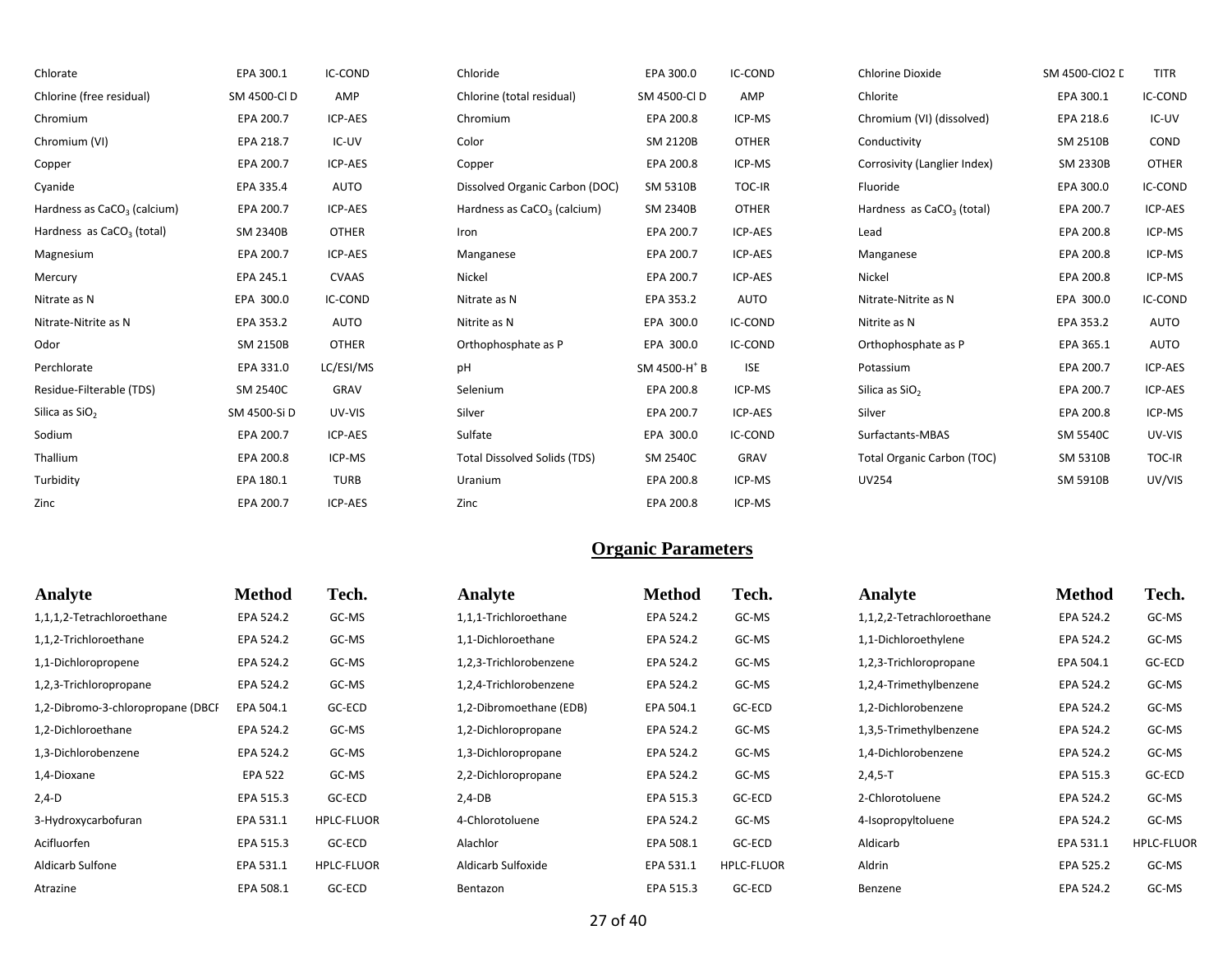| Chlorate                                | EPA 300.1       | IC-COND        | Chloride                                | EPA 300.0                | <b>IC-COND</b> | Chlorine Dioxide                  | SM 4500-CIO2 D  | <b>TITR</b>  |
|-----------------------------------------|-----------------|----------------|-----------------------------------------|--------------------------|----------------|-----------------------------------|-----------------|--------------|
| Chlorine (free residual)                | SM 4500-CID     | AMP            | Chlorine (total residual)               | SM 4500-CI D             | AMP            | Chlorite                          | EPA 300.1       | IC-COND      |
| Chromium                                | EPA 200.7       | ICP-AES        | Chromium                                | EPA 200.8                | ICP-MS         | Chromium (VI) (dissolved)         | EPA 218.6       | IC-UV        |
| Chromium (VI)                           | EPA 218.7       | IC-UV          | Color                                   | SM 2120B                 | <b>OTHER</b>   | Conductivity                      | <b>SM 2510B</b> | COND         |
| Copper                                  | EPA 200.7       | ICP-AES        | Copper                                  | EPA 200.8                | ICP-MS         | Corrosivity (Langlier Index)      | <b>SM 2330B</b> | <b>OTHER</b> |
| Cyanide                                 | EPA 335.4       | <b>AUTO</b>    | Dissolved Organic Carbon (DOC)          | <b>SM 5310B</b>          | TOC-IR         | Fluoride                          | EPA 300.0       | IC-COND      |
| Hardness as CaCO <sub>3</sub> (calcium) | EPA 200.7       | ICP-AES        | Hardness as CaCO <sub>3</sub> (calcium) | <b>SM 2340B</b>          | <b>OTHER</b>   | Hardness as $CaCO3$ (total)       | EPA 200.7       | ICP-AES      |
| Hardness as CaCO <sub>3</sub> (total)   | SM 2340B        | <b>OTHER</b>   | Iron                                    | EPA 200.7                | ICP-AES        | Lead                              | EPA 200.8       | ICP-MS       |
| Magnesium                               | EPA 200.7       | ICP-AES        | Manganese                               | EPA 200.7                | ICP-AES        | Manganese                         | EPA 200.8       | ICP-MS       |
| Mercury                                 | EPA 245.1       | <b>CVAAS</b>   | Nickel                                  | EPA 200.7                | ICP-AES        | Nickel                            | EPA 200.8       | ICP-MS       |
| Nitrate as N                            | EPA 300.0       | <b>IC-COND</b> | Nitrate as N                            | EPA 353.2                | AUTO           | Nitrate-Nitrite as N              | EPA 300.0       | IC-COND      |
| Nitrate-Nitrite as N                    | EPA 353.2       | AUTO           | Nitrite as N                            | EPA 300.0                | IC-COND        | Nitrite as N                      | EPA 353.2       | <b>AUTO</b>  |
| Odor                                    | SM 2150B        | <b>OTHER</b>   | Orthophosphate as P                     | EPA 300.0                | IC-COND        | Orthophosphate as P               | EPA 365.1       | AUTO         |
| Perchlorate                             | EPA 331.0       | LC/ESI/MS      | pH                                      | SM 4500-H <sup>+</sup> B | <b>ISE</b>     | Potassium                         | EPA 200.7       | ICP-AES      |
| Residue-Filterable (TDS)                | <b>SM 2540C</b> | GRAV           | Selenium                                | EPA 200.8                | ICP-MS         | Silica as SiO <sub>2</sub>        | EPA 200.7       | ICP-AES      |
| Silica as SiO <sub>2</sub>              | SM 4500-Si D    | UV-VIS         | Silver                                  | EPA 200.7                | ICP-AES        | Silver                            | EPA 200.8       | ICP-MS       |
| Sodium                                  | EPA 200.7       | ICP-AES        | Sulfate                                 | EPA 300.0                | IC-COND        | Surfactants-MBAS                  | <b>SM 5540C</b> | UV-VIS       |
| Thallium                                | EPA 200.8       | ICP-MS         | <b>Total Dissolved Solids (TDS)</b>     | <b>SM 2540C</b>          | GRAV           | <b>Total Organic Carbon (TOC)</b> | SM 5310B        | TOC-IR       |
| Turbidity                               | EPA 180.1       | <b>TURB</b>    | Uranium                                 | EPA 200.8                | ICP-MS         | <b>UV254</b>                      | SM 5910B        | UV/VIS       |
| Zinc                                    | EPA 200.7       | ICP-AES        | Zinc                                    | EPA 200.8                | ICP-MS         |                                   |                 |              |

| Analyte                           | <b>Method</b>  | Tech.             | Analyte                 | <b>Method</b> | Tech.             | Analyte                   | <b>Method</b> | Tech.             |
|-----------------------------------|----------------|-------------------|-------------------------|---------------|-------------------|---------------------------|---------------|-------------------|
| 1,1,1,2-Tetrachloroethane         | EPA 524.2      | GC-MS             | 1,1,1-Trichloroethane   | EPA 524.2     | GC-MS             | 1,1,2,2-Tetrachloroethane | EPA 524.2     | GC-MS             |
| 1,1,2-Trichloroethane             | EPA 524.2      | GC-MS             | 1,1-Dichloroethane      | EPA 524.2     | GC-MS             | 1,1-Dichloroethylene      | EPA 524.2     | GC-MS             |
| 1,1-Dichloropropene               | EPA 524.2      | GC-MS             | 1,2,3-Trichlorobenzene  | EPA 524.2     | GC-MS             | 1,2,3-Trichloropropane    | EPA 504.1     | GC-ECD            |
| 1,2,3-Trichloropropane            | EPA 524.2      | GC-MS             | 1,2,4-Trichlorobenzene  | EPA 524.2     | GC-MS             | 1,2,4-Trimethylbenzene    | EPA 524.2     | GC-MS             |
| 1,2-Dibromo-3-chloropropane (DBCI | EPA 504.1      | GC-ECD            | 1,2-Dibromoethane (EDB) | EPA 504.1     | GC-ECD            | 1,2-Dichlorobenzene       | EPA 524.2     | GC-MS             |
| 1,2-Dichloroethane                | EPA 524.2      | GC-MS             | 1,2-Dichloropropane     | EPA 524.2     | GC-MS             | 1,3,5-Trimethylbenzene    | EPA 524.2     | GC-MS             |
| 1,3-Dichlorobenzene               | EPA 524.2      | GC-MS             | 1,3-Dichloropropane     | EPA 524.2     | GC-MS             | 1,4-Dichlorobenzene       | EPA 524.2     | GC-MS             |
| 1,4-Dioxane                       | <b>EPA 522</b> | GC-MS             | 2,2-Dichloropropane     | EPA 524.2     | GC-MS             | $2,4,5-T$                 | EPA 515.3     | GC-ECD            |
| $2,4-D$                           | EPA 515.3      | GC-ECD            | $2,4-DB$                | EPA 515.3     | GC-ECD            | 2-Chlorotoluene           | EPA 524.2     | GC-MS             |
| 3-Hydroxycarbofuran               | EPA 531.1      | <b>HPLC-FLUOR</b> | 4-Chlorotoluene         | EPA 524.2     | GC-MS             | 4-Isopropyltoluene        | EPA 524.2     | GC-MS             |
| Acifluorfen                       | EPA 515.3      | GC-ECD            | Alachlor                | EPA 508.1     | GC-ECD            | Aldicarb                  | EPA 531.1     | <b>HPLC-FLUOR</b> |
| Aldicarb Sulfone                  | EPA 531.1      | <b>HPLC-FLUOR</b> | Aldicarb Sulfoxide      | EPA 531.1     | <b>HPLC-FLUOR</b> | Aldrin                    | EPA 525.2     | GC-MS             |
| Atrazine                          | EPA 508.1      | GC-ECD            | Bentazon                | EPA 515.3     | GC-ECD            | Benzene                   | EPA 524.2     | GC-MS             |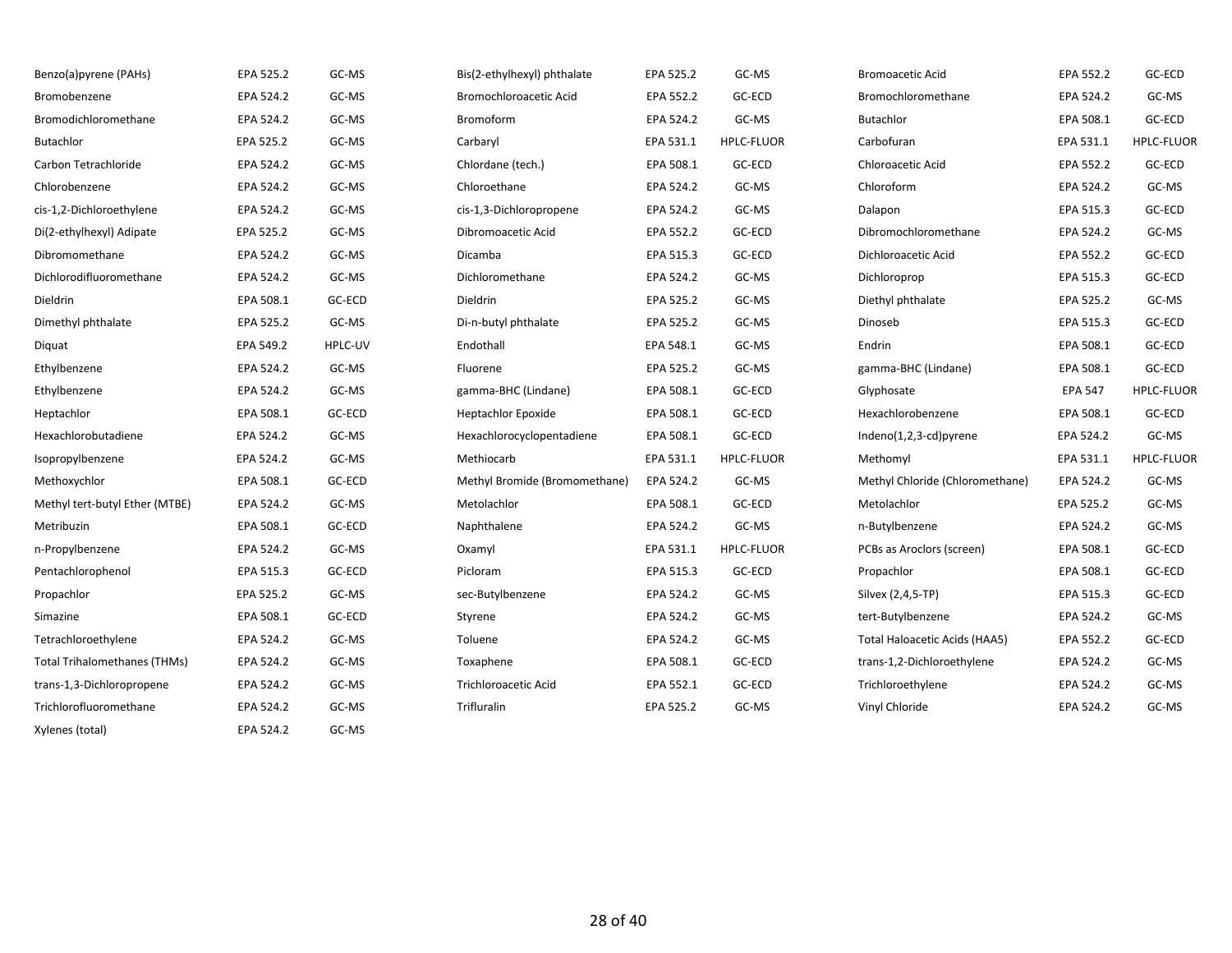| Benzo(a)pyrene (PAHs)               | EPA 525.2 | GC-MS   | Bis(2-ethylhexyl) phthalate   | EPA 525.2 | GC-MS             | <b>Bromoacetic Acid</b>         | EPA 552.2      | GC-ECD            |
|-------------------------------------|-----------|---------|-------------------------------|-----------|-------------------|---------------------------------|----------------|-------------------|
| Bromobenzene                        | EPA 524.2 | GC-MS   | Bromochloroacetic Acid        | EPA 552.2 | GC-ECD            | Bromochloromethane              | EPA 524.2      | GC-MS             |
| Bromodichloromethane                | EPA 524.2 | GC-MS   | <b>Bromoform</b>              | EPA 524.2 | GC-MS             | Butachlor                       | EPA 508.1      | GC-ECD            |
| Butachlor                           | EPA 525.2 | GC-MS   | Carbaryl                      | EPA 531.1 | <b>HPLC-FLUOR</b> | Carbofuran                      | EPA 531.1      | <b>HPLC-FLUOR</b> |
| Carbon Tetrachloride                | EPA 524.2 | GC-MS   | Chlordane (tech.)             | EPA 508.1 | GC-ECD            | <b>Chloroacetic Acid</b>        | EPA 552.2      | GC-ECD            |
| Chlorobenzene                       | EPA 524.2 | GC-MS   | Chloroethane                  | EPA 524.2 | GC-MS             | Chloroform                      | EPA 524.2      | GC-MS             |
| cis-1,2-Dichloroethylene            | EPA 524.2 | GC-MS   | cis-1,3-Dichloropropene       | EPA 524.2 | GC-MS             | Dalapon                         | EPA 515.3      | GC-ECD            |
| Di(2-ethylhexyl) Adipate            | EPA 525.2 | GC-MS   | Dibromoacetic Acid            | EPA 552.2 | GC-ECD            | Dibromochloromethane            | EPA 524.2      | GC-MS             |
| Dibromomethane                      | EPA 524.2 | GC-MS   | Dicamba                       | EPA 515.3 | GC-ECD            | Dichloroacetic Acid             | EPA 552.2      | GC-ECD            |
| Dichlorodifluoromethane             | EPA 524.2 | GC-MS   | Dichloromethane               | EPA 524.2 | GC-MS             | Dichloroprop                    | EPA 515.3      | GC-ECD            |
| Dieldrin                            | EPA 508.1 | GC-ECD  | Dieldrin                      | EPA 525.2 | GC-MS             | Diethyl phthalate               | EPA 525.2      | GC-MS             |
| Dimethyl phthalate                  | EPA 525.2 | GC-MS   | Di-n-butyl phthalate          | EPA 525.2 | GC-MS             | Dinoseb                         | EPA 515.3      | GC-ECD            |
| Diquat                              | EPA 549.2 | HPLC-UV | Endothall                     | EPA 548.1 | GC-MS             | Endrin                          | EPA 508.1      | GC-ECD            |
| Ethylbenzene                        | EPA 524.2 | GC-MS   | Fluorene                      | EPA 525.2 | GC-MS             | gamma-BHC (Lindane)             | EPA 508.1      | GC-ECD            |
| Ethylbenzene                        | EPA 524.2 | GC-MS   | gamma-BHC (Lindane)           | EPA 508.1 | GC-ECD            | Glyphosate                      | <b>EPA 547</b> | <b>HPLC-FLUOR</b> |
| Heptachlor                          | EPA 508.1 | GC-ECD  | <b>Heptachlor Epoxide</b>     | EPA 508.1 | GC-ECD            | Hexachlorobenzene               | EPA 508.1      | GC-ECD            |
| Hexachlorobutadiene                 | EPA 524.2 | GC-MS   | Hexachlorocyclopentadiene     | EPA 508.1 | GC-ECD            | Indeno(1,2,3-cd)pyrene          | EPA 524.2      | GC-MS             |
| Isopropylbenzene                    | EPA 524.2 | GC-MS   | Methiocarb                    | EPA 531.1 | <b>HPLC-FLUOR</b> | Methomyl                        | EPA 531.1      | HPLC-FLUOR        |
| Methoxychlor                        | EPA 508.1 | GC-ECD  | Methyl Bromide (Bromomethane) | EPA 524.2 | GC-MS             | Methyl Chloride (Chloromethane) | EPA 524.2      | GC-MS             |
| Methyl tert-butyl Ether (MTBE)      | EPA 524.2 | GC-MS   | Metolachlor                   | EPA 508.1 | GC-ECD            | Metolachlor                     | EPA 525.2      | GC-MS             |
| Metribuzin                          | EPA 508.1 | GC-ECD  | Naphthalene                   | EPA 524.2 | GC-MS             | n-Butylbenzene                  | EPA 524.2      | GC-MS             |
| n-Propylbenzene                     | EPA 524.2 | GC-MS   | Oxamyl                        | EPA 531.1 | HPLC-FLUOR        | PCBs as Aroclors (screen)       | EPA 508.1      | GC-ECD            |
| Pentachlorophenol                   | EPA 515.3 | GC-ECD  | Picloram                      | EPA 515.3 | GC-ECD            | Propachlor                      | EPA 508.1      | GC-ECD            |
| Propachlor                          | EPA 525.2 | GC-MS   | sec-Butylbenzene              | EPA 524.2 | GC-MS             | Silvex (2,4,5-TP)               | EPA 515.3      | GC-ECD            |
| Simazine                            | EPA 508.1 | GC-ECD  | Styrene                       | EPA 524.2 | GC-MS             | tert-Butylbenzene               | EPA 524.2      | GC-MS             |
| Tetrachloroethylene                 | EPA 524.2 | GC-MS   | Toluene                       | EPA 524.2 | GC-MS             | Total Haloacetic Acids (HAA5)   | EPA 552.2      | GC-ECD            |
| <b>Total Trihalomethanes (THMs)</b> | EPA 524.2 | GC-MS   | Toxaphene                     | EPA 508.1 | GC-ECD            | trans-1,2-Dichloroethylene      | EPA 524.2      | GC-MS             |
| trans-1,3-Dichloropropene           | EPA 524.2 | GC-MS   | <b>Trichloroacetic Acid</b>   | EPA 552.1 | GC-ECD            | Trichloroethylene               | EPA 524.2      | GC-MS             |
| Trichlorofluoromethane              | EPA 524.2 | GC-MS   | Trifluralin                   | EPA 525.2 | GC-MS             | Vinyl Chloride                  | EPA 524.2      | GC-MS             |
| Xylenes (total)                     | EPA 524.2 | GC-MS   |                               |           |                   |                                 |                |                   |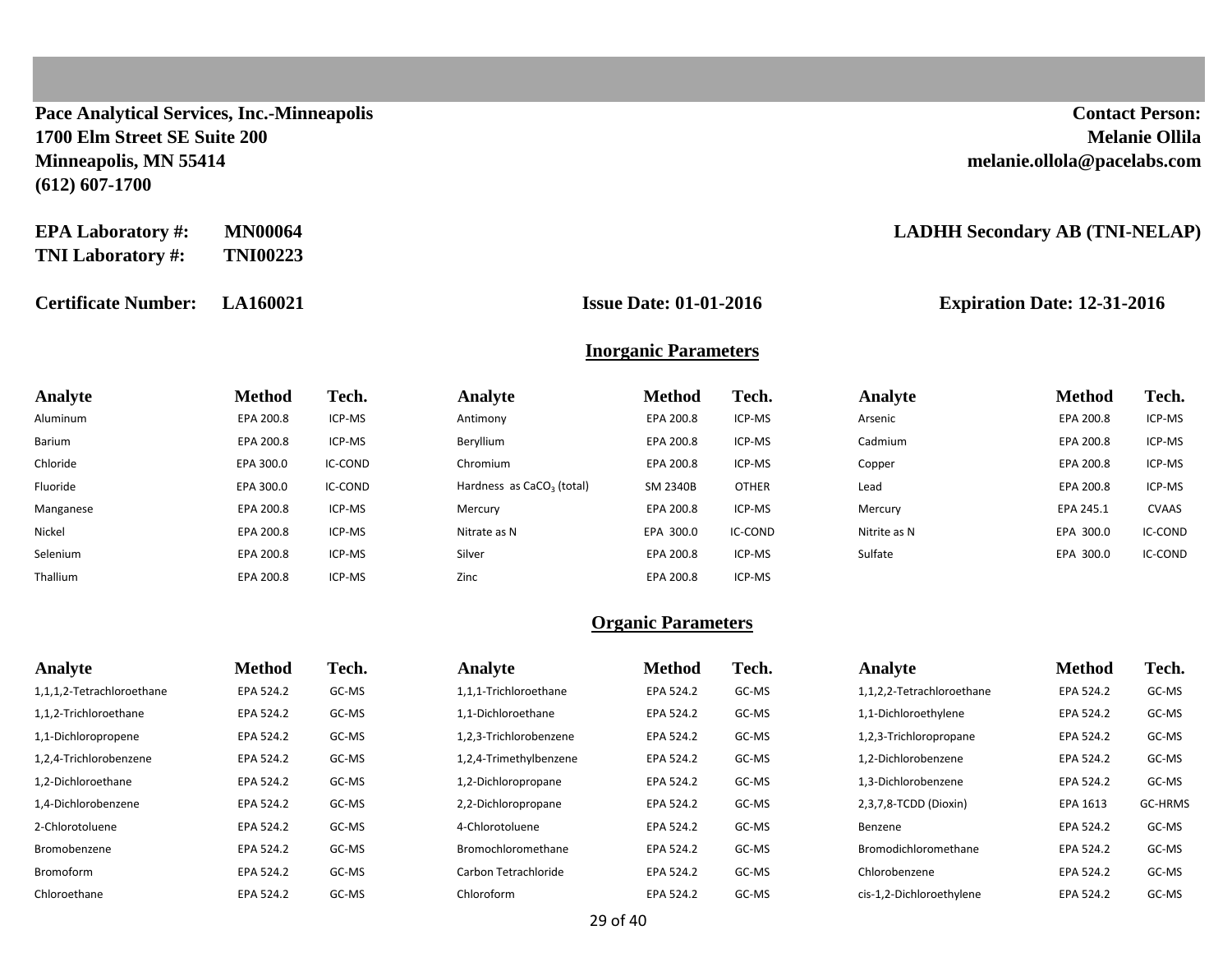**Pace Analytical Services, Inc.-Minneapolis Contact Person: 1700 Elm Street SE Suite 200 Melanie Ollila Minneapolis, MN 55414 melanie.ollola@pacelabs.com (612) 607-1700**

| <b>EPA Laboratory #:</b> | <b>MN00064</b>  |
|--------------------------|-----------------|
| <b>TNI Laboratory #:</b> | <b>TNI00223</b> |

**Certificate Number: LA160021 Issue Date: 01-01-2016 Expiration Date: 12-31-2016**

#### **EADHH Secondary AB (TNI-NELAP)**

#### **Inorganic Parameters**

| Analyte   | <b>Method</b> | Tech.   | Analyte                     | <b>Method</b> | Tech.        | Analyte      | <b>Method</b> | Tech.        |
|-----------|---------------|---------|-----------------------------|---------------|--------------|--------------|---------------|--------------|
| Aluminum  | EPA 200.8     | ICP-MS  | Antimony                    | EPA 200.8     | ICP-MS       | Arsenic      | EPA 200.8     | ICP-MS       |
| Barium    | EPA 200.8     | ICP-MS  | Beryllium                   | EPA 200.8     | ICP-MS       | Cadmium      | EPA 200.8     | ICP-MS       |
| Chloride  | EPA 300.0     | IC-COND | Chromium                    | EPA 200.8     | ICP-MS       | Copper       | EPA 200.8     | ICP-MS       |
| Fluoride  | EPA 300.0     | IC-COND | Hardness as $CaCO3$ (total) | SM 2340B      | <b>OTHER</b> | Lead         | EPA 200.8     | ICP-MS       |
| Manganese | EPA 200.8     | ICP-MS  | Mercury                     | EPA 200.8     | ICP-MS       | Mercury      | EPA 245.1     | <b>CVAAS</b> |
| Nickel    | EPA 200.8     | ICP-MS  | Nitrate as N                | EPA 300.0     | IC-COND      | Nitrite as N | EPA 300.0     | IC-COND      |
| Selenium  | EPA 200.8     | ICP-MS  | Silver                      | EPA 200.8     | ICP-MS       | Sulfate      | EPA 300.0     | IC-COND      |
| Thallium  | EPA 200.8     | ICP-MS  | Zinc                        | EPA 200.8     | ICP-MS       |              |               |              |

| Analyte                   | <b>Method</b> | Tech. | Analyte                | <b>Method</b> | Tech. | Analyte                   | <b>Method</b> | Tech.   |
|---------------------------|---------------|-------|------------------------|---------------|-------|---------------------------|---------------|---------|
| 1,1,1,2-Tetrachloroethane | EPA 524.2     | GC-MS | 1,1,1-Trichloroethane  | EPA 524.2     | GC-MS | 1,1,2,2-Tetrachloroethane | EPA 524.2     | GC-MS   |
| 1,1,2-Trichloroethane     | EPA 524.2     | GC-MS | 1.1-Dichloroethane     | EPA 524.2     | GC-MS | 1,1-Dichloroethylene      | EPA 524.2     | GC-MS   |
| 1,1-Dichloropropene       | EPA 524.2     | GC-MS | 1,2,3-Trichlorobenzene | EPA 524.2     | GC-MS | 1,2,3-Trichloropropane    | EPA 524.2     | GC-MS   |
| 1,2,4-Trichlorobenzene    | EPA 524.2     | GC-MS | 1,2,4-Trimethylbenzene | EPA 524.2     | GC-MS | 1.2-Dichlorobenzene       | EPA 524.2     | GC-MS   |
| 1.2-Dichloroethane        | EPA 524.2     | GC-MS | 1,2-Dichloropropane    | EPA 524.2     | GC-MS | 1.3-Dichlorobenzene       | EPA 524.2     | GC-MS   |
| 1.4-Dichlorobenzene       | EPA 524.2     | GC-MS | 2,2-Dichloropropane    | EPA 524.2     | GC-MS | 2,3,7,8-TCDD (Dioxin)     | EPA 1613      | GC-HRMS |
| 2-Chlorotoluene           | EPA 524.2     | GC-MS | 4-Chlorotoluene        | EPA 524.2     | GC-MS | Benzene                   | EPA 524.2     | GC-MS   |
| Bromobenzene              | EPA 524.2     | GC-MS | Bromochloromethane     | EPA 524.2     | GC-MS | Bromodichloromethane      | EPA 524.2     | GC-MS   |
| <b>Bromoform</b>          | EPA 524.2     | GC-MS | Carbon Tetrachloride   | EPA 524.2     | GC-MS | Chlorobenzene             | EPA 524.2     | GC-MS   |
| Chloroethane              | EPA 524.2     | GC-MS | Chloroform             | EPA 524.2     | GC-MS | cis-1,2-Dichloroethylene  | EPA 524.2     | GC-MS   |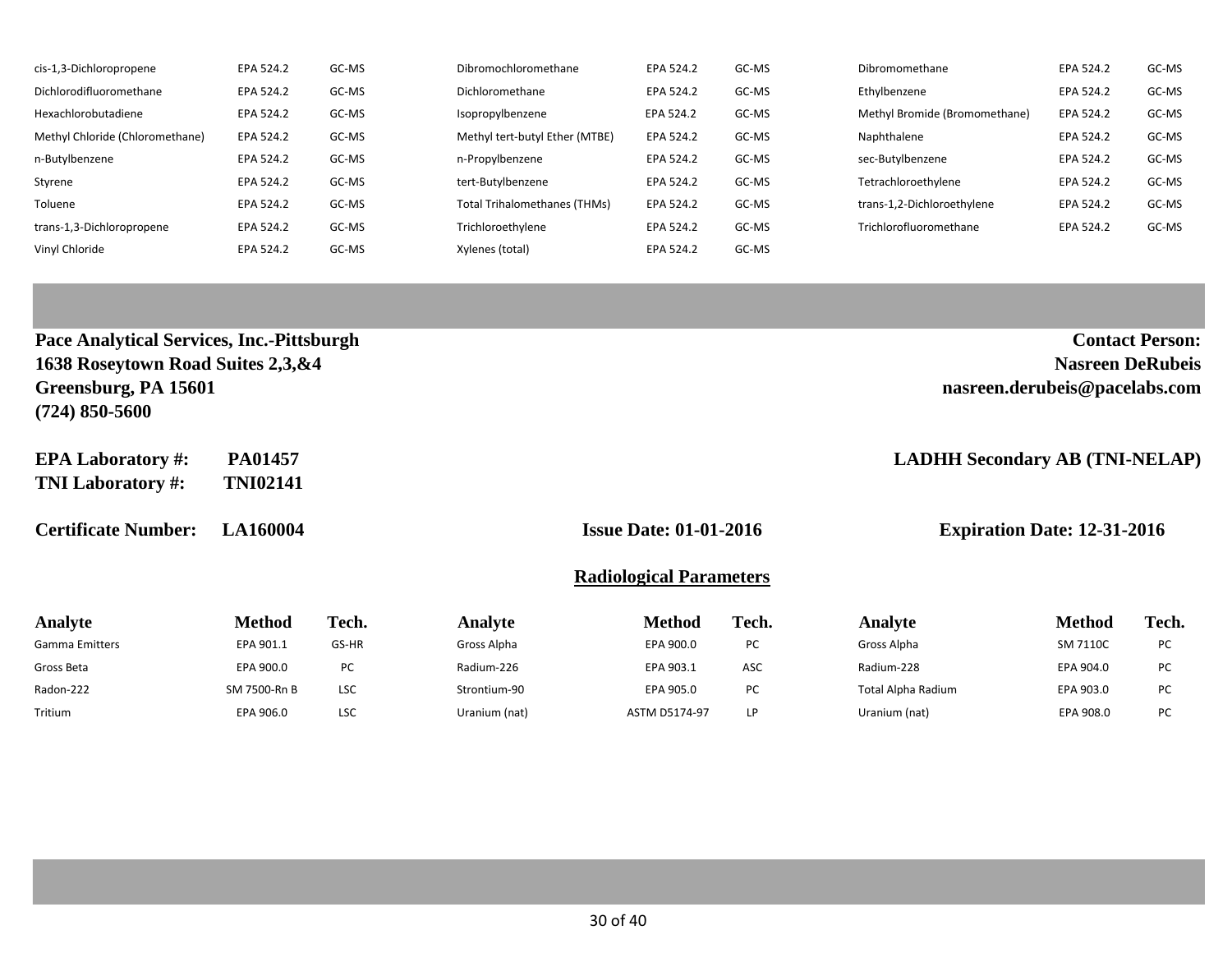| cis-1,3-Dichloropropene         | EPA 524.2 | GC-MS | Dibromochloromethane           | EPA 524.2 | GC-MS | Dibromomethane                | EPA 524.2 | GC-MS |
|---------------------------------|-----------|-------|--------------------------------|-----------|-------|-------------------------------|-----------|-------|
| Dichlorodifluoromethane         | EPA 524.2 | GC-MS | Dichloromethane                | EPA 524.2 | GC-MS | Ethylbenzene                  | EPA 524.2 | GC-MS |
| Hexachlorobutadiene             | EPA 524.2 | GC-MS | Isopropylbenzene               | EPA 524.2 | GC-MS | Methyl Bromide (Bromomethane) | EPA 524.2 | GC-MS |
| Methyl Chloride (Chloromethane) | EPA 524.2 | GC-MS | Methyl tert-butyl Ether (MTBE) | EPA 524.2 | GC-MS | Naphthalene                   | EPA 524.2 | GC-MS |
| n-Butylbenzene                  | EPA 524.2 | GC-MS | n-Propylbenzene                | EPA 524.2 | GC-MS | sec-Butylbenzene              | EPA 524.2 | GC-MS |
| Styrene                         | EPA 524.2 | GC-MS | tert-Butylbenzene              | EPA 524.2 | GC-MS | Tetrachloroethylene           | EPA 524.2 | GC-MS |
| Toluene                         | EPA 524.2 | GC-MS | Total Trihalomethanes (THMs)   | EPA 524.2 | GC-MS | trans-1,2-Dichloroethylene    | EPA 524.2 | GC-MS |
| trans-1,3-Dichloropropene       | EPA 524.2 | GC-MS | Trichloroethylene              | EPA 524.2 | GC-MS | Trichlorofluoromethane        | EPA 524.2 | GC-MS |
| Vinyl Chloride                  | EPA 524.2 | GC-MS | Xylenes (total)                | EPA 524.2 | GC-MS |                               |           |       |

| Pace Analytical Services, Inc.-Pittsburgh<br>1638 Roseytown Road Suites 2,3, & 4<br>Greensburg, PA 15601<br>$(724)$ 850-5600 |                            |       |             |                                |                                                                     |             | <b>Nasreen DeRubeis</b><br>nasreen.derubeis@pacelabs.com | <b>Contact Person:</b> |
|------------------------------------------------------------------------------------------------------------------------------|----------------------------|-------|-------------|--------------------------------|---------------------------------------------------------------------|-------------|----------------------------------------------------------|------------------------|
| <b>EPA Laboratory #:</b><br><b>TNI Laboratory #:</b>                                                                         | PA01457<br><b>TNI02141</b> |       |             |                                |                                                                     |             | <b>LADHH Secondary AB (TNI-NELAP)</b>                    |                        |
| <b>Certificate Number:</b>                                                                                                   | <b>LA160004</b>            |       |             |                                | <b>Issue Date: 01-01-2016</b><br><b>Expiration Date: 12-31-2016</b> |             |                                                          |                        |
|                                                                                                                              |                            |       |             | <b>Radiological Parameters</b> |                                                                     |             |                                                          |                        |
| Analyte                                                                                                                      | <b>Method</b>              | Tech. | Analyte     | <b>Method</b>                  | Tech.                                                               | Analyte     | <b>Method</b>                                            | Tech.                  |
| <b>Gamma Emitters</b>                                                                                                        | EPA 901.1                  | GS-HR | Gross Alpha | EPA 900.0                      | PC                                                                  | Gross Alpha | SM 7110C                                                 | PC                     |
| Gross Beta                                                                                                                   | EPA 900.0                  | PC    | Radium-226  | EPA 903.1                      | <b>ASC</b>                                                          | Radium-228  | EPA 904.0                                                | PC                     |

Radon-222 SM 7500-Rn B LSC Strontium-90 EPA 905.0 PC Total Alpha Radium EPA 903.0 PC Tritium EPA 906.0 LSC Uranium (nat) ASTM D5174-97 LP Uranium (nat) EPA 908.0 PC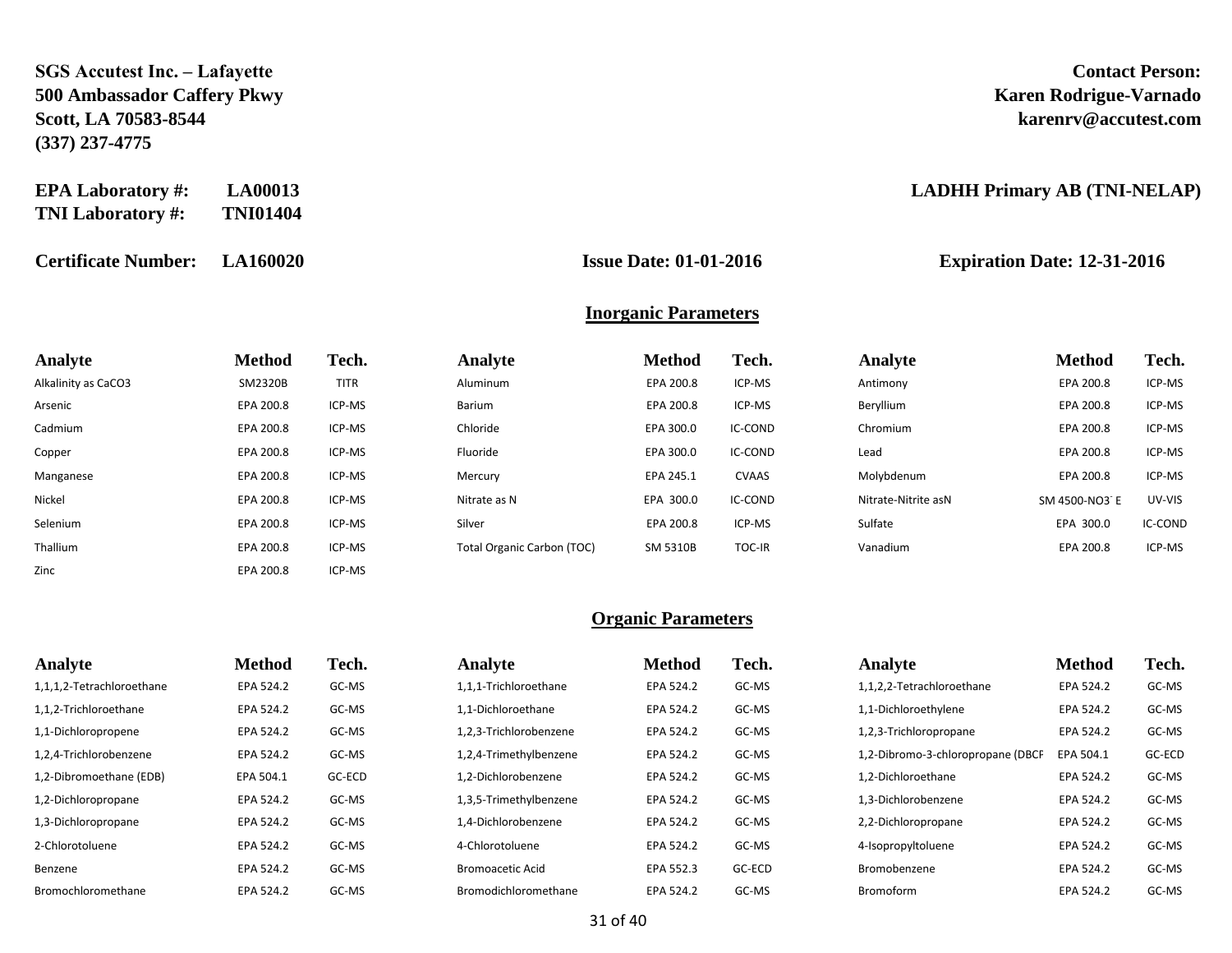### **SGS Accutest Inc. – Lafayette Contact Person: 500 Ambassador Caffery Pkwy Karen Rodrigue-Varnado Scott, LA 70583-8544 karenrv@accutest.com (337) 237-4775**

| <b>EPA Laboratory #:</b> | <b>LA00013</b>  |
|--------------------------|-----------------|
| <b>TNI Laboratory #:</b> | <b>TNI01404</b> |

**Certificate Number: LA160020 Issue Date: 01-01-2016 Expiration Date: 12-31-2016**

Zinc **EPA 200.8** ICP-MS

#### **EXADHH Primary AB (TNI-NELAP)**

#### **Inorganic Parameters**

| Analyte             | Method    | Tech.       | Analyte                           | <b>Method</b>   | Tech.        | Analyte             | <b>Method</b> | Tech.   |
|---------------------|-----------|-------------|-----------------------------------|-----------------|--------------|---------------------|---------------|---------|
| Alkalinity as CaCO3 | SM2320B   | <b>TITR</b> | Aluminum                          | EPA 200.8       | ICP-MS       | Antimony            | EPA 200.8     | ICP-MS  |
| Arsenic             | EPA 200.8 | ICP-MS      | Barium                            | EPA 200.8       | ICP-MS       | Beryllium           | EPA 200.8     | ICP-MS  |
| Cadmium             | EPA 200.8 | ICP-MS      | Chloride                          | EPA 300.0       | IC-COND      | Chromium            | EPA 200.8     | ICP-MS  |
| Copper              | EPA 200.8 | ICP-MS      | Fluoride                          | EPA 300.0       | IC-COND      | Lead                | EPA 200.8     | ICP-MS  |
| Manganese           | EPA 200.8 | ICP-MS      | Mercury                           | EPA 245.1       | <b>CVAAS</b> | Molybdenum          | EPA 200.8     | ICP-MS  |
| Nickel              | EPA 200.8 | ICP-MS      | Nitrate as N                      | EPA 300.0       | IC-COND      | Nitrate-Nitrite asN | SM 4500-NO3 E | UV-VIS  |
| Selenium            | EPA 200.8 | ICP-MS      | Silver                            | EPA 200.8       | ICP-MS       | Sulfate             | EPA 300.0     | IC-COND |
| Thallium            | EPA 200.8 | ICP-MS      | <b>Total Organic Carbon (TOC)</b> | <b>SM 5310B</b> | TOC-IR       | Vanadium            | EPA 200.8     | ICP-MS  |

| Analyte                   | <b>Method</b> | Tech.  | Analyte                 | <b>Method</b> | Tech.  | Analyte                           | <b>Method</b> | Tech.  |
|---------------------------|---------------|--------|-------------------------|---------------|--------|-----------------------------------|---------------|--------|
| 1,1,1,2-Tetrachloroethane | EPA 524.2     | GC-MS  | 1,1,1-Trichloroethane   | EPA 524.2     | GC-MS  | 1,1,2,2-Tetrachloroethane         | EPA 524.2     | GC-MS  |
| 1,1,2-Trichloroethane     | EPA 524.2     | GC-MS  | 1,1-Dichloroethane      | EPA 524.2     | GC-MS  | 1,1-Dichloroethylene              | EPA 524.2     | GC-MS  |
| 1,1-Dichloropropene       | EPA 524.2     | GC-MS  | 1,2,3-Trichlorobenzene  | EPA 524.2     | GC-MS  | 1,2,3-Trichloropropane            | EPA 524.2     | GC-MS  |
| 1,2,4-Trichlorobenzene    | EPA 524.2     | GC-MS  | 1,2,4-Trimethylbenzene  | EPA 524.2     | GC-MS  | 1,2-Dibromo-3-chloropropane (DBCP | EPA 504.1     | GC-ECD |
| 1,2-Dibromoethane (EDB)   | EPA 504.1     | GC-ECD | 1,2-Dichlorobenzene     | EPA 524.2     | GC-MS  | 1,2-Dichloroethane                | EPA 524.2     | GC-MS  |
| 1,2-Dichloropropane       | EPA 524.2     | GC-MS  | 1,3,5-Trimethylbenzene  | EPA 524.2     | GC-MS  | 1.3-Dichlorobenzene               | EPA 524.2     | GC-MS  |
| 1,3-Dichloropropane       | EPA 524.2     | GC-MS  | 1.4-Dichlorobenzene     | EPA 524.2     | GC-MS  | 2,2-Dichloropropane               | EPA 524.2     | GC-MS  |
| 2-Chlorotoluene           | EPA 524.2     | GC-MS  | 4-Chlorotoluene         | EPA 524.2     | GC-MS  | 4-Isopropyltoluene                | EPA 524.2     | GC-MS  |
| Benzene                   | EPA 524.2     | GC-MS  | <b>Bromoacetic Acid</b> | EPA 552.3     | GC-ECD | Bromobenzene                      | EPA 524.2     | GC-MS  |
| Bromochloromethane        | EPA 524.2     | GC-MS  | Bromodichloromethane    | EPA 524.2     | GC-MS  | Bromoform                         | EPA 524.2     | GC-MS  |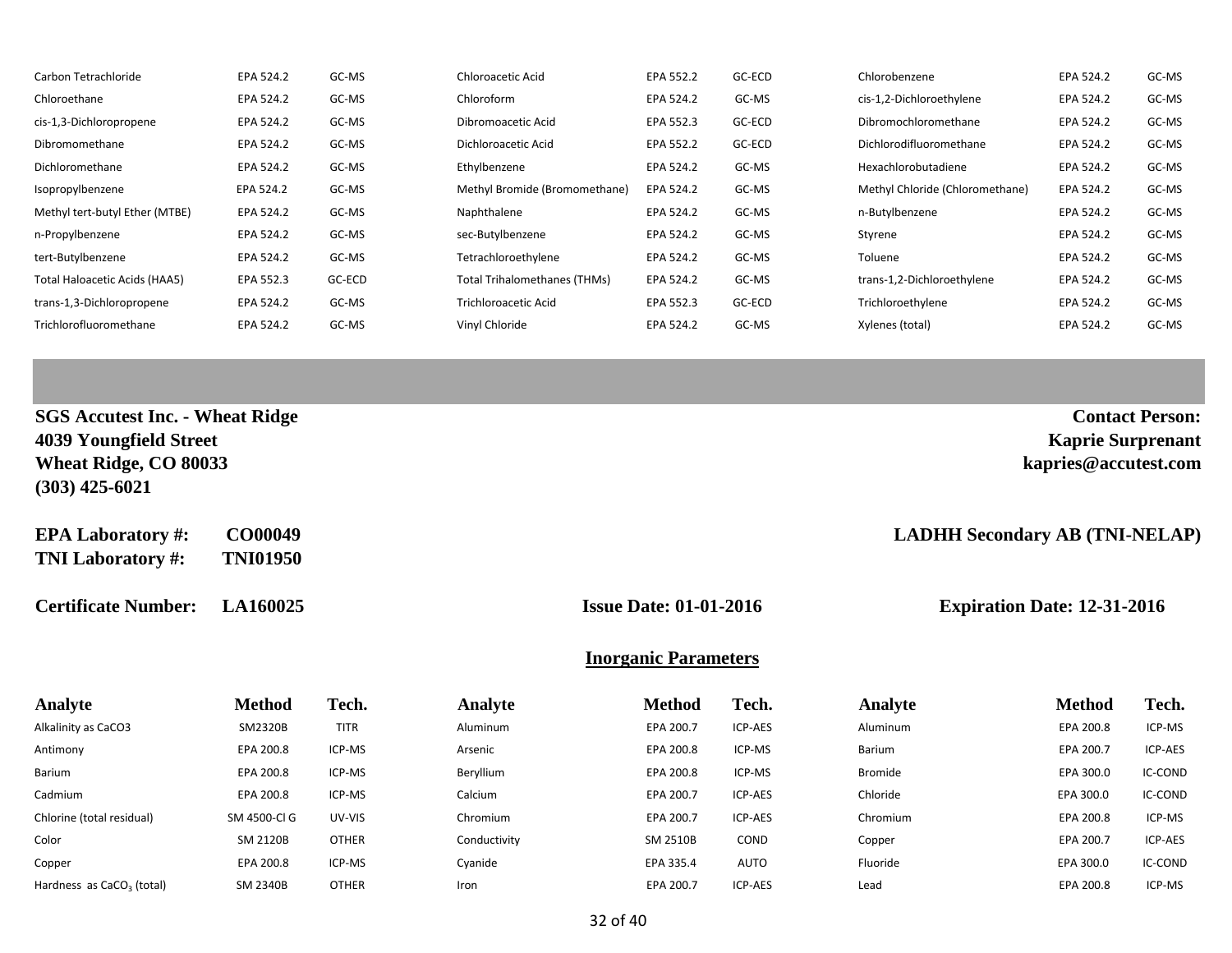| Carbon Tetrachloride           | EPA 524.2 | GC-MS  | Chloroacetic Acid             | EPA 552.2 | GC-ECD | Chlorobenzene                   | EPA 524.2 | GC-MS |
|--------------------------------|-----------|--------|-------------------------------|-----------|--------|---------------------------------|-----------|-------|
| Chloroethane                   | EPA 524.2 | GC-MS  | Chloroform                    | EPA 524.2 | GC-MS  | cis-1,2-Dichloroethylene        | EPA 524.2 | GC-MS |
| cis-1,3-Dichloropropene        | EPA 524.2 | GC-MS  | Dibromoacetic Acid            | EPA 552.3 | GC-ECD | Dibromochloromethane            | EPA 524.2 | GC-MS |
| Dibromomethane                 | EPA 524.2 | GC-MS  | Dichloroacetic Acid           | EPA 552.2 | GC-ECD | Dichlorodifluoromethane         | EPA 524.2 | GC-MS |
| Dichloromethane                | EPA 524.2 | GC-MS  | Ethylbenzene                  | EPA 524.2 | GC-MS  | Hexachlorobutadiene             | EPA 524.2 | GC-MS |
| Isopropylbenzene               | EPA 524.2 | GC-MS  | Methyl Bromide (Bromomethane) | EPA 524.2 | GC-MS  | Methyl Chloride (Chloromethane) | EPA 524.2 | GC-MS |
| Methyl tert-butyl Ether (MTBE) | EPA 524.2 | GC-MS  | Naphthalene                   | EPA 524.2 | GC-MS  | n-Butylbenzene                  | EPA 524.2 | GC-MS |
| n-Propylbenzene                | EPA 524.2 | GC-MS  | sec-Butylbenzene              | EPA 524.2 | GC-MS  | Styrene                         | EPA 524.2 | GC-MS |
| tert-Butylbenzene              | EPA 524.2 | GC-MS  | Tetrachloroethylene           | EPA 524.2 | GC-MS  | Toluene                         | EPA 524.2 | GC-MS |
| Total Haloacetic Acids (HAA5)  | EPA 552.3 | GC-ECD | Total Trihalomethanes (THMs)  | EPA 524.2 | GC-MS  | trans-1,2-Dichloroethylene      | EPA 524.2 | GC-MS |
| trans-1,3-Dichloropropene      | EPA 524.2 | GC-MS  | <b>Trichloroacetic Acid</b>   | EPA 552.3 | GC-ECD | Trichloroethylene               | EPA 524.2 | GC-MS |
| Trichlorofluoromethane         | EPA 524.2 | GC-MS  | Vinyl Chloride                | EPA 524.2 | GC-MS  | Xylenes (total)                 | EPA 524.2 | GC-MS |

| <b>SGS Accutest Inc. - Wheat Ridge</b> | <b>Contact Person:</b>   |
|----------------------------------------|--------------------------|
| 4039 Youngfield Street                 | <b>Kaprie Surprenant</b> |
| Wheat Ridge, CO 80033                  | kapries@accutest.com     |
| $(303)$ 425-6021                       |                          |
|                                        |                          |

| <b>EPA Laboratory#:</b>  | CO00049         |
|--------------------------|-----------------|
| <b>TNI Laboratory #:</b> | <b>TNI01950</b> |

**Certificate Number: LA160025 Issue Date: 01-01-2016 Expiration Date: 12-31-2016**

 $\bf{LADHH}$  Secondary AB (TNI-NELAP)

### **Inorganic Parameters**

| <b>Analyte</b>                        | <b>Method</b>   | Tech.        | Analyte      | <b>Method</b> | Tech.          | Analyte        | <b>Method</b> | Tech.   |
|---------------------------------------|-----------------|--------------|--------------|---------------|----------------|----------------|---------------|---------|
| Alkalinity as CaCO3                   | SM2320B         | <b>TITR</b>  | Aluminum     | EPA 200.7     | ICP-AES        | Aluminum       | EPA 200.8     | ICP-MS  |
| Antimony                              | EPA 200.8       | ICP-MS       | Arsenic      | EPA 200.8     | ICP-MS         | Barium         | EPA 200.7     | ICP-AES |
| Barium                                | EPA 200.8       | ICP-MS       | Beryllium    | EPA 200.8     | ICP-MS         | <b>Bromide</b> | EPA 300.0     | IC-COND |
| Cadmium                               | EPA 200.8       | ICP-MS       | Calcium      | EPA 200.7     | ICP-AES        | Chloride       | EPA 300.0     | IC-COND |
| Chlorine (total residual)             | SM 4500-Cl G    | UV-VIS       | Chromium     | EPA 200.7     | ICP-AES        | Chromium       | EPA 200.8     | ICP-MS  |
| Color                                 | SM 2120B        | <b>OTHER</b> | Conductivity | SM 2510B      | COND           | Copper         | EPA 200.7     | ICP-AES |
| Copper                                | EPA 200.8       | ICP-MS       | Cyanide      | EPA 335.4     | AUTO           | Fluoride       | EPA 300.0     | IC-COND |
| Hardness as CaCO <sub>3</sub> (total) | <b>SM 2340B</b> | <b>OTHER</b> | Iron         | EPA 200.7     | <b>ICP-AES</b> | Lead           | EPA 200.8     | ICP-MS  |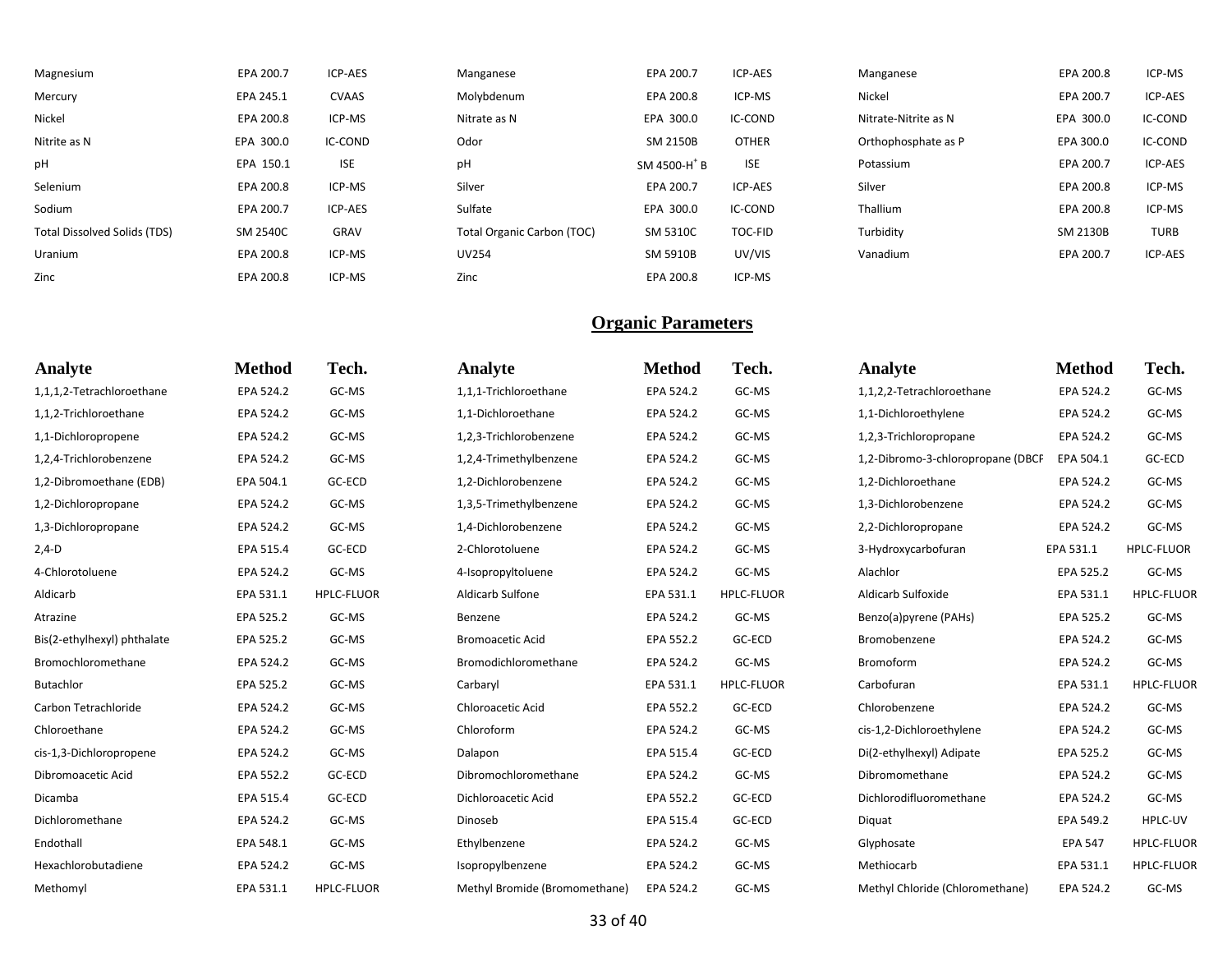| Magnesium                           | EPA 200.7       | <b>ICP-AES</b> | Manganese                  | EPA 200.7                | ICP-AES        | Manganese            | EPA 200.8 | ICP-MS      |
|-------------------------------------|-----------------|----------------|----------------------------|--------------------------|----------------|----------------------|-----------|-------------|
| Mercury                             | EPA 245.1       | <b>CVAAS</b>   | Molybdenum                 | EPA 200.8                | ICP-MS         | Nickel               | EPA 200.7 | ICP-AES     |
| Nickel                              | EPA 200.8       | ICP-MS         | Nitrate as N               | EPA 300.0                | IC-COND        | Nitrate-Nitrite as N | EPA 300.0 | IC-COND     |
| Nitrite as N                        | EPA 300.0       | IC-COND        | Odor                       | SM 2150B                 | <b>OTHER</b>   | Orthophosphate as P  | EPA 300.0 | IC-COND     |
| pH                                  | EPA 150.1       | <b>ISE</b>     | pH                         | SM 4500-H <sup>+</sup> B | <b>ISE</b>     | Potassium            | EPA 200.7 | ICP-AES     |
| Selenium                            | EPA 200.8       | ICP-MS         | Silver                     | EPA 200.7                | <b>ICP-AES</b> | Silver               | EPA 200.8 | ICP-MS      |
| Sodium                              | EPA 200.7       | <b>ICP-AES</b> | Sulfate                    | EPA 300.0                | IC-COND        | Thallium             | EPA 200.8 | ICP-MS      |
| <b>Total Dissolved Solids (TDS)</b> | <b>SM 2540C</b> | GRAV           | Total Organic Carbon (TOC) | <b>SM 5310C</b>          | <b>TOC-FID</b> | Turbidity            | SM 2130B  | <b>TURB</b> |
| Uranium                             | EPA 200.8       | ICP-MS         | <b>UV254</b>               | <b>SM 5910B</b>          | UV/VIS         | Vanadium             | EPA 200.7 | ICP-AES     |
| Zinc                                | EPA 200.8       | ICP-MS         | Zinc                       | EPA 200.8                | ICP-MS         |                      |           |             |

| <b>Analyte</b>              | <b>Method</b> | Tech.             | Analyte                       | <b>Method</b> | Tech.             | Analyte                           | <b>Method</b>  | Tech.             |
|-----------------------------|---------------|-------------------|-------------------------------|---------------|-------------------|-----------------------------------|----------------|-------------------|
| 1,1,1,2-Tetrachloroethane   | EPA 524.2     | GC-MS             | 1,1,1-Trichloroethane         | EPA 524.2     | GC-MS             | 1,1,2,2-Tetrachloroethane         | EPA 524.2      | GC-MS             |
| 1,1,2-Trichloroethane       | EPA 524.2     | GC-MS             | 1,1-Dichloroethane            | EPA 524.2     | GC-MS             | 1,1-Dichloroethylene              | EPA 524.2      | GC-MS             |
| 1,1-Dichloropropene         | EPA 524.2     | GC-MS             | 1,2,3-Trichlorobenzene        | EPA 524.2     | GC-MS             | 1,2,3-Trichloropropane            | EPA 524.2      | GC-MS             |
| 1,2,4-Trichlorobenzene      | EPA 524.2     | GC-MS             | 1,2,4-Trimethylbenzene        | EPA 524.2     | GC-MS             | 1,2-Dibromo-3-chloropropane (DBCP | EPA 504.1      | GC-ECD            |
| 1,2-Dibromoethane (EDB)     | EPA 504.1     | GC-ECD            | 1,2-Dichlorobenzene           | EPA 524.2     | GC-MS             | 1,2-Dichloroethane                | EPA 524.2      | GC-MS             |
| 1,2-Dichloropropane         | EPA 524.2     | GC-MS             | 1,3,5-Trimethylbenzene        | EPA 524.2     | GC-MS             | 1,3-Dichlorobenzene               | EPA 524.2      | GC-MS             |
| 1,3-Dichloropropane         | EPA 524.2     | GC-MS             | 1,4-Dichlorobenzene           | EPA 524.2     | GC-MS             | 2,2-Dichloropropane               | EPA 524.2      | GC-MS             |
| $2,4-D$                     | EPA 515.4     | GC-ECD            | 2-Chlorotoluene               | EPA 524.2     | GC-MS             | 3-Hydroxycarbofuran               | EPA 531.1      | <b>HPLC-FLUOR</b> |
| 4-Chlorotoluene             | EPA 524.2     | GC-MS             | 4-Isopropyltoluene            | EPA 524.2     | GC-MS             | Alachlor                          | EPA 525.2      | GC-MS             |
| Aldicarb                    | EPA 531.1     | <b>HPLC-FLUOR</b> | Aldicarb Sulfone              | EPA 531.1     | <b>HPLC-FLUOR</b> | Aldicarb Sulfoxide                | EPA 531.1      | <b>HPLC-FLUOR</b> |
| Atrazine                    | EPA 525.2     | GC-MS             | Benzene                       | EPA 524.2     | GC-MS             | Benzo(a)pyrene (PAHs)             | EPA 525.2      | GC-MS             |
| Bis(2-ethylhexyl) phthalate | EPA 525.2     | GC-MS             | <b>Bromoacetic Acid</b>       | EPA 552.2     | GC-ECD            | Bromobenzene                      | EPA 524.2      | GC-MS             |
| Bromochloromethane          | EPA 524.2     | GC-MS             | Bromodichloromethane          | EPA 524.2     | GC-MS             | Bromoform                         | EPA 524.2      | GC-MS             |
| Butachlor                   | EPA 525.2     | GC-MS             | Carbaryl                      | EPA 531.1     | <b>HPLC-FLUOR</b> | Carbofuran                        | EPA 531.1      | HPLC-FLUOR        |
| Carbon Tetrachloride        | EPA 524.2     | GC-MS             | Chloroacetic Acid             | EPA 552.2     | GC-ECD            | Chlorobenzene                     | EPA 524.2      | GC-MS             |
| Chloroethane                | EPA 524.2     | GC-MS             | Chloroform                    | EPA 524.2     | GC-MS             | cis-1,2-Dichloroethylene          | EPA 524.2      | GC-MS             |
| cis-1,3-Dichloropropene     | EPA 524.2     | GC-MS             | Dalapon                       | EPA 515.4     | GC-ECD            | Di(2-ethylhexyl) Adipate          | EPA 525.2      | GC-MS             |
| Dibromoacetic Acid          | EPA 552.2     | GC-ECD            | Dibromochloromethane          | EPA 524.2     | GC-MS             | Dibromomethane                    | EPA 524.2      | GC-MS             |
| Dicamba                     | EPA 515.4     | GC-ECD            | Dichloroacetic Acid           | EPA 552.2     | GC-ECD            | Dichlorodifluoromethane           | EPA 524.2      | GC-MS             |
| Dichloromethane             | EPA 524.2     | GC-MS             | Dinoseb                       | EPA 515.4     | GC-ECD            | Diquat                            | EPA 549.2      | HPLC-UV           |
| Endothall                   | EPA 548.1     | GC-MS             | Ethylbenzene                  | EPA 524.2     | GC-MS             | Glyphosate                        | <b>EPA 547</b> | <b>HPLC-FLUOR</b> |
| Hexachlorobutadiene         | EPA 524.2     | GC-MS             | Isopropylbenzene              | EPA 524.2     | GC-MS             | Methiocarb                        | EPA 531.1      | <b>HPLC-FLUOR</b> |
| Methomyl                    | EPA 531.1     | <b>HPLC-FLUOR</b> | Methyl Bromide (Bromomethane) | EPA 524.2     | GC-MS             | Methyl Chloride (Chloromethane)   | EPA 524.2      | GC-MS             |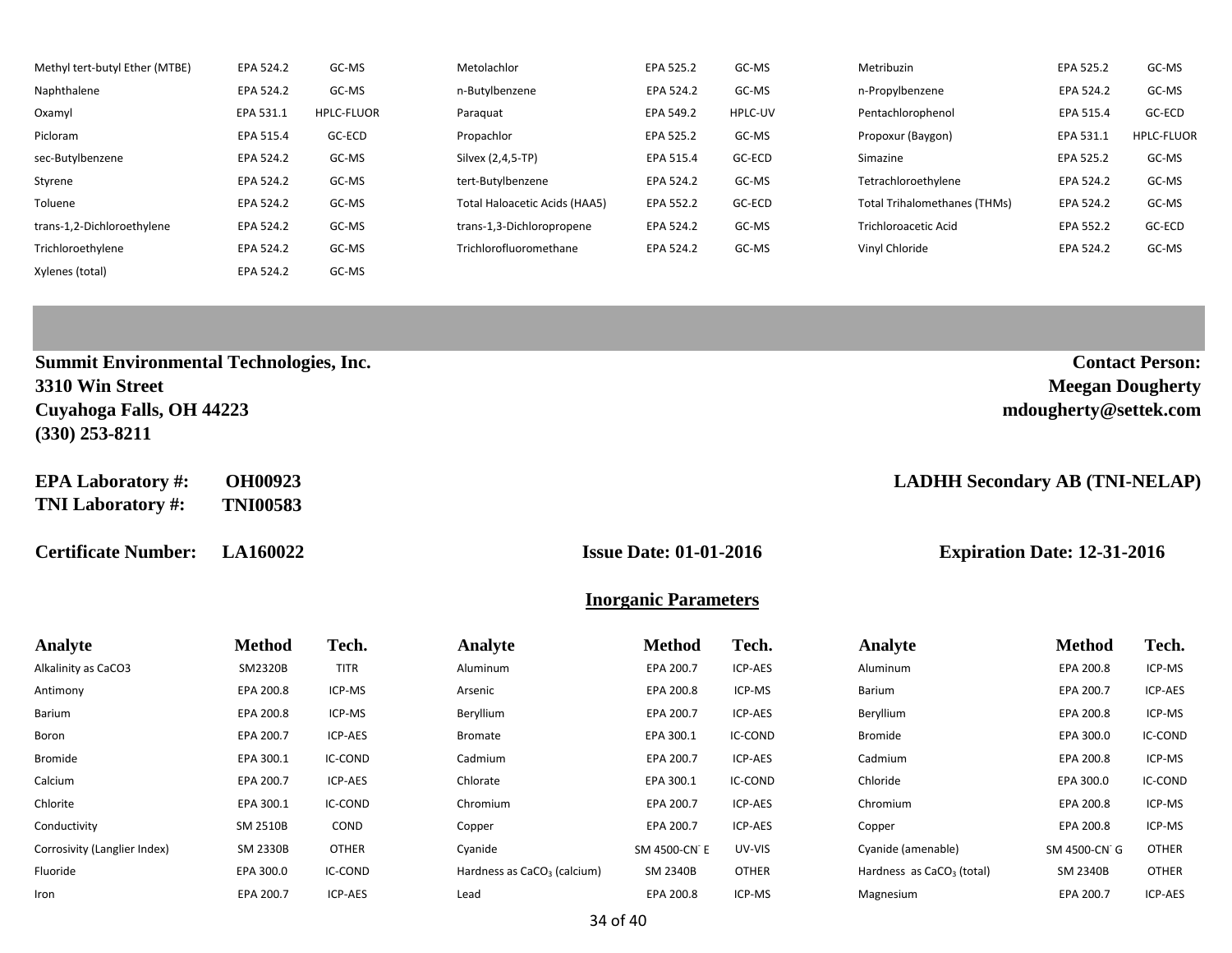| Methyl tert-butyl Ether (MTBE) | EPA 524.2 | GC-MS             | Metolachlor                   | EPA 525.2 | GC-MS   | Metribuzin                          | EPA 525.2 | GC-MS             |
|--------------------------------|-----------|-------------------|-------------------------------|-----------|---------|-------------------------------------|-----------|-------------------|
| Naphthalene                    | EPA 524.2 | GC-MS             | n-Butylbenzene                | EPA 524.2 | GC-MS   | n-Propylbenzene                     | EPA 524.2 | GC-MS             |
| Oxamyl                         | EPA 531.1 | <b>HPLC-FLUOR</b> | Paraguat                      | EPA 549.2 | HPLC-UV | Pentachlorophenol                   | EPA 515.4 | GC-ECD            |
| Picloram                       | EPA 515.4 | GC-ECD            | Propachlor                    | EPA 525.2 | GC-MS   | Propoxur (Baygon)                   | EPA 531.1 | <b>HPLC-FLUOR</b> |
| sec-Butylbenzene               | EPA 524.2 | GC-MS             | Silvex (2,4,5-TP)             | EPA 515.4 | GC-ECD  | Simazine                            | EPA 525.2 | GC-MS             |
| Styrene                        | EPA 524.2 | GC-MS             | tert-Butylbenzene             | EPA 524.2 | GC-MS   | Tetrachloroethylene                 | EPA 524.2 | GC-MS             |
| Toluene                        | EPA 524.2 | GC-MS             | Total Haloacetic Acids (HAA5) | EPA 552.2 | GC-ECD  | <b>Total Trihalomethanes (THMs)</b> | EPA 524.2 | GC-MS             |
| trans-1,2-Dichloroethylene     | EPA 524.2 | GC-MS             | trans-1,3-Dichloropropene     | EPA 524.2 | GC-MS   | <b>Trichloroacetic Acid</b>         | EPA 552.2 | GC-ECD            |
| Trichloroethylene              | EPA 524.2 | GC-MS             | Trichlorofluoromethane        | EPA 524.2 | GC-MS   | Vinyl Chloride                      | EPA 524.2 | GC-MS             |
| Xylenes (total)                | EPA 524.2 | GC-MS             |                               |           |         |                                     |           |                   |

| <b>Summit Environmental Technologies, Inc.</b> | <b>Contact Person:</b>  |
|------------------------------------------------|-------------------------|
| 3310 Win Street                                | <b>Meegan Dougherty</b> |
| Cuyahoga Falls, OH 44223                       | mdougherty@settek.com   |
| $(330)$ 253-8211                               |                         |

**EPA Laboratory #: OH00923 LADHH Secondary AB (TNI-NELAP) TNI Laboratory #: TNI00583**

**Certificate Number: LA160022 Issue Date: 01-01-2016 Expiration Date: 12-31-2016**

### **Inorganic Parameters**

| Analyte                      | <b>Method</b> | Tech.        | Analyte                                 | <b>Method</b> | Tech.        | <b>Analyte</b>                        | <b>Method</b> | Tech.   |
|------------------------------|---------------|--------------|-----------------------------------------|---------------|--------------|---------------------------------------|---------------|---------|
| Alkalinity as CaCO3          | SM2320B       | <b>TITR</b>  | Aluminum                                | EPA 200.7     | ICP-AES      | Aluminum                              | EPA 200.8     | ICP-MS  |
| Antimony                     | EPA 200.8     | ICP-MS       | Arsenic                                 | EPA 200.8     | ICP-MS       | Barium                                | EPA 200.7     | ICP-AES |
| Barium                       | EPA 200.8     | ICP-MS       | Beryllium                               | EPA 200.7     | ICP-AES      | Beryllium                             | EPA 200.8     | ICP-MS  |
| Boron                        | EPA 200.7     | ICP-AES      | <b>Bromate</b>                          | EPA 300.1     | IC-COND      | Bromide                               | EPA 300.0     | IC-COND |
| Bromide                      | EPA 300.1     | IC-COND      | Cadmium                                 | EPA 200.7     | ICP-AES      | Cadmium                               | EPA 200.8     | ICP-MS  |
| Calcium                      | EPA 200.7     | ICP-AES      | Chlorate                                | EPA 300.1     | IC-COND      | Chloride                              | EPA 300.0     | IC-COND |
| Chlorite                     | EPA 300.1     | IC-COND      | Chromium                                | EPA 200.7     | ICP-AES      | Chromium                              | EPA 200.8     | ICP-MS  |
| Conductivity                 | SM 2510B      | COND         | Copper                                  | EPA 200.7     | ICP-AES      | Copper                                | EPA 200.8     | ICP-MS  |
| Corrosivity (Langlier Index) | SM 2330B      | <b>OTHER</b> | Cyanide                                 | SM 4500-CN E  | UV-VIS       | Cyanide (amenable)                    | SM 4500-CN G  | OTHER   |
| Fluoride                     | EPA 300.0     | IC-COND      | Hardness as CaCO <sub>3</sub> (calcium) | SM 2340B      | <b>OTHER</b> | Hardness as CaCO <sub>3</sub> (total) | SM 2340B      | OTHER   |
| Iron                         | EPA 200.7     | ICP-AES      | Lead                                    | EPA 200.8     | ICP-MS       | Magnesium                             | EPA 200.7     | ICP-AES |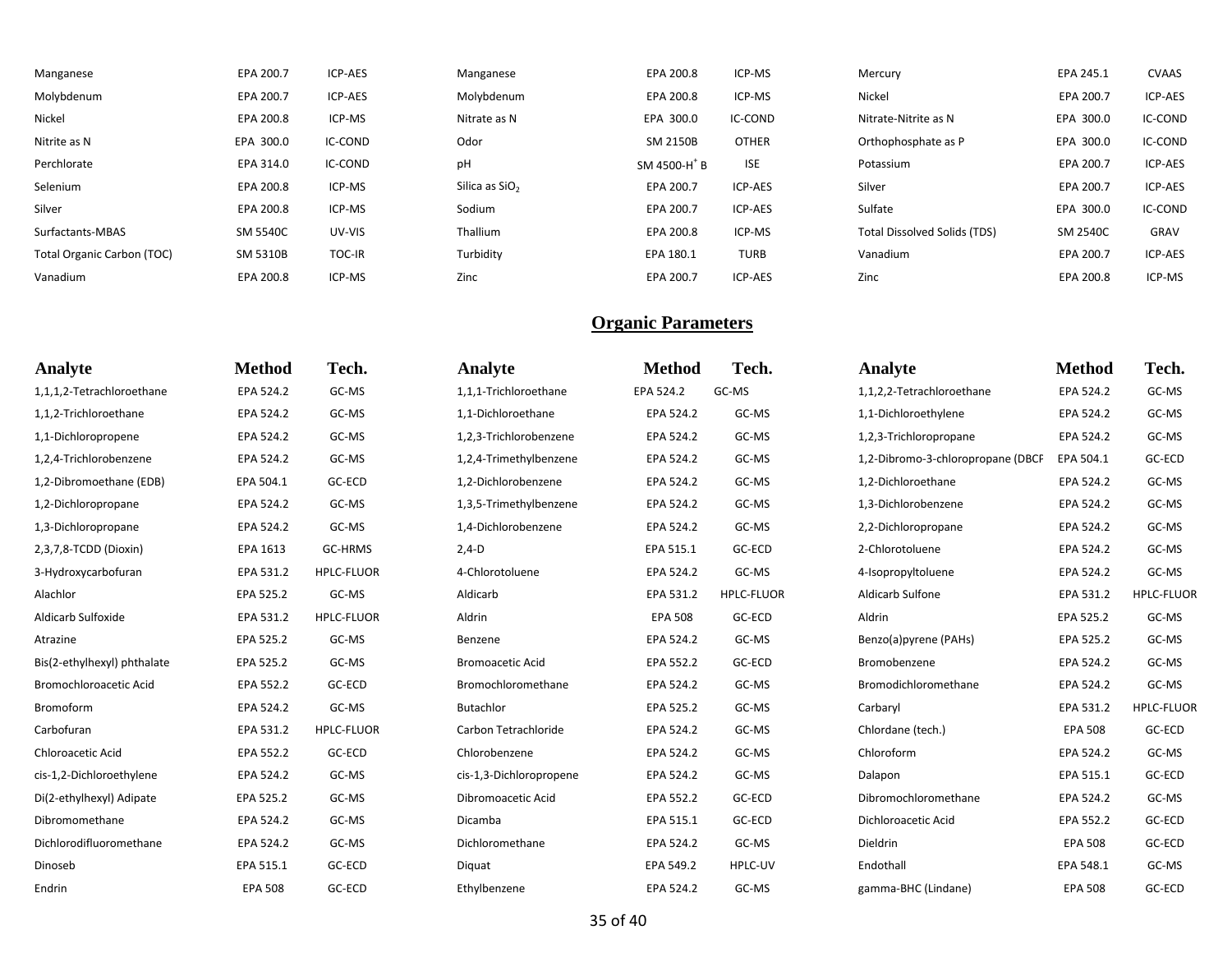| Manganese                  | EPA 200.7       | ICP-AES       | Manganese                  | EPA 200.8                | ICP-MS       | Mercury                             | EPA 245.1 | <b>CVAAS</b> |
|----------------------------|-----------------|---------------|----------------------------|--------------------------|--------------|-------------------------------------|-----------|--------------|
| Molybdenum                 | EPA 200.7       | ICP-AES       | Molybdenum                 | EPA 200.8                | ICP-MS       | Nickel                              | EPA 200.7 | ICP-AES      |
| Nickel                     | EPA 200.8       | ICP-MS        | Nitrate as N               | EPA 300.0                | IC-COND      | Nitrate-Nitrite as N                | EPA 300.0 | IC-COND      |
| Nitrite as N               | EPA 300.0       | IC-COND       | Odor                       | SM 2150B                 | <b>OTHER</b> | Orthophosphate as P                 | EPA 300.0 | IC-COND      |
| Perchlorate                | EPA 314.0       | IC-COND       | рH                         | SM 4500-H <sup>+</sup> B | <b>ISE</b>   | Potassium                           | EPA 200.7 | ICP-AES      |
| Selenium                   | EPA 200.8       | ICP-MS        | Silica as SiO <sub>2</sub> | EPA 200.7                | ICP-AES      | Silver                              | EPA 200.7 | ICP-AES      |
| Silver                     | EPA 200.8       | ICP-MS        | Sodium                     | EPA 200.7                | ICP-AES      | Sulfate                             | EPA 300.0 | IC-COND      |
| Surfactants-MBAS           | <b>SM 5540C</b> | UV-VIS        | Thallium                   | EPA 200.8                | ICP-MS       | <b>Total Dissolved Solids (TDS)</b> | SM 2540C  | GRAV         |
| Total Organic Carbon (TOC) | SM 5310B        | <b>TOC-IR</b> | Turbidity                  | EPA 180.1                | <b>TURB</b>  | Vanadium                            | EPA 200.7 | ICP-AES      |
| Vanadium                   | EPA 200.8       | ICP-MS        | Zinc                       | EPA 200.7                | ICP-AES      | Zinc                                | EPA 200.8 | ICP-MS       |

| Analyte                     | <b>Method</b>  | Tech.             | Analyte                 | <b>Method</b>  | Tech.             | Analyte                           | <b>Method</b>  | Tech.             |
|-----------------------------|----------------|-------------------|-------------------------|----------------|-------------------|-----------------------------------|----------------|-------------------|
| 1,1,1,2-Tetrachloroethane   | EPA 524.2      | GC-MS             | 1,1,1-Trichloroethane   | EPA 524.2      | GC-MS             | 1,1,2,2-Tetrachloroethane         | EPA 524.2      | GC-MS             |
| 1,1,2-Trichloroethane       | EPA 524.2      | GC-MS             | 1,1-Dichloroethane      | EPA 524.2      | GC-MS             | 1,1-Dichloroethylene              | EPA 524.2      | GC-MS             |
| 1,1-Dichloropropene         | EPA 524.2      | GC-MS             | 1,2,3-Trichlorobenzene  | EPA 524.2      | GC-MS             | 1,2,3-Trichloropropane            | EPA 524.2      | GC-MS             |
| 1,2,4-Trichlorobenzene      | EPA 524.2      | GC-MS             | 1,2,4-Trimethylbenzene  | EPA 524.2      | GC-MS             | 1,2-Dibromo-3-chloropropane (DBCP | EPA 504.1      | GC-ECD            |
| 1,2-Dibromoethane (EDB)     | EPA 504.1      | GC-ECD            | 1,2-Dichlorobenzene     | EPA 524.2      | GC-MS             | 1,2-Dichloroethane                | EPA 524.2      | GC-MS             |
| 1,2-Dichloropropane         | EPA 524.2      | GC-MS             | 1,3,5-Trimethylbenzene  | EPA 524.2      | GC-MS             | 1,3-Dichlorobenzene               | EPA 524.2      | GC-MS             |
| 1,3-Dichloropropane         | EPA 524.2      | GC-MS             | 1,4-Dichlorobenzene     | EPA 524.2      | GC-MS             | 2,2-Dichloropropane               | EPA 524.2      | GC-MS             |
| 2,3,7,8-TCDD (Dioxin)       | EPA 1613       | GC-HRMS           | $2,4-D$                 | EPA 515.1      | GC-ECD            | 2-Chlorotoluene                   | EPA 524.2      | GC-MS             |
| 3-Hydroxycarbofuran         | EPA 531.2      | <b>HPLC-FLUOR</b> | 4-Chlorotoluene         | EPA 524.2      | GC-MS             | 4-Isopropyltoluene                | EPA 524.2      | GC-MS             |
| Alachlor                    | EPA 525.2      | GC-MS             | Aldicarb                | EPA 531.2      | <b>HPLC-FLUOR</b> | Aldicarb Sulfone                  | EPA 531.2      | <b>HPLC-FLUOR</b> |
| Aldicarb Sulfoxide          | EPA 531.2      | <b>HPLC-FLUOR</b> | Aldrin                  | <b>EPA 508</b> | GC-ECD            | Aldrin                            | EPA 525.2      | GC-MS             |
| Atrazine                    | EPA 525.2      | GC-MS             | Benzene                 | EPA 524.2      | GC-MS             | Benzo(a)pyrene (PAHs)             | EPA 525.2      | GC-MS             |
| Bis(2-ethylhexyl) phthalate | EPA 525.2      | GC-MS             | <b>Bromoacetic Acid</b> | EPA 552.2      | GC-ECD            | Bromobenzene                      | EPA 524.2      | GC-MS             |
| Bromochloroacetic Acid      | EPA 552.2      | GC-ECD            | Bromochloromethane      | EPA 524.2      | GC-MS             | Bromodichloromethane              | EPA 524.2      | GC-MS             |
| Bromoform                   | EPA 524.2      | GC-MS             | Butachlor               | EPA 525.2      | GC-MS             | Carbaryl                          | EPA 531.2      | <b>HPLC-FLUOR</b> |
| Carbofuran                  | EPA 531.2      | <b>HPLC-FLUOR</b> | Carbon Tetrachloride    | EPA 524.2      | GC-MS             | Chlordane (tech.)                 | <b>EPA 508</b> | GC-ECD            |
| Chloroacetic Acid           | EPA 552.2      | GC-ECD            | Chlorobenzene           | EPA 524.2      | GC-MS             | Chloroform                        | EPA 524.2      | GC-MS             |
| cis-1,2-Dichloroethylene    | EPA 524.2      | GC-MS             | cis-1,3-Dichloropropene | EPA 524.2      | GC-MS             | Dalapon                           | EPA 515.1      | GC-ECD            |
| Di(2-ethylhexyl) Adipate    | EPA 525.2      | GC-MS             | Dibromoacetic Acid      | EPA 552.2      | GC-ECD            | Dibromochloromethane              | EPA 524.2      | GC-MS             |
| Dibromomethane              | EPA 524.2      | GC-MS             | Dicamba                 | EPA 515.1      | GC-ECD            | Dichloroacetic Acid               | EPA 552.2      | GC-ECD            |
| Dichlorodifluoromethane     | EPA 524.2      | GC-MS             | Dichloromethane         | EPA 524.2      | GC-MS             | Dieldrin                          | <b>EPA 508</b> | GC-ECD            |
| Dinoseb                     | EPA 515.1      | GC-ECD            | Diquat                  | EPA 549.2      | HPLC-UV           | Endothall                         | EPA 548.1      | GC-MS             |
| Endrin                      | <b>EPA 508</b> | GC-ECD            | Ethylbenzene            | EPA 524.2      | GC-MS             | gamma-BHC (Lindane)               | <b>EPA 508</b> | GC-ECD            |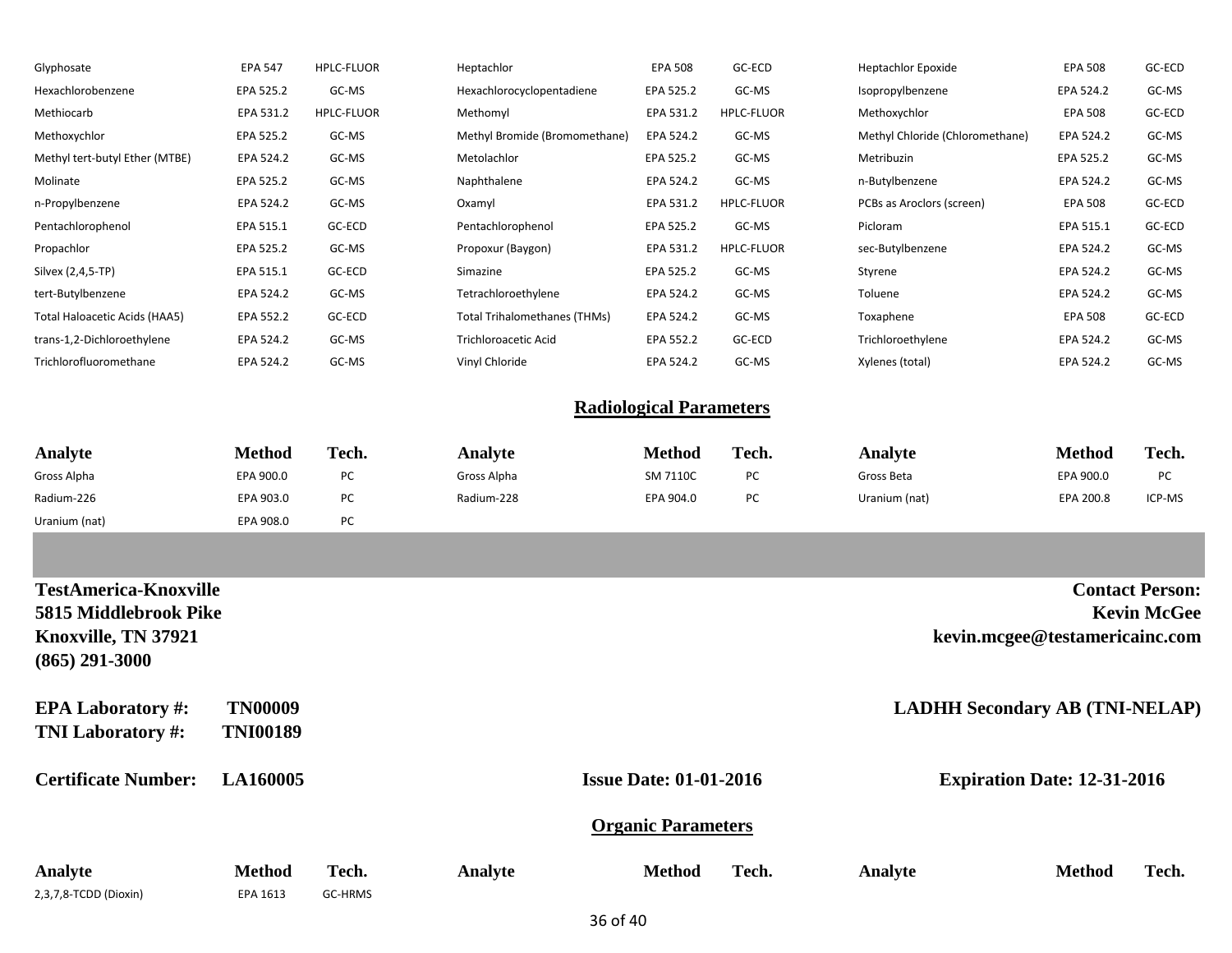| Glyphosate                     | <b>EPA 547</b> | <b>HPLC-FLUOR</b> | Heptachlor                          | <b>EPA 508</b> | GC-ECD            | <b>Heptachlor Epoxide</b>       | <b>EPA 508</b> | GC-ECD |
|--------------------------------|----------------|-------------------|-------------------------------------|----------------|-------------------|---------------------------------|----------------|--------|
| Hexachlorobenzene              | EPA 525.2      | GC-MS             | Hexachlorocyclopentadiene           | EPA 525.2      | GC-MS             | Isopropylbenzene                | EPA 524.2      | GC-MS  |
| Methiocarb                     | EPA 531.2      | <b>HPLC-FLUOR</b> | Methomyl                            | EPA 531.2      | <b>HPLC-FLUOR</b> | Methoxychlor                    | <b>EPA 508</b> | GC-ECD |
| Methoxychlor                   | EPA 525.2      | GC-MS             | Methyl Bromide (Bromomethane)       | EPA 524.2      | GC-MS             | Methyl Chloride (Chloromethane) | EPA 524.2      | GC-MS  |
| Methyl tert-butyl Ether (MTBE) | EPA 524.2      | GC-MS             | Metolachlor                         | EPA 525.2      | GC-MS             | Metribuzin                      | EPA 525.2      | GC-MS  |
| Molinate                       | EPA 525.2      | GC-MS             | Naphthalene                         | EPA 524.2      | GC-MS             | n-Butylbenzene                  | EPA 524.2      | GC-MS  |
| n-Propylbenzene                | EPA 524.2      | GC-MS             | Oxamyl                              | EPA 531.2      | <b>HPLC-FLUOR</b> | PCBs as Aroclors (screen)       | <b>EPA 508</b> | GC-ECD |
| Pentachlorophenol              | EPA 515.1      | GC-ECD            | Pentachlorophenol                   | EPA 525.2      | GC-MS             | Picloram                        | EPA 515.1      | GC-ECD |
| Propachlor                     | EPA 525.2      | GC-MS             | Propoxur (Baygon)                   | EPA 531.2      | <b>HPLC-FLUOR</b> | sec-Butylbenzene                | EPA 524.2      | GC-MS  |
| Silvex (2,4,5-TP)              | EPA 515.1      | GC-ECD            | Simazine                            | EPA 525.2      | GC-MS             | Styrene                         | EPA 524.2      | GC-MS  |
| tert-Butylbenzene              | EPA 524.2      | GC-MS             | Tetrachloroethylene                 | EPA 524.2      | GC-MS             | Toluene                         | EPA 524.2      | GC-MS  |
| Total Haloacetic Acids (HAA5)  | EPA 552.2      | GC-ECD            | <b>Total Trihalomethanes (THMs)</b> | EPA 524.2      | GC-MS             | Toxaphene                       | <b>EPA 508</b> | GC-ECD |
| trans-1,2-Dichloroethylene     | EPA 524.2      | GC-MS             | <b>Trichloroacetic Acid</b>         | EPA 552.2      | GC-ECD            | Trichloroethylene               | EPA 524.2      | GC-MS  |
| Trichlorofluoromethane         | EPA 524.2      | GC-MS             | Vinyl Chloride                      | EPA 524.2      | GC-MS             | Xylenes (total)                 | EPA 524.2      | GC-MS  |
|                                |                |                   |                                     |                |                   |                                 |                |        |

### **Radiological Parameters**

| Analyte       | Method    | Tech. | Analvte     | <b>Method</b> | Tech. | Analvte       | <b>Method</b> | Tech.     |
|---------------|-----------|-------|-------------|---------------|-------|---------------|---------------|-----------|
| Gross Alpha   | EPA 900.0 | PC    | Gross Alpha | SM 7110C      | PC    | Gross Beta    | EPA 900.0     | <b>PC</b> |
| Radium-226    | EPA 903.0 | PC    | Radium-228  | EPA 904.0     | PC    | Uranium (nat) | EPA 200.8     | ICP-MS    |
| Uranium (nat) | EPA 908.0 | PC    |             |               |       |               |               |           |

| <b>TestAmerica-Knoxville</b><br>5815 Middlebrook Pike<br>Knoxville, TN 37921<br>$(865)$ 291-3000 |                                   |                  |         |                               |       |         | kevin.mcgee@testamericainc.com        | <b>Contact Person:</b><br><b>Kevin McGee</b> |
|--------------------------------------------------------------------------------------------------|-----------------------------------|------------------|---------|-------------------------------|-------|---------|---------------------------------------|----------------------------------------------|
| <b>EPA Laboratory #:</b><br><b>TNI Laboratory #:</b>                                             | <b>TN00009</b><br><b>TNI00189</b> |                  |         |                               |       |         | <b>LADHH Secondary AB (TNI-NELAP)</b> |                                              |
| <b>Certificate Number:</b>                                                                       | <b>LA160005</b>                   |                  |         | <b>Issue Date: 01-01-2016</b> |       |         | <b>Expiration Date: 12-31-2016</b>    |                                              |
|                                                                                                  |                                   |                  |         | <b>Organic Parameters</b>     |       |         |                                       |                                              |
| Analyte<br>2,3,7,8-TCDD (Dioxin)                                                                 | <b>Method</b><br>EPA 1613         | Tech.<br>GC-HRMS | Analyte | <b>Method</b>                 | Tech. | Analyte | <b>Method</b>                         | Tech.                                        |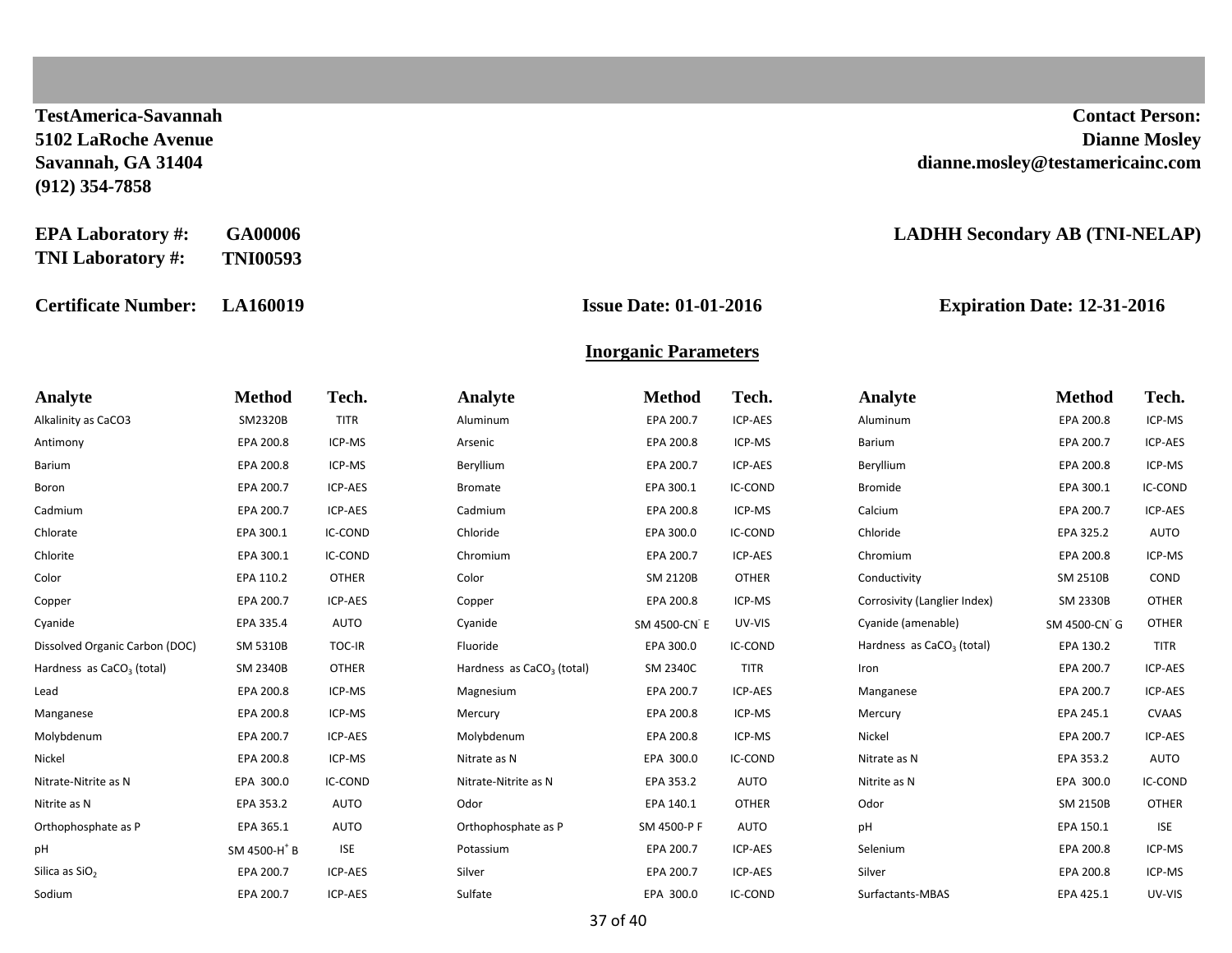**(912) 354-7858**

**TNI Laboratory #: TNI00593**

**Certificate Number: LA160019 Issue Date: 01-01-2016 Expiration Date: 12-31-2016**

**TestAmerica-Savannah Contact Person: 5102 LaRoche Avenue Dianne Mosley Savannah, GA 31404 dianne.mosley@testamericainc.com**

#### **EPA Laboratory #: GA00006 LADHH Secondary AB (TNI-NELAP)**

#### **Inorganic Parameters**

| Analyte                               | <b>Method</b>            | Tech.        | Analyte                               | <b>Method</b>   | Tech.          | Analyte                               | <b>Method</b> | Tech.        |
|---------------------------------------|--------------------------|--------------|---------------------------------------|-----------------|----------------|---------------------------------------|---------------|--------------|
| Alkalinity as CaCO3                   | SM2320B                  | <b>TITR</b>  | Aluminum                              | EPA 200.7       | ICP-AES        | Aluminum                              | EPA 200.8     | ICP-MS       |
| Antimony                              | EPA 200.8                | ICP-MS       | Arsenic                               | EPA 200.8       | ICP-MS         | Barium                                | EPA 200.7     | ICP-AES      |
| <b>Barium</b>                         | EPA 200.8                | ICP-MS       | Beryllium                             | EPA 200.7       | ICP-AES        | Beryllium                             | EPA 200.8     | ICP-MS       |
| Boron                                 | EPA 200.7                | ICP-AES      | <b>Bromate</b>                        | EPA 300.1       | IC-COND        | <b>Bromide</b>                        | EPA 300.1     | IC-COND      |
| Cadmium                               | EPA 200.7                | ICP-AES      | Cadmium                               | EPA 200.8       | ICP-MS         | Calcium                               | EPA 200.7     | ICP-AES      |
| Chlorate                              | EPA 300.1                | IC-COND      | Chloride                              | EPA 300.0       | IC-COND        | Chloride                              | EPA 325.2     | AUTO         |
| Chlorite                              | EPA 300.1                | IC-COND      | Chromium                              | EPA 200.7       | <b>ICP-AES</b> | Chromium                              | EPA 200.8     | ICP-MS       |
| Color                                 | EPA 110.2                | <b>OTHER</b> | Color                                 | <b>SM 2120B</b> | <b>OTHER</b>   | Conductivity                          | SM 2510B      | COND         |
| Copper                                | EPA 200.7                | ICP-AES      | Copper                                | EPA 200.8       | ICP-MS         | Corrosivity (Langlier Index)          | SM 2330B      | <b>OTHER</b> |
| Cyanide                               | EPA 335.4                | AUTO         | Cyanide                               | SM 4500-CN E    | UV-VIS         | Cyanide (amenable)                    | SM 4500-CN G  | <b>OTHER</b> |
| Dissolved Organic Carbon (DOC)        | SM 5310B                 | TOC-IR       | Fluoride                              | EPA 300.0       | IC-COND        | Hardness as CaCO <sub>3</sub> (total) | EPA 130.2     | <b>TITR</b>  |
| Hardness as CaCO <sub>3</sub> (total) | <b>SM 2340B</b>          | <b>OTHER</b> | Hardness as CaCO <sub>3</sub> (total) | SM 2340C        | <b>TITR</b>    | Iron                                  | EPA 200.7     | ICP-AES      |
| Lead                                  | EPA 200.8                | ICP-MS       | Magnesium                             | EPA 200.7       | ICP-AES        | Manganese                             | EPA 200.7     | ICP-AES      |
| Manganese                             | EPA 200.8                | ICP-MS       | Mercury                               | EPA 200.8       | ICP-MS         | Mercury                               | EPA 245.1     | <b>CVAAS</b> |
| Molybdenum                            | EPA 200.7                | ICP-AES      | Molybdenum                            | EPA 200.8       | ICP-MS         | Nickel                                | EPA 200.7     | ICP-AES      |
| Nickel                                | EPA 200.8                | ICP-MS       | Nitrate as N                          | EPA 300.0       | IC-COND        | Nitrate as N                          | EPA 353.2     | AUTO         |
| Nitrate-Nitrite as N                  | EPA 300.0                | IC-COND      | Nitrate-Nitrite as N                  | EPA 353.2       | AUTO           | Nitrite as N                          | EPA 300.0     | IC-COND      |
| Nitrite as N                          | EPA 353.2                | <b>AUTO</b>  | Odor                                  | EPA 140.1       | <b>OTHER</b>   | Odor                                  | SM 2150B      | <b>OTHER</b> |
| Orthophosphate as P                   | EPA 365.1                | AUTO         | Orthophosphate as P                   | SM 4500-P F     | AUTO           | pH                                    | EPA 150.1     | <b>ISE</b>   |
| pH                                    | SM 4500-H <sup>+</sup> B | <b>ISE</b>   | Potassium                             | EPA 200.7       | ICP-AES        | Selenium                              | EPA 200.8     | ICP-MS       |
| Silica as SiO <sub>2</sub>            | EPA 200.7                | ICP-AES      | Silver                                | EPA 200.7       | ICP-AES        | Silver                                | EPA 200.8     | ICP-MS       |
| Sodium                                | EPA 200.7                | ICP-AES      | Sulfate                               | EPA 300.0       | IC-COND        | Surfactants-MBAS                      | EPA 425.1     | UV-VIS       |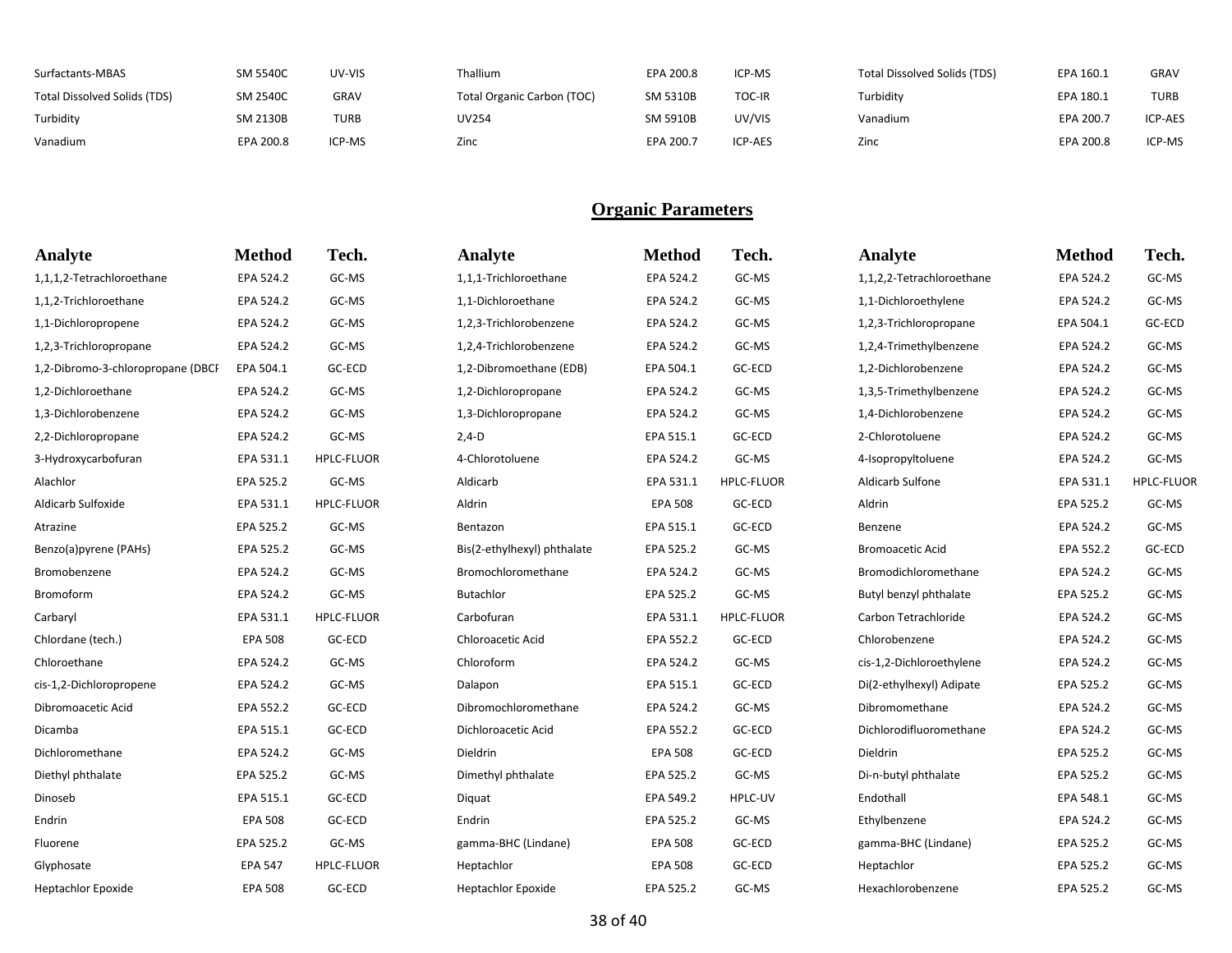| Surfactants-MBAS             | <b>SM 5540C</b>  | UV-VIS      | <b>Thallium</b>            | EPA 200.8 | ICP-MS         | Total Dissolved Solids (TDS) | EPA 160.1 | <b>GRAV</b> |
|------------------------------|------------------|-------------|----------------------------|-----------|----------------|------------------------------|-----------|-------------|
| Total Dissolved Solids (TDS) | <b>SM 2540C</b>  | <b>GRAV</b> | Total Organic Carbon (TOC) | SM 5310B  | TOC-IR         | Turbidity                    | EPA 180.1 | TURB        |
| Turbidity                    | SM 2130B         | TURB        | UV254                      | SM 5910B  | UV/VIS         | Vanadium                     | EPA 200.7 | ICP-AES     |
| Vanadium                     | <b>EPA 200.8</b> | ICP-MS      | Zinc                       | EPA 200.7 | <b>ICP-AES</b> | Zinc                         | EPA 200.8 | ICP-MS      |

| <b>Analyte</b>                    | <b>Method</b>  | Tech.             | Analyte                     | <b>Method</b>  | Tech.             | Analyte                   | <b>Method</b> | Tech.             |
|-----------------------------------|----------------|-------------------|-----------------------------|----------------|-------------------|---------------------------|---------------|-------------------|
| 1,1,1,2-Tetrachloroethane         | EPA 524.2      | GC-MS             | 1,1,1-Trichloroethane       | EPA 524.2      | GC-MS             | 1,1,2,2-Tetrachloroethane | EPA 524.2     | GC-MS             |
| 1,1,2-Trichloroethane             | EPA 524.2      | GC-MS             | 1,1-Dichloroethane          | EPA 524.2      | GC-MS             | 1,1-Dichloroethylene      | EPA 524.2     | GC-MS             |
| 1,1-Dichloropropene               | EPA 524.2      | GC-MS             | 1,2,3-Trichlorobenzene      | EPA 524.2      | GC-MS             | 1,2,3-Trichloropropane    | EPA 504.1     | GC-ECD            |
| 1,2,3-Trichloropropane            | EPA 524.2      | GC-MS             | 1,2,4-Trichlorobenzene      | EPA 524.2      | GC-MS             | 1,2,4-Trimethylbenzene    | EPA 524.2     | GC-MS             |
| 1,2-Dibromo-3-chloropropane (DBCF | EPA 504.1      | GC-ECD            | 1,2-Dibromoethane (EDB)     | EPA 504.1      | GC-ECD            | 1,2-Dichlorobenzene       | EPA 524.2     | GC-MS             |
| 1,2-Dichloroethane                | EPA 524.2      | GC-MS             | 1,2-Dichloropropane         | EPA 524.2      | GC-MS             | 1,3,5-Trimethylbenzene    | EPA 524.2     | GC-MS             |
| 1,3-Dichlorobenzene               | EPA 524.2      | GC-MS             | 1,3-Dichloropropane         | EPA 524.2      | GC-MS             | 1,4-Dichlorobenzene       | EPA 524.2     | GC-MS             |
| 2,2-Dichloropropane               | EPA 524.2      | GC-MS             | $2,4-D$                     | EPA 515.1      | GC-ECD            | 2-Chlorotoluene           | EPA 524.2     | GC-MS             |
| 3-Hydroxycarbofuran               | EPA 531.1      | <b>HPLC-FLUOR</b> | 4-Chlorotoluene             | EPA 524.2      | GC-MS             | 4-Isopropyltoluene        | EPA 524.2     | GC-MS             |
| Alachlor                          | EPA 525.2      | GC-MS             | Aldicarb                    | EPA 531.1      | <b>HPLC-FLUOR</b> | Aldicarb Sulfone          | EPA 531.1     | <b>HPLC-FLUOR</b> |
| Aldicarb Sulfoxide                | EPA 531.1      | <b>HPLC-FLUOR</b> | Aldrin                      | <b>EPA 508</b> | GC-ECD            | Aldrin                    | EPA 525.2     | GC-MS             |
| Atrazine                          | EPA 525.2      | GC-MS             | Bentazon                    | EPA 515.1      | GC-ECD            | Benzene                   | EPA 524.2     | GC-MS             |
| Benzo(a)pyrene (PAHs)             | EPA 525.2      | GC-MS             | Bis(2-ethylhexyl) phthalate | EPA 525.2      | GC-MS             | <b>Bromoacetic Acid</b>   | EPA 552.2     | GC-ECD            |
| Bromobenzene                      | EPA 524.2      | GC-MS             | Bromochloromethane          | EPA 524.2      | GC-MS             | Bromodichloromethane      | EPA 524.2     | GC-MS             |
| Bromoform                         | EPA 524.2      | GC-MS             | <b>Butachlor</b>            | EPA 525.2      | GC-MS             | Butyl benzyl phthalate    | EPA 525.2     | GC-MS             |
| Carbaryl                          | EPA 531.1      | <b>HPLC-FLUOR</b> | Carbofuran                  | EPA 531.1      | <b>HPLC-FLUOR</b> | Carbon Tetrachloride      | EPA 524.2     | GC-MS             |
| Chlordane (tech.)                 | <b>EPA 508</b> | GC-ECD            | Chloroacetic Acid           | EPA 552.2      | GC-ECD            | Chlorobenzene             | EPA 524.2     | GC-MS             |
| Chloroethane                      | EPA 524.2      | GC-MS             | Chloroform                  | EPA 524.2      | GC-MS             | cis-1,2-Dichloroethylene  | EPA 524.2     | GC-MS             |
| cis-1,2-Dichloropropene           | EPA 524.2      | GC-MS             | Dalapon                     | EPA 515.1      | GC-ECD            | Di(2-ethylhexyl) Adipate  | EPA 525.2     | GC-MS             |
| Dibromoacetic Acid                | EPA 552.2      | GC-ECD            | Dibromochloromethane        | EPA 524.2      | GC-MS             | Dibromomethane            | EPA 524.2     | GC-MS             |
| Dicamba                           | EPA 515.1      | GC-ECD            | Dichloroacetic Acid         | EPA 552.2      | GC-ECD            | Dichlorodifluoromethane   | EPA 524.2     | GC-MS             |
| Dichloromethane                   | EPA 524.2      | GC-MS             | Dieldrin                    | <b>EPA 508</b> | GC-ECD            | Dieldrin                  | EPA 525.2     | GC-MS             |
| Diethyl phthalate                 | EPA 525.2      | GC-MS             | Dimethyl phthalate          | EPA 525.2      | GC-MS             | Di-n-butyl phthalate      | EPA 525.2     | GC-MS             |
| Dinoseb                           | EPA 515.1      | GC-ECD            | Diquat                      | EPA 549.2      | HPLC-UV           | Endothall                 | EPA 548.1     | GC-MS             |
| Endrin                            | <b>EPA 508</b> | GC-ECD            | Endrin                      | EPA 525.2      | GC-MS             | Ethylbenzene              | EPA 524.2     | GC-MS             |
| Fluorene                          | EPA 525.2      | GC-MS             | gamma-BHC (Lindane)         | <b>EPA 508</b> | GC-ECD            | gamma-BHC (Lindane)       | EPA 525.2     | GC-MS             |
| Glyphosate                        | <b>EPA 547</b> | <b>HPLC-FLUOR</b> | Heptachlor                  | <b>EPA 508</b> | GC-ECD            | Heptachlor                | EPA 525.2     | GC-MS             |
| <b>Heptachlor Epoxide</b>         | <b>EPA 508</b> | GC-ECD            | <b>Heptachlor Epoxide</b>   | EPA 525.2      | GC-MS             | Hexachlorobenzene         | EPA 525.2     | GC-MS             |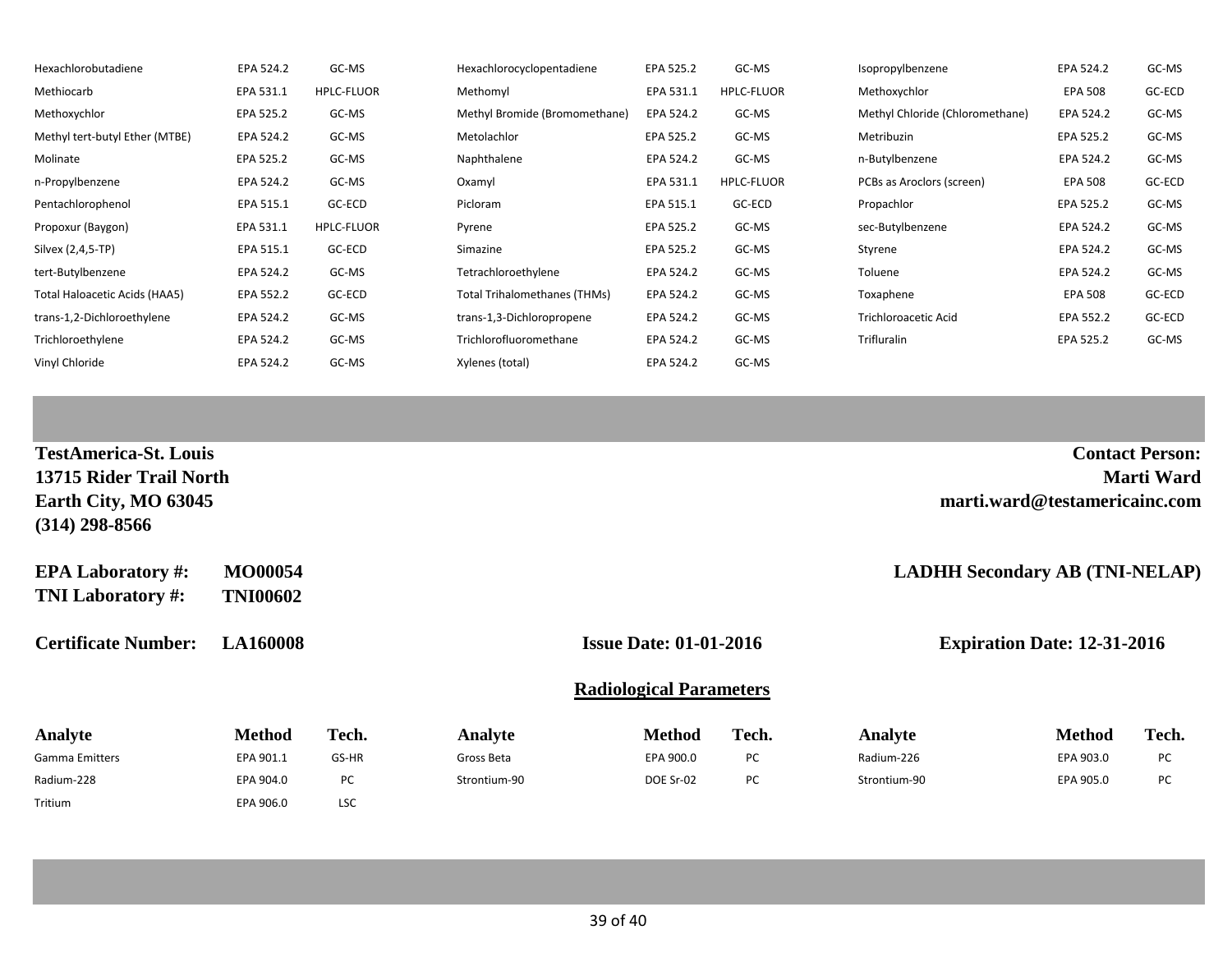| Hexachlorobutadiene            | EPA 524.2 | GC-MS             | Hexachlorocyclopentadiene           | EPA 525.2 | GC-MS             | Isopropylbenzene                | EPA 524.2      | GC-MS  |
|--------------------------------|-----------|-------------------|-------------------------------------|-----------|-------------------|---------------------------------|----------------|--------|
| Methiocarb                     | EPA 531.1 | <b>HPLC-FLUOR</b> | Methomyl                            | EPA 531.1 | <b>HPLC-FLUOR</b> | Methoxychlor                    | <b>EPA 508</b> | GC-ECD |
| Methoxychlor                   | EPA 525.2 | GC-MS             | Methyl Bromide (Bromomethane)       | EPA 524.2 | GC-MS             | Methyl Chloride (Chloromethane) | EPA 524.2      | GC-MS  |
| Methyl tert-butyl Ether (MTBE) | EPA 524.2 | GC-MS             | Metolachlor                         | EPA 525.2 | GC-MS             | Metribuzin                      | EPA 525.2      | GC-MS  |
| Molinate                       | EPA 525.2 | GC-MS             | Naphthalene                         | EPA 524.2 | GC-MS             | n-Butylbenzene                  | EPA 524.2      | GC-MS  |
| n-Propylbenzene                | EPA 524.2 | GC-MS             | Oxamyl                              | EPA 531.1 | <b>HPLC-FLUOR</b> | PCBs as Aroclors (screen)       | <b>EPA 508</b> | GC-ECD |
| Pentachlorophenol              | EPA 515.1 | GC-ECD            | Picloram                            | EPA 515.1 | GC-ECD            | Propachlor                      | EPA 525.2      | GC-MS  |
| Propoxur (Baygon)              | EPA 531.1 | HPLC-FLUOR        | Pyrene                              | EPA 525.2 | GC-MS             | sec-Butylbenzene                | EPA 524.2      | GC-MS  |
| Silvex (2,4,5-TP)              | EPA 515.1 | GC-ECD            | Simazine                            | EPA 525.2 | GC-MS             | Styrene                         | EPA 524.2      | GC-MS  |
| tert-Butylbenzene              | EPA 524.2 | GC-MS             | Tetrachloroethylene                 | EPA 524.2 | GC-MS             | Toluene                         | EPA 524.2      | GC-MS  |
| Total Haloacetic Acids (HAA5)  | EPA 552.2 | GC-ECD            | <b>Total Trihalomethanes (THMs)</b> | EPA 524.2 | GC-MS             | Toxaphene                       | <b>EPA 508</b> | GC-ECD |
| trans-1,2-Dichloroethylene     | EPA 524.2 | GC-MS             | trans-1,3-Dichloropropene           | EPA 524.2 | GC-MS             | <b>Trichloroacetic Acid</b>     | EPA 552.2      | GC-ECD |
| Trichloroethylene              | EPA 524.2 | GC-MS             | Trichlorofluoromethane              | EPA 524.2 | GC-MS             | Trifluralin                     | EPA 525.2      | GC-MS  |
| Vinyl Chloride                 | EPA 524.2 | GC-MS             | Xylenes (total)                     | EPA 524.2 | GC-MS             |                                 |                |        |

| <b>TestAmerica-St. Louis</b><br>13715 Rider Trail North<br>Earth City, MO 63045<br>$(314)$ 298-8566 |                                   |            |              |                                |       | <b>Contact Person:</b><br><b>Marti Ward</b><br>marti.ward@testamericainc.com |                                       |       |  |
|-----------------------------------------------------------------------------------------------------|-----------------------------------|------------|--------------|--------------------------------|-------|------------------------------------------------------------------------------|---------------------------------------|-------|--|
| <b>EPA Laboratory #:</b><br><b>TNI Laboratory #:</b>                                                | <b>MO00054</b><br><b>TNI00602</b> |            |              |                                |       |                                                                              | <b>LADHH Secondary AB (TNI-NELAP)</b> |       |  |
| <b>LA160008</b><br><b>Certificate Number:</b>                                                       |                                   |            |              | <b>Issue Date: 01-01-2016</b>  |       |                                                                              | <b>Expiration Date: 12-31-2016</b>    |       |  |
|                                                                                                     |                                   |            |              | <b>Radiological Parameters</b> |       |                                                                              |                                       |       |  |
| Analyte                                                                                             | <b>Method</b>                     | Tech.      | Analyte      | <b>Method</b>                  | Tech. | Analyte                                                                      | <b>Method</b>                         | Tech. |  |
| Gamma Emitters                                                                                      | EPA 901.1                         | GS-HR      | Gross Beta   | EPA 900.0                      | PC    | Radium-226                                                                   | EPA 903.0                             | PC    |  |
| Radium-228                                                                                          | EPA 904.0                         | PC         | Strontium-90 | DOE Sr-02                      | PC    | Strontium-90                                                                 | EPA 905.0                             | PC    |  |
| Tritium                                                                                             | EPA 906.0                         | <b>LSC</b> |              |                                |       |                                                                              |                                       |       |  |